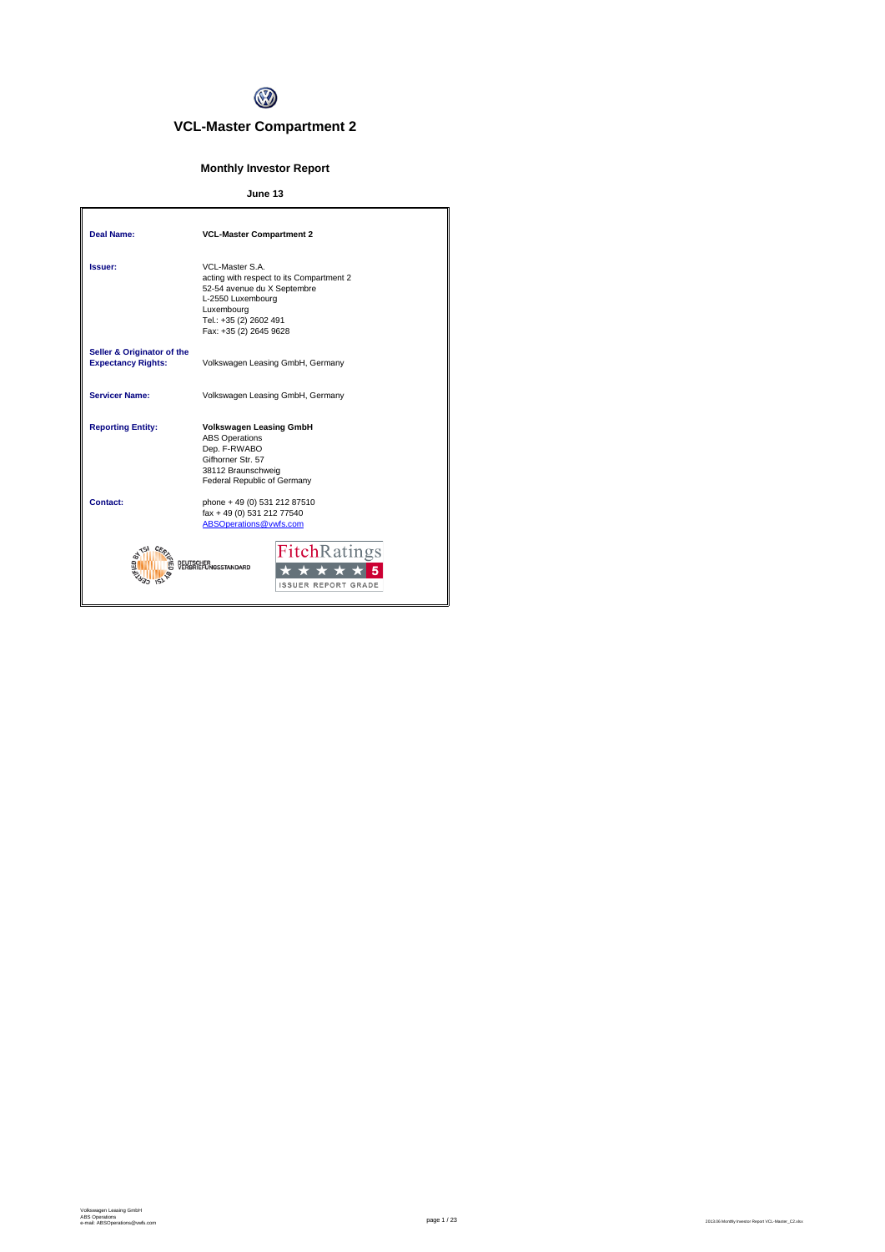

# **VCL-Master Compartment 2**

# **Monthly Investor Report**

# **June 13**

| <b>Deal Name:</b>                                       | <b>VCL-Master Compartment 2</b>                                                                                                                                                  |
|---------------------------------------------------------|----------------------------------------------------------------------------------------------------------------------------------------------------------------------------------|
| Issuer:                                                 | VCL-Master S A<br>acting with respect to its Compartment 2<br>52-54 avenue du X Septembre<br>L-2550 Luxembourg<br>Luxembourg<br>Tel.: +35 (2) 2602 491<br>Fax: +35 (2) 2645 9628 |
| Seller & Originator of the<br><b>Expectancy Rights:</b> | Volkswagen Leasing GmbH, Germany                                                                                                                                                 |
| <b>Servicer Name:</b>                                   | Volkswagen Leasing GmbH, Germany                                                                                                                                                 |
| <b>Reporting Entity:</b>                                | <b>Volkswagen Leasing GmbH</b><br><b>ABS Operations</b><br>Dep. F-RWABO<br>Gifhorner Str. 57<br>38112 Braunschweig<br>Federal Republic of Germany                                |
| Contact:                                                | phone + 49 (0) 531 212 87510<br>fax + 49 (0) 531 212 77540<br>ABSOperations@vwfs.com                                                                                             |
|                                                         | <b>FitchRatings</b><br><b>GSSTANDARD</b><br><b>ISSUER REPORT GRADE</b>                                                                                                           |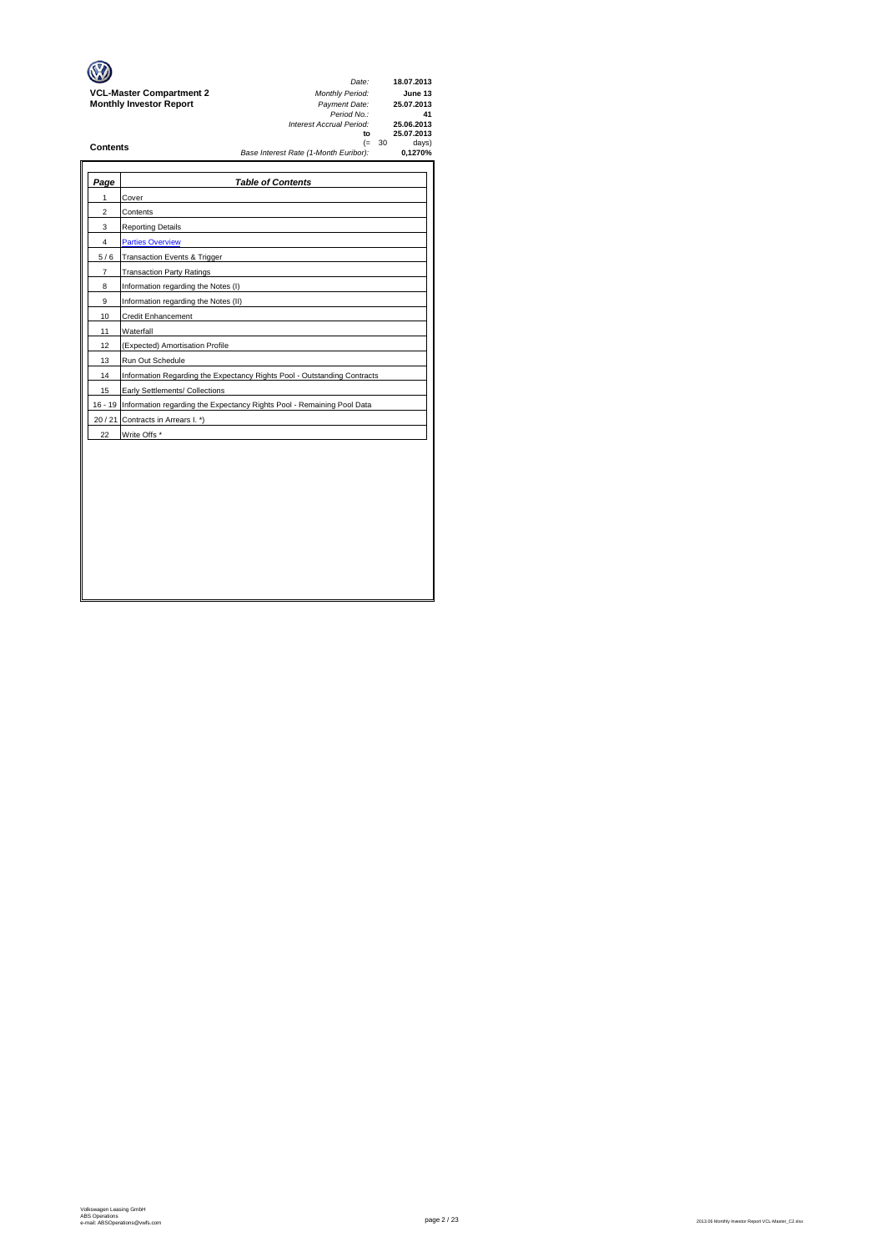|                                 | Date:                                             | 18.07.2013               |
|---------------------------------|---------------------------------------------------|--------------------------|
| <b>VCL-Master Compartment 2</b> | <b>Monthly Period:</b>                            | June 13                  |
| <b>Monthly Investor Report</b>  | Payment Date:<br>Period No.:                      | 25.07.2013<br>41         |
|                                 | Interest Accrual Period:<br>to                    | 25.06.2013<br>25.07.2013 |
| <b>Contents</b>                 | $(= 30)$<br>Base Interest Rate (1-Month Euribor): | days)<br>0.1270%         |
|                                 |                                                   |                          |

| Page | <b>Table of Contents</b>                                                       |
|------|--------------------------------------------------------------------------------|
| 1    | Cover                                                                          |
| 2    | Contents                                                                       |
| 3    | <b>Reporting Details</b>                                                       |
| 4    | <b>Parties Overview</b>                                                        |
| 5/6  | Transaction Events & Trigger                                                   |
| 7    | <b>Transaction Party Ratings</b>                                               |
| 8    | Information regarding the Notes (I)                                            |
| 9    | Information regarding the Notes (II)                                           |
| 10   | <b>Credit Enhancement</b>                                                      |
| 11   | Waterfall                                                                      |
| 12   | (Expected) Amortisation Profile                                                |
| 13   | Run Out Schedule                                                               |
| 14   | Information Regarding the Expectancy Rights Pool - Outstanding Contracts       |
| 15   | Early Settlements/ Collections                                                 |
|      | 16 - 19 Information regarding the Expectancy Rights Pool - Remaining Pool Data |
|      | 20 / 21 Contracts in Arrears I. *)                                             |
| 22   | Write Offs *                                                                   |
|      |                                                                                |
|      |                                                                                |
|      |                                                                                |
|      |                                                                                |
|      |                                                                                |
|      |                                                                                |
|      |                                                                                |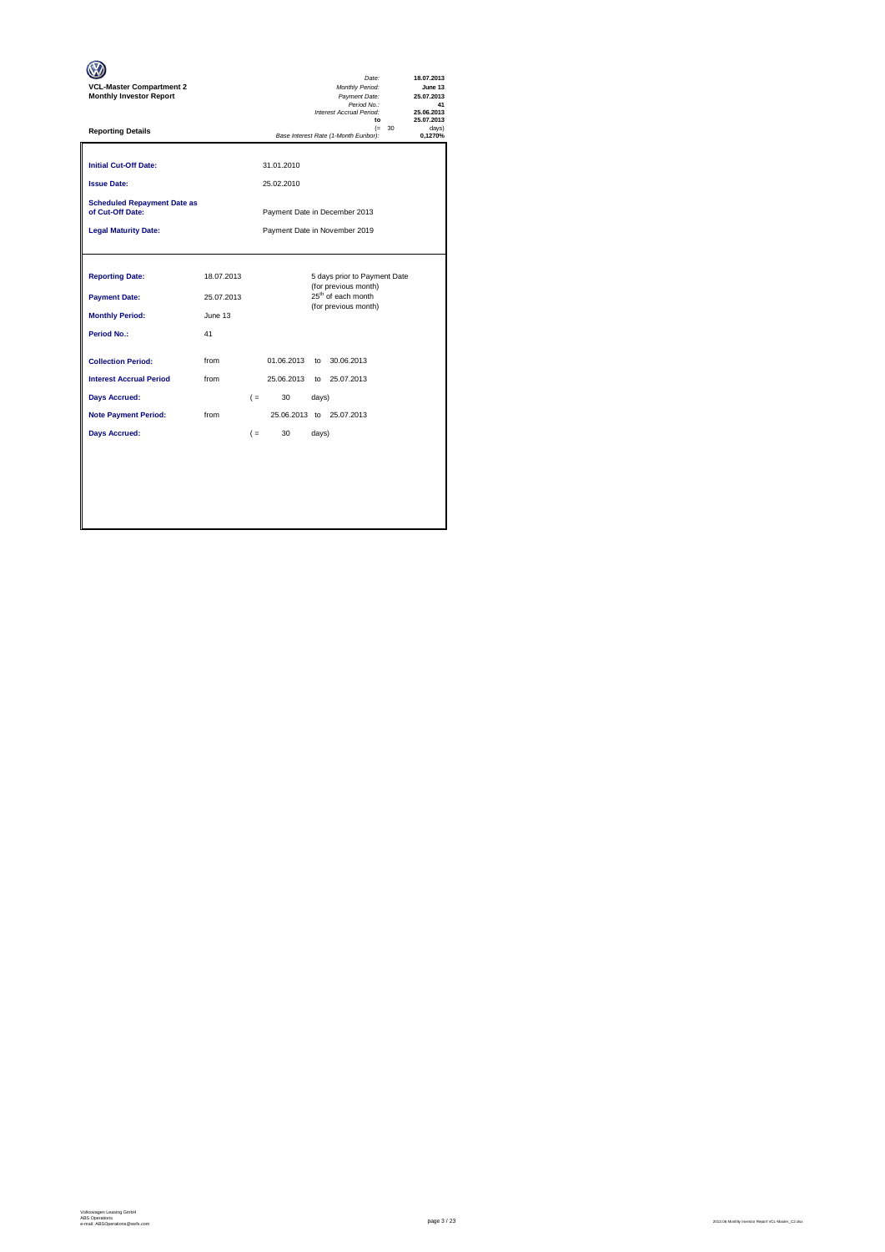| <b>VCL-Master Compartment 2</b><br><b>Monthly Investor Report</b>                              |                                           |       |                          |                | Date:<br>Monthly Period:<br>Payment Date:<br>Period No.:<br>Interest Accrual Period:<br>$\mathbf{f}$           |          | 18.07.2013<br>June 13<br>25.07.2013<br>41<br>25.06.2013<br>25.07.2013 |
|------------------------------------------------------------------------------------------------|-------------------------------------------|-------|--------------------------|----------------|----------------------------------------------------------------------------------------------------------------|----------|-----------------------------------------------------------------------|
| <b>Reporting Details</b>                                                                       |                                           |       |                          |                | Base Interest Rate (1-Month Euribor):                                                                          | $(= 30)$ | davs)<br>0.1270%                                                      |
| <b>Initial Cut-Off Date:</b><br><b>Issue Date:</b>                                             |                                           |       | 31.01.2010<br>25.02.2010 |                |                                                                                                                |          |                                                                       |
| <b>Scheduled Repayment Date as</b><br>of Cut-Off Date:                                         | Payment Date in December 2013             |       |                          |                |                                                                                                                |          |                                                                       |
| <b>Legal Maturity Date:</b>                                                                    | Payment Date in November 2019             |       |                          |                |                                                                                                                |          |                                                                       |
| <b>Reporting Date:</b><br><b>Payment Date:</b><br><b>Monthly Period:</b><br><b>Period No.:</b> | 18.07.2013<br>25.07.2013<br>June 13<br>41 |       |                          |                | 5 days prior to Payment Date<br>(for previous month)<br>25 <sup>th</sup> of each month<br>(for previous month) |          |                                                                       |
| <b>Collection Period:</b>                                                                      | from                                      |       | 01.06.2013               | $\mathsf{to}$  | 30.06.2013                                                                                                     |          |                                                                       |
| <b>Interest Accrual Period</b>                                                                 | from                                      |       | 25.06.2013               |                | to 25.07.2013                                                                                                  |          |                                                                       |
| <b>Days Accrued:</b><br><b>Note Payment Period:</b><br><b>Days Accrued:</b>                    | from                                      | $( =$ | $($ =<br>30<br>30        | days)<br>days) | 25.06.2013 to 25.07.2013                                                                                       |          |                                                                       |
|                                                                                                |                                           |       |                          |                |                                                                                                                |          |                                                                       |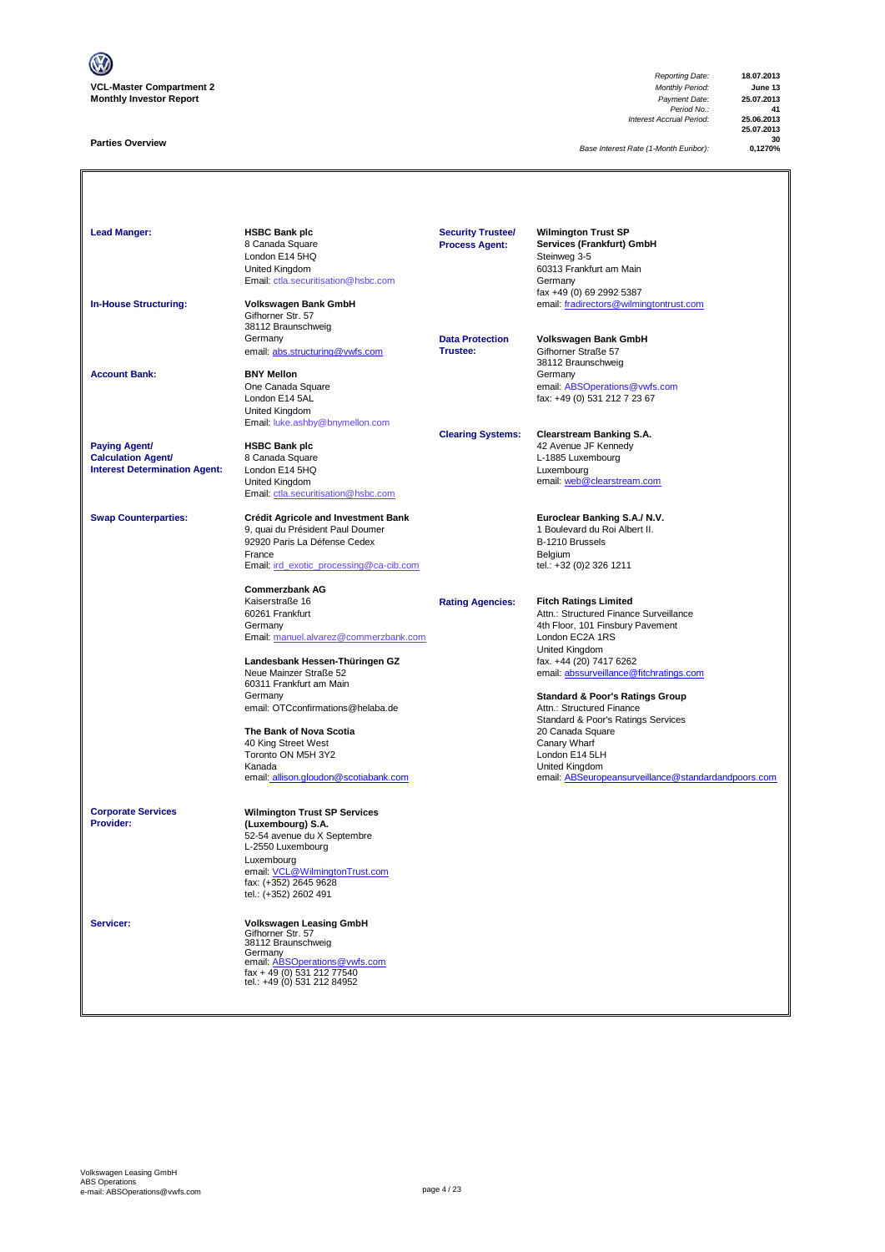

# **Parties Overview**

*Reporting Date:* **18.07.2013** *Period No.:* **41** *Interest Accrual Period:* **25.06.2013**

**25.07.2013 30**

**Base Interest Rate (1-Month Euribor):** 

| <b>Lead Manger:</b>                                                                       | <b>HSBC Bank plc</b><br>8 Canada Square<br>London E14 5HQ<br>United Kingdom<br>Email: ctla.securitisation@hsbc.com                                                                                                                                                                                                                                                                | <b>Security Trustee/</b><br><b>Process Agent:</b> | <b>Wilmington Trust SP</b><br>Services (Frankfurt) GmbH<br>Steinweg 3-5<br>60313 Frankfurt am Main<br>Germany<br>fax +49 (0) 69 2992 5387                                                                                                                                                                                                                                                                                                                             |
|-------------------------------------------------------------------------------------------|-----------------------------------------------------------------------------------------------------------------------------------------------------------------------------------------------------------------------------------------------------------------------------------------------------------------------------------------------------------------------------------|---------------------------------------------------|-----------------------------------------------------------------------------------------------------------------------------------------------------------------------------------------------------------------------------------------------------------------------------------------------------------------------------------------------------------------------------------------------------------------------------------------------------------------------|
| <b>In-House Structuring:</b>                                                              | Volkswagen Bank GmbH<br>Gifhorner Str. 57<br>38112 Braunschweig<br>Germany<br>email: abs.structuring@vwfs.com                                                                                                                                                                                                                                                                     | <b>Data Protection</b><br>Trustee:                | email: fradirectors@wilmingtontrust.com<br>Volkswagen Bank GmbH<br>Gifhorner Straße 57<br>38112 Braunschweig                                                                                                                                                                                                                                                                                                                                                          |
| <b>Account Bank:</b>                                                                      | <b>BNY Mellon</b><br>One Canada Square<br>London E14 5AL<br><b>United Kingdom</b><br>Email: luke.ashby@bnymellon.com                                                                                                                                                                                                                                                              |                                                   | Germany<br>email: ABSOperations@vwfs.com<br>fax: +49 (0) 531 212 7 23 67                                                                                                                                                                                                                                                                                                                                                                                              |
| <b>Paying Agent/</b><br><b>Calculation Agent/</b><br><b>Interest Determination Agent:</b> | <b>HSBC Bank plc</b><br>8 Canada Square<br>London E14 5HQ<br>United Kingdom<br>Email: ctla.securitisation@hsbc.com                                                                                                                                                                                                                                                                | <b>Clearing Systems:</b>                          | <b>Clearstream Banking S.A.</b><br>42 Avenue JF Kennedy<br>L-1885 Luxembourg<br>Luxembourg<br>email: web@clearstream.com                                                                                                                                                                                                                                                                                                                                              |
| <b>Swap Counterparties:</b>                                                               | <b>Crédit Agricole and Investment Bank</b><br>9, quai du Président Paul Doumer<br>92920 Paris La Défense Cedex<br>France<br>Email: ird exotic processing@ca-cib.com                                                                                                                                                                                                               |                                                   | Euroclear Banking S.A./ N.V.<br>1 Boulevard du Roi Albert II.<br>B-1210 Brussels<br>Belgium<br>tel.: +32 (0)2 326 1211                                                                                                                                                                                                                                                                                                                                                |
|                                                                                           | <b>Commerzbank AG</b><br>Kaiserstraße 16<br>60261 Frankfurt<br>Germany<br>Email: manuel.alvarez@commerzbank.com<br>Landesbank Hessen-Thüringen GZ<br>Neue Mainzer Straße 52<br>60311 Frankfurt am Main<br>Germany<br>email: OTCconfirmations@helaba.de<br>The Bank of Nova Scotia<br>40 King Street West<br>Toronto ON M5H 3Y2<br>Kanada<br>email: allison.gloudon@scotiabank.com | <b>Rating Agencies:</b>                           | <b>Fitch Ratings Limited</b><br>Attn.: Structured Finance Surveillance<br>4th Floor, 101 Finsbury Pavement<br>London EC2A 1RS<br>United Kingdom<br>fax. +44 (20) 7417 6262<br>email: abssurveillance@fitchratings.com<br><b>Standard &amp; Poor's Ratings Group</b><br>Attn.: Structured Finance<br>Standard & Poor's Ratings Services<br>20 Canada Square<br>Canary Wharf<br>London E14 5LH<br>United Kingdom<br>email: ABSeuropeansurveillance@standardandpoors.com |
| <b>Corporate Services</b><br>Provider:                                                    | <b>Wilmington Trust SP Services</b><br>(Luxembourg) S.A.<br>52-54 avenue du X Septembre<br>L-2550 Luxembourg<br>Luxembourg<br>email: VCL@WilmingtonTrust.com<br>fax: (+352) 2645 9628<br>tel.: (+352) 2602 491                                                                                                                                                                    |                                                   |                                                                                                                                                                                                                                                                                                                                                                                                                                                                       |
| Servicer:                                                                                 | Volkswagen Leasing GmbH<br>Gifhorner Str. 57<br>38112 Braunschweig<br>Germany<br>email: ABSOperations@vwfs.com<br>fax + 49 (0) 531 212 77540<br>tel.: +49 (0) 531 212 84952                                                                                                                                                                                                       |                                                   |                                                                                                                                                                                                                                                                                                                                                                                                                                                                       |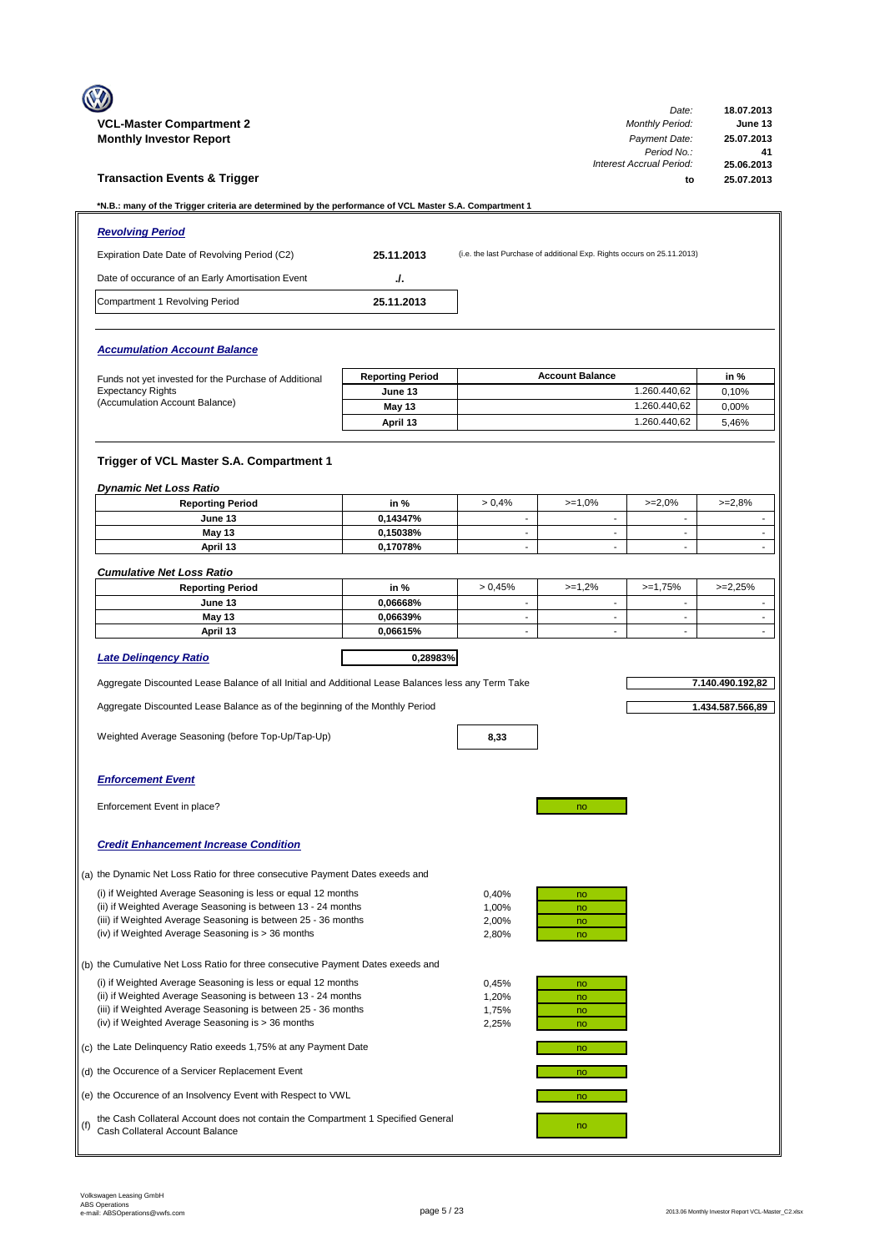|     | <b>VCL-Master Compartment 2</b><br><b>Monthly Investor Report</b>                                                                                                                                                                                  |                         |                                                      |                                                                         | Date:<br><b>Monthly Period:</b><br>Payment Date:<br>Period No.: | 18.07.2013<br>June 13<br>25.07.2013<br>41 |  |
|-----|----------------------------------------------------------------------------------------------------------------------------------------------------------------------------------------------------------------------------------------------------|-------------------------|------------------------------------------------------|-------------------------------------------------------------------------|-----------------------------------------------------------------|-------------------------------------------|--|
|     | <b>Transaction Events &amp; Trigger</b>                                                                                                                                                                                                            |                         |                                                      |                                                                         | Interest Accrual Period:<br>to                                  | 25.06.2013<br>25.07.2013                  |  |
|     | *N.B.: many of the Trigger criteria are determined by the performance of VCL Master S.A. Compartment 1                                                                                                                                             |                         |                                                      |                                                                         |                                                                 |                                           |  |
|     | <b>Revolving Period</b>                                                                                                                                                                                                                            |                         |                                                      |                                                                         |                                                                 |                                           |  |
|     | Expiration Date Date of Revolving Period (C2)                                                                                                                                                                                                      | 25.11.2013              |                                                      | (i.e. the last Purchase of additional Exp. Rights occurs on 25.11.2013) |                                                                 |                                           |  |
|     | Date of occurance of an Early Amortisation Event                                                                                                                                                                                                   | J.                      |                                                      |                                                                         |                                                                 |                                           |  |
|     | Compartment 1 Revolving Period                                                                                                                                                                                                                     | 25.11.2013              |                                                      |                                                                         |                                                                 |                                           |  |
|     | <b>Accumulation Account Balance</b>                                                                                                                                                                                                                |                         |                                                      |                                                                         |                                                                 |                                           |  |
|     | Funds not yet invested for the Purchase of Additional                                                                                                                                                                                              | <b>Reporting Period</b> |                                                      | <b>Account Balance</b>                                                  |                                                                 | in %                                      |  |
|     | <b>Expectancy Rights</b><br>(Accumulation Account Balance)                                                                                                                                                                                         | June 13                 |                                                      |                                                                         | 1.260.440,62                                                    | 0,10%                                     |  |
|     |                                                                                                                                                                                                                                                    | May 13                  |                                                      |                                                                         | 1.260.440,62<br>1.260.440,62                                    | 0.00%                                     |  |
|     |                                                                                                                                                                                                                                                    | April 13                |                                                      |                                                                         |                                                                 | 5,46%                                     |  |
|     | Trigger of VCL Master S.A. Compartment 1                                                                                                                                                                                                           |                         |                                                      |                                                                         |                                                                 |                                           |  |
|     | <b>Dynamic Net Loss Ratio</b><br><b>Reporting Period</b>                                                                                                                                                                                           | in %                    | > 0.4%                                               | $>=1,0%$                                                                | $>=2,0%$                                                        | $>=2,8%$                                  |  |
|     | June 13                                                                                                                                                                                                                                            | 0,14347%                | $\overline{\phantom{a}}$                             | $\overline{\phantom{a}}$                                                | $\overline{\phantom{a}}$                                        |                                           |  |
|     | May 13                                                                                                                                                                                                                                             | 0,15038%                | $\blacksquare$                                       | $\sim$                                                                  | $\sim$                                                          | $\overline{\phantom{a}}$                  |  |
|     | April 13                                                                                                                                                                                                                                           | 0,17078%                | $\overline{\phantom{a}}$                             | $\blacksquare$                                                          | $\blacksquare$                                                  | $\mathcal{L}^{\mathcal{L}}$               |  |
|     | <b>Cumulative Net Loss Ratio</b>                                                                                                                                                                                                                   |                         |                                                      |                                                                         |                                                                 |                                           |  |
|     | <b>Reporting Period</b>                                                                                                                                                                                                                            | in %                    | > 0.45%                                              | $>=1,2%$                                                                | $>=1,75%$                                                       | $>=2,25%$                                 |  |
|     | June 13                                                                                                                                                                                                                                            | 0,06668%                | ÷,                                                   | $\sim$                                                                  | $\sim$                                                          |                                           |  |
|     | May 13<br>April 13                                                                                                                                                                                                                                 | 0,06639%<br>0,06615%    | $\overline{\phantom{a}}$<br>$\overline{\phantom{a}}$ | $\blacksquare$<br>$\overline{\phantom{a}}$                              | $\blacksquare$<br>$\overline{\phantom{a}}$                      | $\blacksquare$<br>$\blacksquare$          |  |
|     |                                                                                                                                                                                                                                                    |                         |                                                      |                                                                         |                                                                 |                                           |  |
|     | <b>Late Delingency Ratio</b>                                                                                                                                                                                                                       | 0,28983%                |                                                      |                                                                         |                                                                 |                                           |  |
|     | Aggregate Discounted Lease Balance of all Initial and Additional Lease Balances less any Term Take                                                                                                                                                 |                         |                                                      |                                                                         |                                                                 | 7.140.490.192,82                          |  |
|     | Aggregate Discounted Lease Balance as of the beginning of the Monthly Period                                                                                                                                                                       |                         |                                                      |                                                                         |                                                                 | 1.434.587.566,89                          |  |
|     | Weighted Average Seasoning (before Top-Up/Tap-Up)                                                                                                                                                                                                  |                         | 8,33                                                 |                                                                         |                                                                 |                                           |  |
|     | <b>Enforcement Event</b>                                                                                                                                                                                                                           |                         |                                                      |                                                                         |                                                                 |                                           |  |
|     | Enforcement Event in place?                                                                                                                                                                                                                        |                         |                                                      | no                                                                      |                                                                 |                                           |  |
|     | <b>Credit Enhancement Increase Condition</b>                                                                                                                                                                                                       |                         |                                                      |                                                                         |                                                                 |                                           |  |
|     | (a) the Dynamic Net Loss Ratio for three consecutive Payment Dates exeeds and                                                                                                                                                                      |                         |                                                      |                                                                         |                                                                 |                                           |  |
|     | (i) if Weighted Average Seasoning is less or equal 12 months<br>(ii) if Weighted Average Seasoning is between 13 - 24 months<br>(iii) if Weighted Average Seasoning is between 25 - 36 months                                                      |                         | 0,40%<br>1,00%<br>2,00%                              | no<br>no<br>no                                                          |                                                                 |                                           |  |
|     | (iv) if Weighted Average Seasoning is > 36 months                                                                                                                                                                                                  |                         | 2,80%                                                | no                                                                      |                                                                 |                                           |  |
|     | (b) the Cumulative Net Loss Ratio for three consecutive Payment Dates exeeds and                                                                                                                                                                   |                         |                                                      |                                                                         |                                                                 |                                           |  |
|     | (i) if Weighted Average Seasoning is less or equal 12 months<br>(ii) if Weighted Average Seasoning is between 13 - 24 months<br>(iii) if Weighted Average Seasoning is between 25 - 36 months<br>(iv) if Weighted Average Seasoning is > 36 months |                         | 0,45%<br>1,20%<br>1,75%<br>2,25%                     | no<br>no<br>no<br>no                                                    |                                                                 |                                           |  |
|     | (c) the Late Delinquency Ratio exeeds 1,75% at any Payment Date                                                                                                                                                                                    |                         |                                                      | no                                                                      |                                                                 |                                           |  |
|     | (d) the Occurence of a Servicer Replacement Event                                                                                                                                                                                                  |                         |                                                      | no                                                                      |                                                                 |                                           |  |
|     | (e) the Occurence of an Insolvency Event with Respect to VWL                                                                                                                                                                                       |                         |                                                      | no                                                                      |                                                                 |                                           |  |
| (f) | the Cash Collateral Account does not contain the Compartment 1 Specified General<br>no<br>Cash Collateral Account Balance                                                                                                                          |                         |                                                      |                                                                         |                                                                 |                                           |  |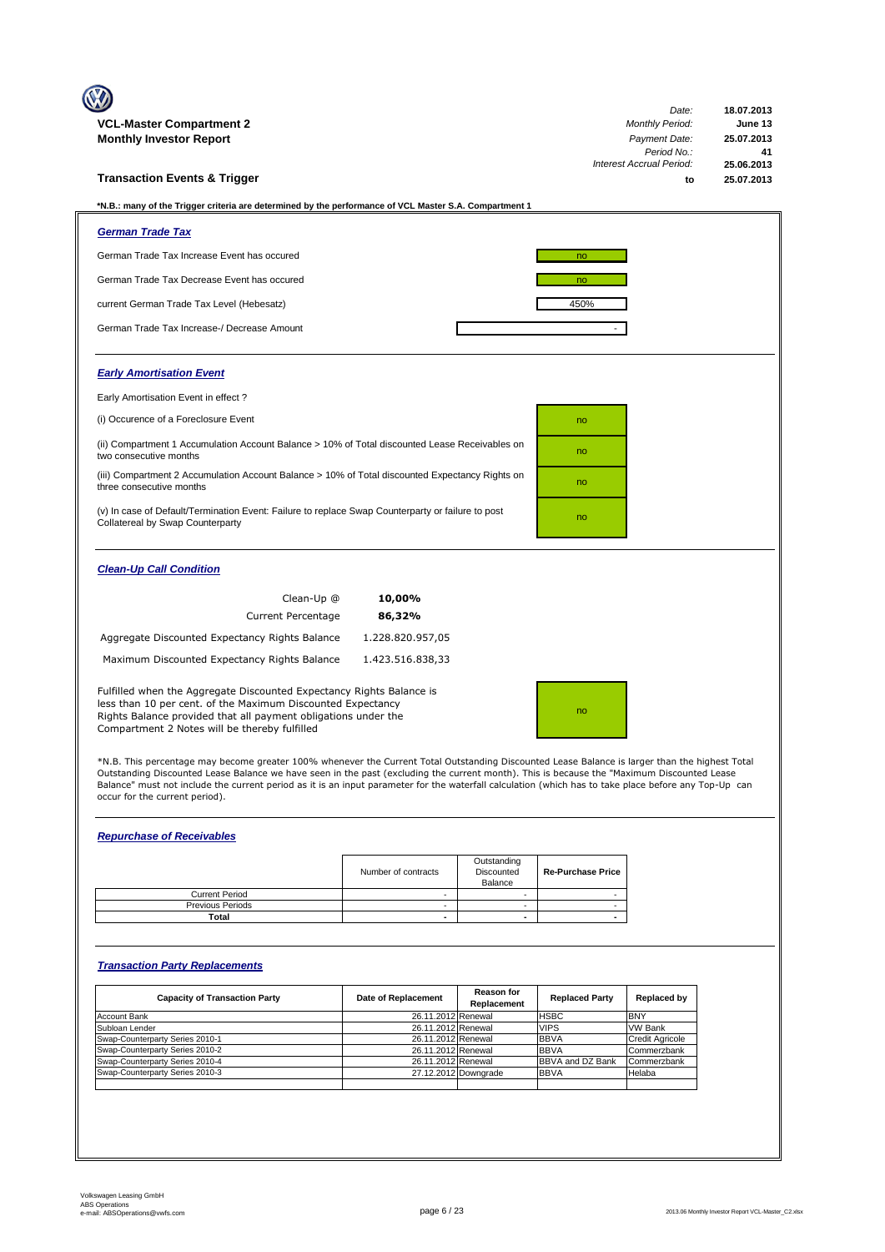| <b>VCL-Master Compartment 2</b>                                                                                                                                                                                                                        |                  | Date:<br><b>Monthly Period:</b> | 18.07.2013<br>June 13 |  |  |
|--------------------------------------------------------------------------------------------------------------------------------------------------------------------------------------------------------------------------------------------------------|------------------|---------------------------------|-----------------------|--|--|
| <b>Monthly Investor Report</b>                                                                                                                                                                                                                         |                  | Payment Date:                   | 25.07.2013            |  |  |
|                                                                                                                                                                                                                                                        |                  | Period No.:                     | 41                    |  |  |
|                                                                                                                                                                                                                                                        |                  | <b>Interest Accrual Period:</b> | 25.06.2013            |  |  |
| <b>Transaction Events &amp; Trigger</b>                                                                                                                                                                                                                |                  | to                              | 25.07.2013            |  |  |
| *N.B.: many of the Trigger criteria are determined by the performance of VCL Master S.A. Compartment 1                                                                                                                                                 |                  |                                 |                       |  |  |
| <b>German Trade Tax</b>                                                                                                                                                                                                                                |                  |                                 |                       |  |  |
| German Trade Tax Increase Event has occured                                                                                                                                                                                                            |                  | no                              |                       |  |  |
| German Trade Tax Decrease Event has occured                                                                                                                                                                                                            |                  | no                              |                       |  |  |
| current German Trade Tax Level (Hebesatz)                                                                                                                                                                                                              |                  | 450%                            |                       |  |  |
| German Trade Tax Increase-/ Decrease Amount                                                                                                                                                                                                            |                  |                                 |                       |  |  |
| <b>Early Amortisation Event</b>                                                                                                                                                                                                                        |                  |                                 |                       |  |  |
| Early Amortisation Event in effect?                                                                                                                                                                                                                    |                  |                                 |                       |  |  |
| (i) Occurence of a Foreclosure Event                                                                                                                                                                                                                   |                  | no                              |                       |  |  |
| (ii) Compartment 1 Accumulation Account Balance > 10% of Total discounted Lease Receivables on<br>two consecutive months                                                                                                                               |                  | no                              |                       |  |  |
| (iii) Compartment 2 Accumulation Account Balance > 10% of Total discounted Expectancy Rights on<br>three consecutive months                                                                                                                            |                  | no                              |                       |  |  |
| (v) In case of Default/Termination Event: Failure to replace Swap Counterparty or failure to post<br>Collatereal by Swap Counterparty                                                                                                                  |                  | no                              |                       |  |  |
| <b>Clean-Up Call Condition</b>                                                                                                                                                                                                                         |                  |                                 |                       |  |  |
| Clean-Up @                                                                                                                                                                                                                                             | 10,00%           |                                 |                       |  |  |
| <b>Current Percentage</b>                                                                                                                                                                                                                              | 86,32%           |                                 |                       |  |  |
| Aggregate Discounted Expectancy Rights Balance                                                                                                                                                                                                         | 1.228.820.957,05 |                                 |                       |  |  |
| Maximum Discounted Expectancy Rights Balance                                                                                                                                                                                                           | 1.423.516.838,33 |                                 |                       |  |  |
| Fulfilled when the Aggregate Discounted Expectancy Rights Balance is<br>less than 10 per cent. of the Maximum Discounted Expectancy<br>Rights Balance provided that all payment obligations under the<br>Compartment 2 Notes will be thereby fulfilled |                  | no                              |                       |  |  |

\*N.B. This percentage may become greater 100% whenever the Current Total Outstanding Discounted Lease Balance is larger than the highest Total<br>Outstanding Discounted Lease Balance we have seen in the past (excluding the cu Balance" must not include the current period as it is an input parameter for the waterfall calculation (which has to take place before any Top-Up can occur for the current period).

# *Repurchase of Receivables*

|                         | Number of contracts | Outstanding<br>Discounted<br>Balance | <b>Re-Purchase Price</b> |
|-------------------------|---------------------|--------------------------------------|--------------------------|
| <b>Current Period</b>   |                     |                                      |                          |
| <b>Previous Periods</b> |                     |                                      |                          |
| Total                   |                     |                                      |                          |

# *Transaction Party Replacements*

| <b>Capacity of Transaction Party</b> | Date of Replacement | <b>Reason for</b><br>Replacement | <b>Replaced Party</b>   | Replaced by            |
|--------------------------------------|---------------------|----------------------------------|-------------------------|------------------------|
| <b>Account Bank</b>                  | 26.11.2012 Renewal  |                                  | <b>HSBC</b>             | <b>BNY</b>             |
| Subloan Lender                       | 26.11.2012 Renewal  |                                  | <b>VIPS</b>             | <b>VW Bank</b>         |
| Swap-Counterparty Series 2010-1      | 26.11.2012 Renewal  |                                  | <b>BBVA</b>             | <b>Credit Agricole</b> |
| Swap-Counterparty Series 2010-2      | 26.11.2012 Renewal  |                                  | <b>BBVA</b>             | Commerzbank            |
| Swap-Counterparty Series 2010-4      | 26.11.2012 Renewal  |                                  | <b>BBVA and DZ Bank</b> | Commerzbank            |
| Swap-Counterparty Series 2010-3      |                     | 27.12.2012 Downgrade             | <b>BBVA</b>             | Helaba                 |
|                                      |                     |                                  |                         |                        |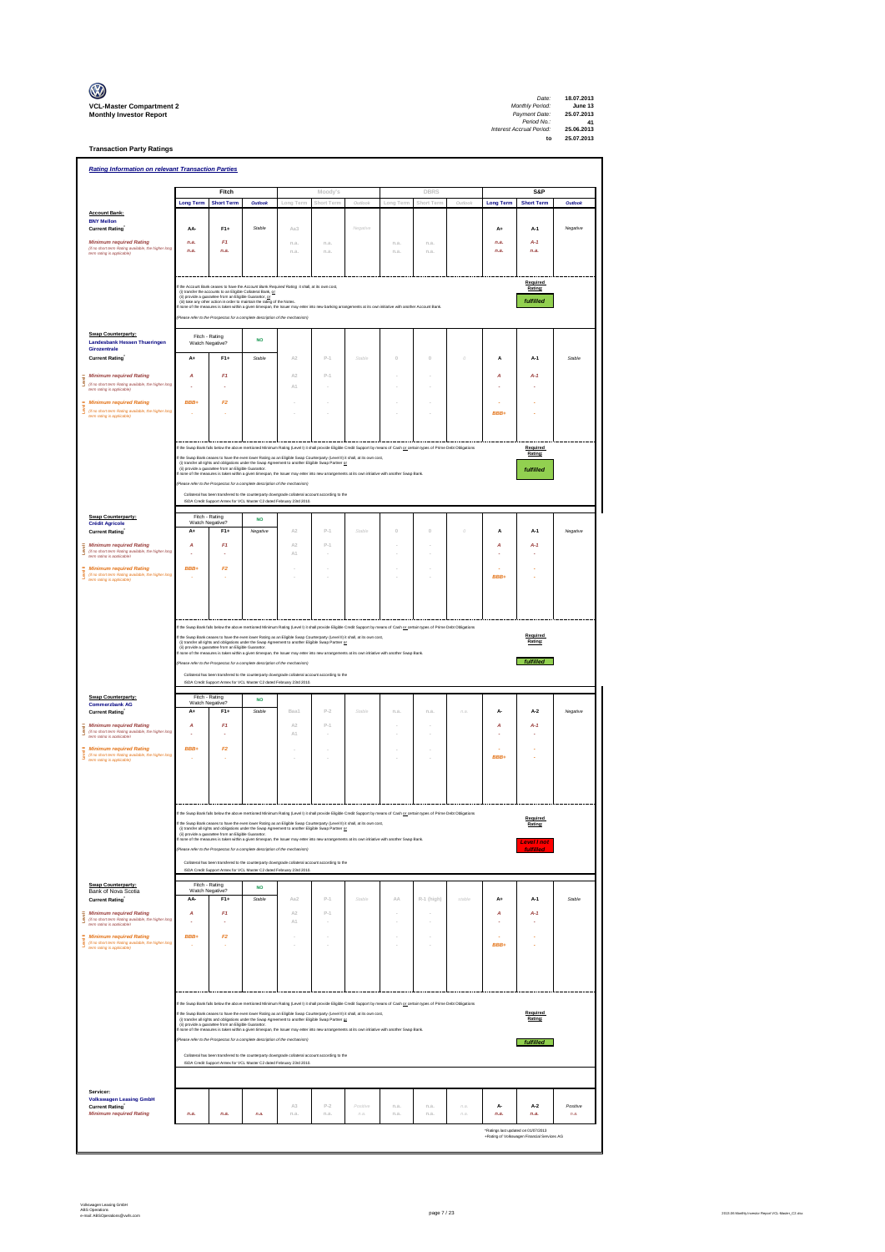| $\mathbb{C}$                                                      |
|-------------------------------------------------------------------|
| <b>VCL-Master Compartment</b> :<br><b>Monthly Investor Report</b> |

**Transaction Party Ratings**

| <b>Rating Information on relevant Transaction Parties</b><br>Fitch<br>Moody's<br><b>DBRS</b><br>S&P<br>Outlool<br>Outloo<br><b>Long Term</b><br><b>Short Term</b><br>Outlook<br><b>Long Term</b><br><b>Short Term</b><br>Outlook<br>ong Tern<br>Short Term<br>ong Tern<br><b>Account Bank:</b><br><b>BNY Mellon</b><br>AA-<br>$F1+$<br><b>Current Rating</b><br>Stable<br>Aa3<br>Negative<br>A+<br>A-1<br>Negative<br><b>Minimum required Rating</b><br>F1<br>$A-1$<br>n.a.<br>n.a.<br>n.a.<br>n.a.<br>n.a.<br>n.a.<br>(if no short term Rating available, the higher long<br>n.a.<br>n.a.<br>n.a.<br>n.a.<br>n.a.<br>n.a.<br>n.a.<br>n.a.<br>term rating is applicable)<br>Required<br>the Account Bank ceases to have the Account Bank Required Rating it shall, at its own cost<br>Rating:<br>(i) transfer the accounts to an Eligible Collateral Bank, or<br>(ii) provide a guarantee from an Eligible Guaranter, or<br>fulfilled<br>(ii) take any other action in order to maintain the rating of the Notes.<br>f none of the measures is taken within a given timespan, the Issuer may enter into new banking arrangements at its own initiative with another Account Bank<br>hase refer to the Prospectus for a complete description of the mechanism)<br>Swap Counterparty:<br>Fitch - Rating<br><b>NO</b><br><b>Landesbank Hessen Thueringen</b><br>Watch Negative?<br>Girozentrale<br>A2<br>$P-1$<br>$\mathbb O$<br><b>Current Rating</b><br>A+<br>$F1+$<br>Stable<br>Stable<br>$\theta$<br>$\dot{o}$<br>A<br>A-1<br>Stable<br><b>Minimum required Rating</b><br>F1<br>A2<br>$p_{-1}$<br>A<br>A<br>$A-1$<br>š<br>(if no short term Rating available, the higher long<br>A1<br>term rating is applicable)<br><b>Minimum required Rating</b><br>BBB+<br>F2<br>š<br>(if no short term Rating available, the higher long<br>term rating is applicable)<br>BBB+<br>If the Swap Bank falls below the above mentioned Minimum Rating (Level I) it shall provide Eligible Credit Support by means of Cash or certain types of Prime Debt Obligations<br>Required<br>Rating:<br>ip Bank ceases to have the even lower Rating as an Eligible Swap Counterparty (Level II) it shall, at its own cost,<br>the Sw<br>(i) transfer all rights and obligations under the Swap Agreement to another Eligible Swap Partner or<br>(ii) provide a guarantee from an Eligible Guarantor.<br>none of the measures is taken within a given timespan, the Issuer may enter into new arrangements at its own initiative with another Swap Bank.<br>fulfilled<br>se refer to the Prospectus for a complete description of the mechanism)<br>Collateral has been transfered to the counterparty downgrade collateral account according to the<br>ISDA Credit Support Annex for VCL Master C2 dated February 23rd 2010.<br>Fitch - Rating<br>Swap Counterparty:<br><b>NO</b><br>Watch Negative?<br><b>Crédit Agricole</b><br><b>Current Rating</b><br>$A+$<br>$F1+$<br>Negative<br>A2<br>$P-1$<br>Stable<br>$\Omega$<br>$\Omega$<br>$\theta$<br>A<br>$A-1$<br>Negative<br><b>Minimum required Rating</b><br>F1<br>A2<br>$p_{-1}$<br>A<br>A<br>$A-1$<br>š<br>(if no short term Rating available, the higher long<br>term rating is applicable)<br>A1<br>BBB+<br>F2<br><b>Minimum required Rating</b><br>(if no short term Rating available, the higher long<br>BBB+<br>term ration is annicable)<br>If the Swap Bank falls below the above mentioned Minimum Rating (Level I) it shall provide Eligible Credit Support by means of Cash or certain types of Prime Debt Obligations<br>Required<br>If the Swap Bank ceases to have the even lower Rating as an Eligible Swap Counterparty (Level II) it shall, at its own cost,<br>(i) transfer all rights and obligations under the Swap Agreement to another Eligible Swap Partner<br>Rating:<br>f none of the measures is taken within a given timespan, the Issuer may enter into new arrangements at its own initiative with another Swap Bank.<br>fulfilled<br>efer to the Prospectus for a complete description of the mechanism)<br>Collateral has been transfered to the counterparty downgrade collateral account according to the<br>ISDA Credit Support Annex for VCL Master C2 dated February 23rd 2010.<br>Fitch - Rating<br>Swap Counterparty:<br><b>NO</b><br>Watch Negative?<br><b>Commerzbank AG</b><br>$F1+$<br>$P-2$<br><b>Current Rating</b><br>$A+$<br>Stable<br>Baa1<br>Stable<br>n.a<br>n.a<br>na<br>А-<br>$A-2$<br>Negative<br><b>Minimum required Rating</b><br>A<br>F1<br>A2<br>$p_{-1}$<br>A<br>$A-1$<br>Ī<br>(if no short term Rating available, the higher long<br>A1<br>÷,<br>term rating is applicable)<br><b>Minimum required Rating</b><br>BBB+<br>F2<br>(if no short term Rating available, the higher long<br><b>BBB</b><br>term rating is applicable)<br>oned Minimum Rating (Level I) it shall provide Eligible Credit Support by means of Cash or certain types of Prime Debt Obliga<br>If the Swap Bank ceases to have the even lower Rating as an Eligible Swap Counterparty (Level II) it shall, at its own cost,<br>(i) transfer all rights and obligations under the Swap Agreement to another Eligible Swap Partner<br>Rating:<br>(ii) provide a guarantee from an Eligible Guaranter.<br>If none of the measures is taken within a given timespan, the Issuer may enter into new arrangements at its own initiative with another Swap Bank.<br><b>Level I not</b><br><b>fulfilled</b><br>(Please refer to the Prospectus for a complete description of the mechanism)<br>Collateral has been transfered to the counterparty downgrade collateral account according to the<br>ISDA Credit Support Annex for VCL Master C2 dated February 23rd 2010.<br>Fitch - Rating<br>Swap Counterparty:<br><b>NO</b><br>Watch Negative?<br>Bank of Nova Scotia<br>Current Rating<br>AA-<br>$F1+$<br>Stable<br>Aa2<br>$p_{-1}$<br>Stable<br>ΔA<br>R-1 (high)<br>stable<br>A+<br>$A-1$<br>Stable<br><b>Minimum required Rating</b><br>F1<br>$\mathbb{A}2$<br>$P-1$<br>A<br>A<br>$A-1$<br>š<br>(if no short term Rating available, the higher long<br>term rating is applicable)<br>A1<br>÷<br>÷,<br>BBB+<br><b>Minimum required Rating</b><br>F2<br>š<br>(if no short term Rating available, the higher long<br>BBB+<br>$\overline{\phantom{a}}$<br>term rating is applicable)<br>If the Swap Bank falls below the above mentioned Minimum Rating (Level I) it shall provide Eligible Credit Support by means of Cash or oetain types of Prime Debt Obligations<br>Required<br>f the Swap Bank ceases to have the even lower Rating as an Eligible Swap Counterparty (Level II) it shall, at its own cost,<br>Rating:<br>(i) transfer all rights and obigations under the Swap Agreement to another Eligible Swap Partner <u>or</u><br>(ii) provide a guarantee from an Eligible Guarantor.<br>none of the measures is taken within a given timespan, the Issuer m<br>Please refer to the Prospectus for a complete description of the mechanism)<br>fulfilled<br>Collateral has been transfered to the counterparty downgrade collateral account according to the<br>ISDA Credit Support Annex for VCL Master C2 dated February 23rd 2010.<br>Servicer:<br><b>Volkswagen Leasing GmbH</b><br>$P-2$<br><b>Current Rating</b><br>A3<br>Positive<br>n.a.<br>n.a.<br>n.a.<br>А-<br>$A-2$<br>Positive<br><b>Minimum required Rating</b><br>n.a.<br>n.a.<br>n.a.<br>n.a.<br>n.a.<br>$\it n.a.$<br>n.a.<br>n.a.<br>n.a.<br>n.a.<br>n.a.<br>n.a.<br>*Ratings last updated on 01/07/2013 |  |  |  |  |  |  |  |  |  |  |  |
|----------------------------------------------------------------------------------------------------------------------------------------------------------------------------------------------------------------------------------------------------------------------------------------------------------------------------------------------------------------------------------------------------------------------------------------------------------------------------------------------------------------------------------------------------------------------------------------------------------------------------------------------------------------------------------------------------------------------------------------------------------------------------------------------------------------------------------------------------------------------------------------------------------------------------------------------------------------------------------------------------------------------------------------------------------------------------------------------------------------------------------------------------------------------------------------------------------------------------------------------------------------------------------------------------------------------------------------------------------------------------------------------------------------------------------------------------------------------------------------------------------------------------------------------------------------------------------------------------------------------------------------------------------------------------------------------------------------------------------------------------------------------------------------------------------------------------------------------------------------------------------------------------------------------------------------------------------------------------------------------------------------------------------------------------------------------------------------------------------------------------------------------------------------------------------------------------------------------------------------------------------------------------------------------------------------------------------------------------------------------------------------------------------------------------------------------------------------------------------------------------------------------------------------------------------------------------------------------------------------------------------------------------------------------------------------------------------------------------------------------------------------------------------------------------------------------------------------------------------------------------------------------------------------------------------------------------------------------------------------------------------------------------------------------------------------------------------------------------------------------------------------------------------------------------------------------------------------------------------------------------------------------------------------------------------------------------------------------------------------------------------------------------------------------------------------------------------------------------------------------------------------------------------------------------------------------------------------------------------------------------------------------------------------------------------------------------------------------------------------------------------------------------------------------------------------------------------------------------------------------------------------------------------------------------------------------------------------------------------------------------------------------------------------------------------------------------------------------------------------------------------------------------------------------------------------------------------------------------------------------------------------------------------------------------------------------------------------------------------------------------------------------------------------------------------------------------------------------------------------------------------------------------------------------------------------------------------------------------------------------------------------------------------------------------------------------------------------------------------------------------------------------------------------------------------------------------------------------------------------------------------------------------------------------------------------------------------------------------------------------------------------------------------------------------------------------------------------------------------------------------------------------------------------------------------------------------------------------------------------------------------------------------------------------------------------------------------------------------------------------------------------------------------------------------------------------------------------------------------------------------------------------------------------------------------------------------------------------------------------------------------------------------------------------------------------------------------------------------------------------------------------------------------------------------------------------------------------------------------------------------------------------------------------------------------------------------------------------------------------------------------------------------------------------------------------------------------------------------------------------------------------------------------------------------------------------------------------------------------------------------------------------------------------------------------------------------------------------------------------------------------------------------------------------------------------------------------------------------------------------------------------------------------------------------------------------------------------------------------------------------------------------------------------------------------------------------------------------------------------------------------------------------------------------------------------------------------------------------------------------------------------------------------------------------------------------------------------------------------------------------------------------------------------------------------------------------------------------------------------------------------------------------------------------------------------------------------------------------------------------------------------------------------------------------------------------------------------------------------------------------------------------------------------------------------------------------------------------------------------------------------------------------------------------|--|--|--|--|--|--|--|--|--|--|--|
|                                                                                                                                                                                                                                                                                                                                                                                                                                                                                                                                                                                                                                                                                                                                                                                                                                                                                                                                                                                                                                                                                                                                                                                                                                                                                                                                                                                                                                                                                                                                                                                                                                                                                                                                                                                                                                                                                                                                                                                                                                                                                                                                                                                                                                                                                                                                                                                                                                                                                                                                                                                                                                                                                                                                                                                                                                                                                                                                                                                                                                                                                                                                                                                                                                                                                                                                                                                                                                                                                                                                                                                                                                                                                                                                                                                                                                                                                                                                                                                                                                                                                                                                                                                                                                                                                                                                                                                                                                                                                                                                                                                                                                                                                                                                                                                                                                                                                                                                                                                                                                                                                                                                                                                                                                                                                                                                                                                                                                                                                                                                                                                                                                                                                                                                                                                                                                                                                                                                                                                                                                                                                                                                                                                                                                                                                                                                                                                                                                                                                                                                                                                                                                                                                                                                                                                                                                                                                                                                                                                                                                                                                                                                                                                                                                                                                                                                                                                                                                                                                                                                              |  |  |  |  |  |  |  |  |  |  |  |
|                                                                                                                                                                                                                                                                                                                                                                                                                                                                                                                                                                                                                                                                                                                                                                                                                                                                                                                                                                                                                                                                                                                                                                                                                                                                                                                                                                                                                                                                                                                                                                                                                                                                                                                                                                                                                                                                                                                                                                                                                                                                                                                                                                                                                                                                                                                                                                                                                                                                                                                                                                                                                                                                                                                                                                                                                                                                                                                                                                                                                                                                                                                                                                                                                                                                                                                                                                                                                                                                                                                                                                                                                                                                                                                                                                                                                                                                                                                                                                                                                                                                                                                                                                                                                                                                                                                                                                                                                                                                                                                                                                                                                                                                                                                                                                                                                                                                                                                                                                                                                                                                                                                                                                                                                                                                                                                                                                                                                                                                                                                                                                                                                                                                                                                                                                                                                                                                                                                                                                                                                                                                                                                                                                                                                                                                                                                                                                                                                                                                                                                                                                                                                                                                                                                                                                                                                                                                                                                                                                                                                                                                                                                                                                                                                                                                                                                                                                                                                                                                                                                                              |  |  |  |  |  |  |  |  |  |  |  |
|                                                                                                                                                                                                                                                                                                                                                                                                                                                                                                                                                                                                                                                                                                                                                                                                                                                                                                                                                                                                                                                                                                                                                                                                                                                                                                                                                                                                                                                                                                                                                                                                                                                                                                                                                                                                                                                                                                                                                                                                                                                                                                                                                                                                                                                                                                                                                                                                                                                                                                                                                                                                                                                                                                                                                                                                                                                                                                                                                                                                                                                                                                                                                                                                                                                                                                                                                                                                                                                                                                                                                                                                                                                                                                                                                                                                                                                                                                                                                                                                                                                                                                                                                                                                                                                                                                                                                                                                                                                                                                                                                                                                                                                                                                                                                                                                                                                                                                                                                                                                                                                                                                                                                                                                                                                                                                                                                                                                                                                                                                                                                                                                                                                                                                                                                                                                                                                                                                                                                                                                                                                                                                                                                                                                                                                                                                                                                                                                                                                                                                                                                                                                                                                                                                                                                                                                                                                                                                                                                                                                                                                                                                                                                                                                                                                                                                                                                                                                                                                                                                                                              |  |  |  |  |  |  |  |  |  |  |  |
|                                                                                                                                                                                                                                                                                                                                                                                                                                                                                                                                                                                                                                                                                                                                                                                                                                                                                                                                                                                                                                                                                                                                                                                                                                                                                                                                                                                                                                                                                                                                                                                                                                                                                                                                                                                                                                                                                                                                                                                                                                                                                                                                                                                                                                                                                                                                                                                                                                                                                                                                                                                                                                                                                                                                                                                                                                                                                                                                                                                                                                                                                                                                                                                                                                                                                                                                                                                                                                                                                                                                                                                                                                                                                                                                                                                                                                                                                                                                                                                                                                                                                                                                                                                                                                                                                                                                                                                                                                                                                                                                                                                                                                                                                                                                                                                                                                                                                                                                                                                                                                                                                                                                                                                                                                                                                                                                                                                                                                                                                                                                                                                                                                                                                                                                                                                                                                                                                                                                                                                                                                                                                                                                                                                                                                                                                                                                                                                                                                                                                                                                                                                                                                                                                                                                                                                                                                                                                                                                                                                                                                                                                                                                                                                                                                                                                                                                                                                                                                                                                                                                              |  |  |  |  |  |  |  |  |  |  |  |
|                                                                                                                                                                                                                                                                                                                                                                                                                                                                                                                                                                                                                                                                                                                                                                                                                                                                                                                                                                                                                                                                                                                                                                                                                                                                                                                                                                                                                                                                                                                                                                                                                                                                                                                                                                                                                                                                                                                                                                                                                                                                                                                                                                                                                                                                                                                                                                                                                                                                                                                                                                                                                                                                                                                                                                                                                                                                                                                                                                                                                                                                                                                                                                                                                                                                                                                                                                                                                                                                                                                                                                                                                                                                                                                                                                                                                                                                                                                                                                                                                                                                                                                                                                                                                                                                                                                                                                                                                                                                                                                                                                                                                                                                                                                                                                                                                                                                                                                                                                                                                                                                                                                                                                                                                                                                                                                                                                                                                                                                                                                                                                                                                                                                                                                                                                                                                                                                                                                                                                                                                                                                                                                                                                                                                                                                                                                                                                                                                                                                                                                                                                                                                                                                                                                                                                                                                                                                                                                                                                                                                                                                                                                                                                                                                                                                                                                                                                                                                                                                                                                                              |  |  |  |  |  |  |  |  |  |  |  |
|                                                                                                                                                                                                                                                                                                                                                                                                                                                                                                                                                                                                                                                                                                                                                                                                                                                                                                                                                                                                                                                                                                                                                                                                                                                                                                                                                                                                                                                                                                                                                                                                                                                                                                                                                                                                                                                                                                                                                                                                                                                                                                                                                                                                                                                                                                                                                                                                                                                                                                                                                                                                                                                                                                                                                                                                                                                                                                                                                                                                                                                                                                                                                                                                                                                                                                                                                                                                                                                                                                                                                                                                                                                                                                                                                                                                                                                                                                                                                                                                                                                                                                                                                                                                                                                                                                                                                                                                                                                                                                                                                                                                                                                                                                                                                                                                                                                                                                                                                                                                                                                                                                                                                                                                                                                                                                                                                                                                                                                                                                                                                                                                                                                                                                                                                                                                                                                                                                                                                                                                                                                                                                                                                                                                                                                                                                                                                                                                                                                                                                                                                                                                                                                                                                                                                                                                                                                                                                                                                                                                                                                                                                                                                                                                                                                                                                                                                                                                                                                                                                                                              |  |  |  |  |  |  |  |  |  |  |  |
|                                                                                                                                                                                                                                                                                                                                                                                                                                                                                                                                                                                                                                                                                                                                                                                                                                                                                                                                                                                                                                                                                                                                                                                                                                                                                                                                                                                                                                                                                                                                                                                                                                                                                                                                                                                                                                                                                                                                                                                                                                                                                                                                                                                                                                                                                                                                                                                                                                                                                                                                                                                                                                                                                                                                                                                                                                                                                                                                                                                                                                                                                                                                                                                                                                                                                                                                                                                                                                                                                                                                                                                                                                                                                                                                                                                                                                                                                                                                                                                                                                                                                                                                                                                                                                                                                                                                                                                                                                                                                                                                                                                                                                                                                                                                                                                                                                                                                                                                                                                                                                                                                                                                                                                                                                                                                                                                                                                                                                                                                                                                                                                                                                                                                                                                                                                                                                                                                                                                                                                                                                                                                                                                                                                                                                                                                                                                                                                                                                                                                                                                                                                                                                                                                                                                                                                                                                                                                                                                                                                                                                                                                                                                                                                                                                                                                                                                                                                                                                                                                                                                              |  |  |  |  |  |  |  |  |  |  |  |
|                                                                                                                                                                                                                                                                                                                                                                                                                                                                                                                                                                                                                                                                                                                                                                                                                                                                                                                                                                                                                                                                                                                                                                                                                                                                                                                                                                                                                                                                                                                                                                                                                                                                                                                                                                                                                                                                                                                                                                                                                                                                                                                                                                                                                                                                                                                                                                                                                                                                                                                                                                                                                                                                                                                                                                                                                                                                                                                                                                                                                                                                                                                                                                                                                                                                                                                                                                                                                                                                                                                                                                                                                                                                                                                                                                                                                                                                                                                                                                                                                                                                                                                                                                                                                                                                                                                                                                                                                                                                                                                                                                                                                                                                                                                                                                                                                                                                                                                                                                                                                                                                                                                                                                                                                                                                                                                                                                                                                                                                                                                                                                                                                                                                                                                                                                                                                                                                                                                                                                                                                                                                                                                                                                                                                                                                                                                                                                                                                                                                                                                                                                                                                                                                                                                                                                                                                                                                                                                                                                                                                                                                                                                                                                                                                                                                                                                                                                                                                                                                                                                                              |  |  |  |  |  |  |  |  |  |  |  |
|                                                                                                                                                                                                                                                                                                                                                                                                                                                                                                                                                                                                                                                                                                                                                                                                                                                                                                                                                                                                                                                                                                                                                                                                                                                                                                                                                                                                                                                                                                                                                                                                                                                                                                                                                                                                                                                                                                                                                                                                                                                                                                                                                                                                                                                                                                                                                                                                                                                                                                                                                                                                                                                                                                                                                                                                                                                                                                                                                                                                                                                                                                                                                                                                                                                                                                                                                                                                                                                                                                                                                                                                                                                                                                                                                                                                                                                                                                                                                                                                                                                                                                                                                                                                                                                                                                                                                                                                                                                                                                                                                                                                                                                                                                                                                                                                                                                                                                                                                                                                                                                                                                                                                                                                                                                                                                                                                                                                                                                                                                                                                                                                                                                                                                                                                                                                                                                                                                                                                                                                                                                                                                                                                                                                                                                                                                                                                                                                                                                                                                                                                                                                                                                                                                                                                                                                                                                                                                                                                                                                                                                                                                                                                                                                                                                                                                                                                                                                                                                                                                                                              |  |  |  |  |  |  |  |  |  |  |  |
|                                                                                                                                                                                                                                                                                                                                                                                                                                                                                                                                                                                                                                                                                                                                                                                                                                                                                                                                                                                                                                                                                                                                                                                                                                                                                                                                                                                                                                                                                                                                                                                                                                                                                                                                                                                                                                                                                                                                                                                                                                                                                                                                                                                                                                                                                                                                                                                                                                                                                                                                                                                                                                                                                                                                                                                                                                                                                                                                                                                                                                                                                                                                                                                                                                                                                                                                                                                                                                                                                                                                                                                                                                                                                                                                                                                                                                                                                                                                                                                                                                                                                                                                                                                                                                                                                                                                                                                                                                                                                                                                                                                                                                                                                                                                                                                                                                                                                                                                                                                                                                                                                                                                                                                                                                                                                                                                                                                                                                                                                                                                                                                                                                                                                                                                                                                                                                                                                                                                                                                                                                                                                                                                                                                                                                                                                                                                                                                                                                                                                                                                                                                                                                                                                                                                                                                                                                                                                                                                                                                                                                                                                                                                                                                                                                                                                                                                                                                                                                                                                                                                              |  |  |  |  |  |  |  |  |  |  |  |
|                                                                                                                                                                                                                                                                                                                                                                                                                                                                                                                                                                                                                                                                                                                                                                                                                                                                                                                                                                                                                                                                                                                                                                                                                                                                                                                                                                                                                                                                                                                                                                                                                                                                                                                                                                                                                                                                                                                                                                                                                                                                                                                                                                                                                                                                                                                                                                                                                                                                                                                                                                                                                                                                                                                                                                                                                                                                                                                                                                                                                                                                                                                                                                                                                                                                                                                                                                                                                                                                                                                                                                                                                                                                                                                                                                                                                                                                                                                                                                                                                                                                                                                                                                                                                                                                                                                                                                                                                                                                                                                                                                                                                                                                                                                                                                                                                                                                                                                                                                                                                                                                                                                                                                                                                                                                                                                                                                                                                                                                                                                                                                                                                                                                                                                                                                                                                                                                                                                                                                                                                                                                                                                                                                                                                                                                                                                                                                                                                                                                                                                                                                                                                                                                                                                                                                                                                                                                                                                                                                                                                                                                                                                                                                                                                                                                                                                                                                                                                                                                                                                                              |  |  |  |  |  |  |  |  |  |  |  |
|                                                                                                                                                                                                                                                                                                                                                                                                                                                                                                                                                                                                                                                                                                                                                                                                                                                                                                                                                                                                                                                                                                                                                                                                                                                                                                                                                                                                                                                                                                                                                                                                                                                                                                                                                                                                                                                                                                                                                                                                                                                                                                                                                                                                                                                                                                                                                                                                                                                                                                                                                                                                                                                                                                                                                                                                                                                                                                                                                                                                                                                                                                                                                                                                                                                                                                                                                                                                                                                                                                                                                                                                                                                                                                                                                                                                                                                                                                                                                                                                                                                                                                                                                                                                                                                                                                                                                                                                                                                                                                                                                                                                                                                                                                                                                                                                                                                                                                                                                                                                                                                                                                                                                                                                                                                                                                                                                                                                                                                                                                                                                                                                                                                                                                                                                                                                                                                                                                                                                                                                                                                                                                                                                                                                                                                                                                                                                                                                                                                                                                                                                                                                                                                                                                                                                                                                                                                                                                                                                                                                                                                                                                                                                                                                                                                                                                                                                                                                                                                                                                                                              |  |  |  |  |  |  |  |  |  |  |  |
|                                                                                                                                                                                                                                                                                                                                                                                                                                                                                                                                                                                                                                                                                                                                                                                                                                                                                                                                                                                                                                                                                                                                                                                                                                                                                                                                                                                                                                                                                                                                                                                                                                                                                                                                                                                                                                                                                                                                                                                                                                                                                                                                                                                                                                                                                                                                                                                                                                                                                                                                                                                                                                                                                                                                                                                                                                                                                                                                                                                                                                                                                                                                                                                                                                                                                                                                                                                                                                                                                                                                                                                                                                                                                                                                                                                                                                                                                                                                                                                                                                                                                                                                                                                                                                                                                                                                                                                                                                                                                                                                                                                                                                                                                                                                                                                                                                                                                                                                                                                                                                                                                                                                                                                                                                                                                                                                                                                                                                                                                                                                                                                                                                                                                                                                                                                                                                                                                                                                                                                                                                                                                                                                                                                                                                                                                                                                                                                                                                                                                                                                                                                                                                                                                                                                                                                                                                                                                                                                                                                                                                                                                                                                                                                                                                                                                                                                                                                                                                                                                                                                              |  |  |  |  |  |  |  |  |  |  |  |
|                                                                                                                                                                                                                                                                                                                                                                                                                                                                                                                                                                                                                                                                                                                                                                                                                                                                                                                                                                                                                                                                                                                                                                                                                                                                                                                                                                                                                                                                                                                                                                                                                                                                                                                                                                                                                                                                                                                                                                                                                                                                                                                                                                                                                                                                                                                                                                                                                                                                                                                                                                                                                                                                                                                                                                                                                                                                                                                                                                                                                                                                                                                                                                                                                                                                                                                                                                                                                                                                                                                                                                                                                                                                                                                                                                                                                                                                                                                                                                                                                                                                                                                                                                                                                                                                                                                                                                                                                                                                                                                                                                                                                                                                                                                                                                                                                                                                                                                                                                                                                                                                                                                                                                                                                                                                                                                                                                                                                                                                                                                                                                                                                                                                                                                                                                                                                                                                                                                                                                                                                                                                                                                                                                                                                                                                                                                                                                                                                                                                                                                                                                                                                                                                                                                                                                                                                                                                                                                                                                                                                                                                                                                                                                                                                                                                                                                                                                                                                                                                                                                                              |  |  |  |  |  |  |  |  |  |  |  |
|                                                                                                                                                                                                                                                                                                                                                                                                                                                                                                                                                                                                                                                                                                                                                                                                                                                                                                                                                                                                                                                                                                                                                                                                                                                                                                                                                                                                                                                                                                                                                                                                                                                                                                                                                                                                                                                                                                                                                                                                                                                                                                                                                                                                                                                                                                                                                                                                                                                                                                                                                                                                                                                                                                                                                                                                                                                                                                                                                                                                                                                                                                                                                                                                                                                                                                                                                                                                                                                                                                                                                                                                                                                                                                                                                                                                                                                                                                                                                                                                                                                                                                                                                                                                                                                                                                                                                                                                                                                                                                                                                                                                                                                                                                                                                                                                                                                                                                                                                                                                                                                                                                                                                                                                                                                                                                                                                                                                                                                                                                                                                                                                                                                                                                                                                                                                                                                                                                                                                                                                                                                                                                                                                                                                                                                                                                                                                                                                                                                                                                                                                                                                                                                                                                                                                                                                                                                                                                                                                                                                                                                                                                                                                                                                                                                                                                                                                                                                                                                                                                                                              |  |  |  |  |  |  |  |  |  |  |  |
|                                                                                                                                                                                                                                                                                                                                                                                                                                                                                                                                                                                                                                                                                                                                                                                                                                                                                                                                                                                                                                                                                                                                                                                                                                                                                                                                                                                                                                                                                                                                                                                                                                                                                                                                                                                                                                                                                                                                                                                                                                                                                                                                                                                                                                                                                                                                                                                                                                                                                                                                                                                                                                                                                                                                                                                                                                                                                                                                                                                                                                                                                                                                                                                                                                                                                                                                                                                                                                                                                                                                                                                                                                                                                                                                                                                                                                                                                                                                                                                                                                                                                                                                                                                                                                                                                                                                                                                                                                                                                                                                                                                                                                                                                                                                                                                                                                                                                                                                                                                                                                                                                                                                                                                                                                                                                                                                                                                                                                                                                                                                                                                                                                                                                                                                                                                                                                                                                                                                                                                                                                                                                                                                                                                                                                                                                                                                                                                                                                                                                                                                                                                                                                                                                                                                                                                                                                                                                                                                                                                                                                                                                                                                                                                                                                                                                                                                                                                                                                                                                                                                              |  |  |  |  |  |  |  |  |  |  |  |
|                                                                                                                                                                                                                                                                                                                                                                                                                                                                                                                                                                                                                                                                                                                                                                                                                                                                                                                                                                                                                                                                                                                                                                                                                                                                                                                                                                                                                                                                                                                                                                                                                                                                                                                                                                                                                                                                                                                                                                                                                                                                                                                                                                                                                                                                                                                                                                                                                                                                                                                                                                                                                                                                                                                                                                                                                                                                                                                                                                                                                                                                                                                                                                                                                                                                                                                                                                                                                                                                                                                                                                                                                                                                                                                                                                                                                                                                                                                                                                                                                                                                                                                                                                                                                                                                                                                                                                                                                                                                                                                                                                                                                                                                                                                                                                                                                                                                                                                                                                                                                                                                                                                                                                                                                                                                                                                                                                                                                                                                                                                                                                                                                                                                                                                                                                                                                                                                                                                                                                                                                                                                                                                                                                                                                                                                                                                                                                                                                                                                                                                                                                                                                                                                                                                                                                                                                                                                                                                                                                                                                                                                                                                                                                                                                                                                                                                                                                                                                                                                                                                                              |  |  |  |  |  |  |  |  |  |  |  |
|                                                                                                                                                                                                                                                                                                                                                                                                                                                                                                                                                                                                                                                                                                                                                                                                                                                                                                                                                                                                                                                                                                                                                                                                                                                                                                                                                                                                                                                                                                                                                                                                                                                                                                                                                                                                                                                                                                                                                                                                                                                                                                                                                                                                                                                                                                                                                                                                                                                                                                                                                                                                                                                                                                                                                                                                                                                                                                                                                                                                                                                                                                                                                                                                                                                                                                                                                                                                                                                                                                                                                                                                                                                                                                                                                                                                                                                                                                                                                                                                                                                                                                                                                                                                                                                                                                                                                                                                                                                                                                                                                                                                                                                                                                                                                                                                                                                                                                                                                                                                                                                                                                                                                                                                                                                                                                                                                                                                                                                                                                                                                                                                                                                                                                                                                                                                                                                                                                                                                                                                                                                                                                                                                                                                                                                                                                                                                                                                                                                                                                                                                                                                                                                                                                                                                                                                                                                                                                                                                                                                                                                                                                                                                                                                                                                                                                                                                                                                                                                                                                                                              |  |  |  |  |  |  |  |  |  |  |  |
|                                                                                                                                                                                                                                                                                                                                                                                                                                                                                                                                                                                                                                                                                                                                                                                                                                                                                                                                                                                                                                                                                                                                                                                                                                                                                                                                                                                                                                                                                                                                                                                                                                                                                                                                                                                                                                                                                                                                                                                                                                                                                                                                                                                                                                                                                                                                                                                                                                                                                                                                                                                                                                                                                                                                                                                                                                                                                                                                                                                                                                                                                                                                                                                                                                                                                                                                                                                                                                                                                                                                                                                                                                                                                                                                                                                                                                                                                                                                                                                                                                                                                                                                                                                                                                                                                                                                                                                                                                                                                                                                                                                                                                                                                                                                                                                                                                                                                                                                                                                                                                                                                                                                                                                                                                                                                                                                                                                                                                                                                                                                                                                                                                                                                                                                                                                                                                                                                                                                                                                                                                                                                                                                                                                                                                                                                                                                                                                                                                                                                                                                                                                                                                                                                                                                                                                                                                                                                                                                                                                                                                                                                                                                                                                                                                                                                                                                                                                                                                                                                                                                              |  |  |  |  |  |  |  |  |  |  |  |
|                                                                                                                                                                                                                                                                                                                                                                                                                                                                                                                                                                                                                                                                                                                                                                                                                                                                                                                                                                                                                                                                                                                                                                                                                                                                                                                                                                                                                                                                                                                                                                                                                                                                                                                                                                                                                                                                                                                                                                                                                                                                                                                                                                                                                                                                                                                                                                                                                                                                                                                                                                                                                                                                                                                                                                                                                                                                                                                                                                                                                                                                                                                                                                                                                                                                                                                                                                                                                                                                                                                                                                                                                                                                                                                                                                                                                                                                                                                                                                                                                                                                                                                                                                                                                                                                                                                                                                                                                                                                                                                                                                                                                                                                                                                                                                                                                                                                                                                                                                                                                                                                                                                                                                                                                                                                                                                                                                                                                                                                                                                                                                                                                                                                                                                                                                                                                                                                                                                                                                                                                                                                                                                                                                                                                                                                                                                                                                                                                                                                                                                                                                                                                                                                                                                                                                                                                                                                                                                                                                                                                                                                                                                                                                                                                                                                                                                                                                                                                                                                                                                                              |  |  |  |  |  |  |  |  |  |  |  |
|                                                                                                                                                                                                                                                                                                                                                                                                                                                                                                                                                                                                                                                                                                                                                                                                                                                                                                                                                                                                                                                                                                                                                                                                                                                                                                                                                                                                                                                                                                                                                                                                                                                                                                                                                                                                                                                                                                                                                                                                                                                                                                                                                                                                                                                                                                                                                                                                                                                                                                                                                                                                                                                                                                                                                                                                                                                                                                                                                                                                                                                                                                                                                                                                                                                                                                                                                                                                                                                                                                                                                                                                                                                                                                                                                                                                                                                                                                                                                                                                                                                                                                                                                                                                                                                                                                                                                                                                                                                                                                                                                                                                                                                                                                                                                                                                                                                                                                                                                                                                                                                                                                                                                                                                                                                                                                                                                                                                                                                                                                                                                                                                                                                                                                                                                                                                                                                                                                                                                                                                                                                                                                                                                                                                                                                                                                                                                                                                                                                                                                                                                                                                                                                                                                                                                                                                                                                                                                                                                                                                                                                                                                                                                                                                                                                                                                                                                                                                                                                                                                                                              |  |  |  |  |  |  |  |  |  |  |  |
|                                                                                                                                                                                                                                                                                                                                                                                                                                                                                                                                                                                                                                                                                                                                                                                                                                                                                                                                                                                                                                                                                                                                                                                                                                                                                                                                                                                                                                                                                                                                                                                                                                                                                                                                                                                                                                                                                                                                                                                                                                                                                                                                                                                                                                                                                                                                                                                                                                                                                                                                                                                                                                                                                                                                                                                                                                                                                                                                                                                                                                                                                                                                                                                                                                                                                                                                                                                                                                                                                                                                                                                                                                                                                                                                                                                                                                                                                                                                                                                                                                                                                                                                                                                                                                                                                                                                                                                                                                                                                                                                                                                                                                                                                                                                                                                                                                                                                                                                                                                                                                                                                                                                                                                                                                                                                                                                                                                                                                                                                                                                                                                                                                                                                                                                                                                                                                                                                                                                                                                                                                                                                                                                                                                                                                                                                                                                                                                                                                                                                                                                                                                                                                                                                                                                                                                                                                                                                                                                                                                                                                                                                                                                                                                                                                                                                                                                                                                                                                                                                                                                              |  |  |  |  |  |  |  |  |  |  |  |
|                                                                                                                                                                                                                                                                                                                                                                                                                                                                                                                                                                                                                                                                                                                                                                                                                                                                                                                                                                                                                                                                                                                                                                                                                                                                                                                                                                                                                                                                                                                                                                                                                                                                                                                                                                                                                                                                                                                                                                                                                                                                                                                                                                                                                                                                                                                                                                                                                                                                                                                                                                                                                                                                                                                                                                                                                                                                                                                                                                                                                                                                                                                                                                                                                                                                                                                                                                                                                                                                                                                                                                                                                                                                                                                                                                                                                                                                                                                                                                                                                                                                                                                                                                                                                                                                                                                                                                                                                                                                                                                                                                                                                                                                                                                                                                                                                                                                                                                                                                                                                                                                                                                                                                                                                                                                                                                                                                                                                                                                                                                                                                                                                                                                                                                                                                                                                                                                                                                                                                                                                                                                                                                                                                                                                                                                                                                                                                                                                                                                                                                                                                                                                                                                                                                                                                                                                                                                                                                                                                                                                                                                                                                                                                                                                                                                                                                                                                                                                                                                                                                                              |  |  |  |  |  |  |  |  |  |  |  |
|                                                                                                                                                                                                                                                                                                                                                                                                                                                                                                                                                                                                                                                                                                                                                                                                                                                                                                                                                                                                                                                                                                                                                                                                                                                                                                                                                                                                                                                                                                                                                                                                                                                                                                                                                                                                                                                                                                                                                                                                                                                                                                                                                                                                                                                                                                                                                                                                                                                                                                                                                                                                                                                                                                                                                                                                                                                                                                                                                                                                                                                                                                                                                                                                                                                                                                                                                                                                                                                                                                                                                                                                                                                                                                                                                                                                                                                                                                                                                                                                                                                                                                                                                                                                                                                                                                                                                                                                                                                                                                                                                                                                                                                                                                                                                                                                                                                                                                                                                                                                                                                                                                                                                                                                                                                                                                                                                                                                                                                                                                                                                                                                                                                                                                                                                                                                                                                                                                                                                                                                                                                                                                                                                                                                                                                                                                                                                                                                                                                                                                                                                                                                                                                                                                                                                                                                                                                                                                                                                                                                                                                                                                                                                                                                                                                                                                                                                                                                                                                                                                                                              |  |  |  |  |  |  |  |  |  |  |  |
|                                                                                                                                                                                                                                                                                                                                                                                                                                                                                                                                                                                                                                                                                                                                                                                                                                                                                                                                                                                                                                                                                                                                                                                                                                                                                                                                                                                                                                                                                                                                                                                                                                                                                                                                                                                                                                                                                                                                                                                                                                                                                                                                                                                                                                                                                                                                                                                                                                                                                                                                                                                                                                                                                                                                                                                                                                                                                                                                                                                                                                                                                                                                                                                                                                                                                                                                                                                                                                                                                                                                                                                                                                                                                                                                                                                                                                                                                                                                                                                                                                                                                                                                                                                                                                                                                                                                                                                                                                                                                                                                                                                                                                                                                                                                                                                                                                                                                                                                                                                                                                                                                                                                                                                                                                                                                                                                                                                                                                                                                                                                                                                                                                                                                                                                                                                                                                                                                                                                                                                                                                                                                                                                                                                                                                                                                                                                                                                                                                                                                                                                                                                                                                                                                                                                                                                                                                                                                                                                                                                                                                                                                                                                                                                                                                                                                                                                                                                                                                                                                                                                              |  |  |  |  |  |  |  |  |  |  |  |
|                                                                                                                                                                                                                                                                                                                                                                                                                                                                                                                                                                                                                                                                                                                                                                                                                                                                                                                                                                                                                                                                                                                                                                                                                                                                                                                                                                                                                                                                                                                                                                                                                                                                                                                                                                                                                                                                                                                                                                                                                                                                                                                                                                                                                                                                                                                                                                                                                                                                                                                                                                                                                                                                                                                                                                                                                                                                                                                                                                                                                                                                                                                                                                                                                                                                                                                                                                                                                                                                                                                                                                                                                                                                                                                                                                                                                                                                                                                                                                                                                                                                                                                                                                                                                                                                                                                                                                                                                                                                                                                                                                                                                                                                                                                                                                                                                                                                                                                                                                                                                                                                                                                                                                                                                                                                                                                                                                                                                                                                                                                                                                                                                                                                                                                                                                                                                                                                                                                                                                                                                                                                                                                                                                                                                                                                                                                                                                                                                                                                                                                                                                                                                                                                                                                                                                                                                                                                                                                                                                                                                                                                                                                                                                                                                                                                                                                                                                                                                                                                                                                                              |  |  |  |  |  |  |  |  |  |  |  |
|                                                                                                                                                                                                                                                                                                                                                                                                                                                                                                                                                                                                                                                                                                                                                                                                                                                                                                                                                                                                                                                                                                                                                                                                                                                                                                                                                                                                                                                                                                                                                                                                                                                                                                                                                                                                                                                                                                                                                                                                                                                                                                                                                                                                                                                                                                                                                                                                                                                                                                                                                                                                                                                                                                                                                                                                                                                                                                                                                                                                                                                                                                                                                                                                                                                                                                                                                                                                                                                                                                                                                                                                                                                                                                                                                                                                                                                                                                                                                                                                                                                                                                                                                                                                                                                                                                                                                                                                                                                                                                                                                                                                                                                                                                                                                                                                                                                                                                                                                                                                                                                                                                                                                                                                                                                                                                                                                                                                                                                                                                                                                                                                                                                                                                                                                                                                                                                                                                                                                                                                                                                                                                                                                                                                                                                                                                                                                                                                                                                                                                                                                                                                                                                                                                                                                                                                                                                                                                                                                                                                                                                                                                                                                                                                                                                                                                                                                                                                                                                                                                                                              |  |  |  |  |  |  |  |  |  |  |  |
|                                                                                                                                                                                                                                                                                                                                                                                                                                                                                                                                                                                                                                                                                                                                                                                                                                                                                                                                                                                                                                                                                                                                                                                                                                                                                                                                                                                                                                                                                                                                                                                                                                                                                                                                                                                                                                                                                                                                                                                                                                                                                                                                                                                                                                                                                                                                                                                                                                                                                                                                                                                                                                                                                                                                                                                                                                                                                                                                                                                                                                                                                                                                                                                                                                                                                                                                                                                                                                                                                                                                                                                                                                                                                                                                                                                                                                                                                                                                                                                                                                                                                                                                                                                                                                                                                                                                                                                                                                                                                                                                                                                                                                                                                                                                                                                                                                                                                                                                                                                                                                                                                                                                                                                                                                                                                                                                                                                                                                                                                                                                                                                                                                                                                                                                                                                                                                                                                                                                                                                                                                                                                                                                                                                                                                                                                                                                                                                                                                                                                                                                                                                                                                                                                                                                                                                                                                                                                                                                                                                                                                                                                                                                                                                                                                                                                                                                                                                                                                                                                                                                              |  |  |  |  |  |  |  |  |  |  |  |
|                                                                                                                                                                                                                                                                                                                                                                                                                                                                                                                                                                                                                                                                                                                                                                                                                                                                                                                                                                                                                                                                                                                                                                                                                                                                                                                                                                                                                                                                                                                                                                                                                                                                                                                                                                                                                                                                                                                                                                                                                                                                                                                                                                                                                                                                                                                                                                                                                                                                                                                                                                                                                                                                                                                                                                                                                                                                                                                                                                                                                                                                                                                                                                                                                                                                                                                                                                                                                                                                                                                                                                                                                                                                                                                                                                                                                                                                                                                                                                                                                                                                                                                                                                                                                                                                                                                                                                                                                                                                                                                                                                                                                                                                                                                                                                                                                                                                                                                                                                                                                                                                                                                                                                                                                                                                                                                                                                                                                                                                                                                                                                                                                                                                                                                                                                                                                                                                                                                                                                                                                                                                                                                                                                                                                                                                                                                                                                                                                                                                                                                                                                                                                                                                                                                                                                                                                                                                                                                                                                                                                                                                                                                                                                                                                                                                                                                                                                                                                                                                                                                                              |  |  |  |  |  |  |  |  |  |  |  |
|                                                                                                                                                                                                                                                                                                                                                                                                                                                                                                                                                                                                                                                                                                                                                                                                                                                                                                                                                                                                                                                                                                                                                                                                                                                                                                                                                                                                                                                                                                                                                                                                                                                                                                                                                                                                                                                                                                                                                                                                                                                                                                                                                                                                                                                                                                                                                                                                                                                                                                                                                                                                                                                                                                                                                                                                                                                                                                                                                                                                                                                                                                                                                                                                                                                                                                                                                                                                                                                                                                                                                                                                                                                                                                                                                                                                                                                                                                                                                                                                                                                                                                                                                                                                                                                                                                                                                                                                                                                                                                                                                                                                                                                                                                                                                                                                                                                                                                                                                                                                                                                                                                                                                                                                                                                                                                                                                                                                                                                                                                                                                                                                                                                                                                                                                                                                                                                                                                                                                                                                                                                                                                                                                                                                                                                                                                                                                                                                                                                                                                                                                                                                                                                                                                                                                                                                                                                                                                                                                                                                                                                                                                                                                                                                                                                                                                                                                                                                                                                                                                                                              |  |  |  |  |  |  |  |  |  |  |  |
|                                                                                                                                                                                                                                                                                                                                                                                                                                                                                                                                                                                                                                                                                                                                                                                                                                                                                                                                                                                                                                                                                                                                                                                                                                                                                                                                                                                                                                                                                                                                                                                                                                                                                                                                                                                                                                                                                                                                                                                                                                                                                                                                                                                                                                                                                                                                                                                                                                                                                                                                                                                                                                                                                                                                                                                                                                                                                                                                                                                                                                                                                                                                                                                                                                                                                                                                                                                                                                                                                                                                                                                                                                                                                                                                                                                                                                                                                                                                                                                                                                                                                                                                                                                                                                                                                                                                                                                                                                                                                                                                                                                                                                                                                                                                                                                                                                                                                                                                                                                                                                                                                                                                                                                                                                                                                                                                                                                                                                                                                                                                                                                                                                                                                                                                                                                                                                                                                                                                                                                                                                                                                                                                                                                                                                                                                                                                                                                                                                                                                                                                                                                                                                                                                                                                                                                                                                                                                                                                                                                                                                                                                                                                                                                                                                                                                                                                                                                                                                                                                                                                              |  |  |  |  |  |  |  |  |  |  |  |
|                                                                                                                                                                                                                                                                                                                                                                                                                                                                                                                                                                                                                                                                                                                                                                                                                                                                                                                                                                                                                                                                                                                                                                                                                                                                                                                                                                                                                                                                                                                                                                                                                                                                                                                                                                                                                                                                                                                                                                                                                                                                                                                                                                                                                                                                                                                                                                                                                                                                                                                                                                                                                                                                                                                                                                                                                                                                                                                                                                                                                                                                                                                                                                                                                                                                                                                                                                                                                                                                                                                                                                                                                                                                                                                                                                                                                                                                                                                                                                                                                                                                                                                                                                                                                                                                                                                                                                                                                                                                                                                                                                                                                                                                                                                                                                                                                                                                                                                                                                                                                                                                                                                                                                                                                                                                                                                                                                                                                                                                                                                                                                                                                                                                                                                                                                                                                                                                                                                                                                                                                                                                                                                                                                                                                                                                                                                                                                                                                                                                                                                                                                                                                                                                                                                                                                                                                                                                                                                                                                                                                                                                                                                                                                                                                                                                                                                                                                                                                                                                                                                                              |  |  |  |  |  |  |  |  |  |  |  |
|                                                                                                                                                                                                                                                                                                                                                                                                                                                                                                                                                                                                                                                                                                                                                                                                                                                                                                                                                                                                                                                                                                                                                                                                                                                                                                                                                                                                                                                                                                                                                                                                                                                                                                                                                                                                                                                                                                                                                                                                                                                                                                                                                                                                                                                                                                                                                                                                                                                                                                                                                                                                                                                                                                                                                                                                                                                                                                                                                                                                                                                                                                                                                                                                                                                                                                                                                                                                                                                                                                                                                                                                                                                                                                                                                                                                                                                                                                                                                                                                                                                                                                                                                                                                                                                                                                                                                                                                                                                                                                                                                                                                                                                                                                                                                                                                                                                                                                                                                                                                                                                                                                                                                                                                                                                                                                                                                                                                                                                                                                                                                                                                                                                                                                                                                                                                                                                                                                                                                                                                                                                                                                                                                                                                                                                                                                                                                                                                                                                                                                                                                                                                                                                                                                                                                                                                                                                                                                                                                                                                                                                                                                                                                                                                                                                                                                                                                                                                                                                                                                                                              |  |  |  |  |  |  |  |  |  |  |  |
|                                                                                                                                                                                                                                                                                                                                                                                                                                                                                                                                                                                                                                                                                                                                                                                                                                                                                                                                                                                                                                                                                                                                                                                                                                                                                                                                                                                                                                                                                                                                                                                                                                                                                                                                                                                                                                                                                                                                                                                                                                                                                                                                                                                                                                                                                                                                                                                                                                                                                                                                                                                                                                                                                                                                                                                                                                                                                                                                                                                                                                                                                                                                                                                                                                                                                                                                                                                                                                                                                                                                                                                                                                                                                                                                                                                                                                                                                                                                                                                                                                                                                                                                                                                                                                                                                                                                                                                                                                                                                                                                                                                                                                                                                                                                                                                                                                                                                                                                                                                                                                                                                                                                                                                                                                                                                                                                                                                                                                                                                                                                                                                                                                                                                                                                                                                                                                                                                                                                                                                                                                                                                                                                                                                                                                                                                                                                                                                                                                                                                                                                                                                                                                                                                                                                                                                                                                                                                                                                                                                                                                                                                                                                                                                                                                                                                                                                                                                                                                                                                                                                              |  |  |  |  |  |  |  |  |  |  |  |
|                                                                                                                                                                                                                                                                                                                                                                                                                                                                                                                                                                                                                                                                                                                                                                                                                                                                                                                                                                                                                                                                                                                                                                                                                                                                                                                                                                                                                                                                                                                                                                                                                                                                                                                                                                                                                                                                                                                                                                                                                                                                                                                                                                                                                                                                                                                                                                                                                                                                                                                                                                                                                                                                                                                                                                                                                                                                                                                                                                                                                                                                                                                                                                                                                                                                                                                                                                                                                                                                                                                                                                                                                                                                                                                                                                                                                                                                                                                                                                                                                                                                                                                                                                                                                                                                                                                                                                                                                                                                                                                                                                                                                                                                                                                                                                                                                                                                                                                                                                                                                                                                                                                                                                                                                                                                                                                                                                                                                                                                                                                                                                                                                                                                                                                                                                                                                                                                                                                                                                                                                                                                                                                                                                                                                                                                                                                                                                                                                                                                                                                                                                                                                                                                                                                                                                                                                                                                                                                                                                                                                                                                                                                                                                                                                                                                                                                                                                                                                                                                                                                                              |  |  |  |  |  |  |  |  |  |  |  |
|                                                                                                                                                                                                                                                                                                                                                                                                                                                                                                                                                                                                                                                                                                                                                                                                                                                                                                                                                                                                                                                                                                                                                                                                                                                                                                                                                                                                                                                                                                                                                                                                                                                                                                                                                                                                                                                                                                                                                                                                                                                                                                                                                                                                                                                                                                                                                                                                                                                                                                                                                                                                                                                                                                                                                                                                                                                                                                                                                                                                                                                                                                                                                                                                                                                                                                                                                                                                                                                                                                                                                                                                                                                                                                                                                                                                                                                                                                                                                                                                                                                                                                                                                                                                                                                                                                                                                                                                                                                                                                                                                                                                                                                                                                                                                                                                                                                                                                                                                                                                                                                                                                                                                                                                                                                                                                                                                                                                                                                                                                                                                                                                                                                                                                                                                                                                                                                                                                                                                                                                                                                                                                                                                                                                                                                                                                                                                                                                                                                                                                                                                                                                                                                                                                                                                                                                                                                                                                                                                                                                                                                                                                                                                                                                                                                                                                                                                                                                                                                                                                                                              |  |  |  |  |  |  |  |  |  |  |  |
|                                                                                                                                                                                                                                                                                                                                                                                                                                                                                                                                                                                                                                                                                                                                                                                                                                                                                                                                                                                                                                                                                                                                                                                                                                                                                                                                                                                                                                                                                                                                                                                                                                                                                                                                                                                                                                                                                                                                                                                                                                                                                                                                                                                                                                                                                                                                                                                                                                                                                                                                                                                                                                                                                                                                                                                                                                                                                                                                                                                                                                                                                                                                                                                                                                                                                                                                                                                                                                                                                                                                                                                                                                                                                                                                                                                                                                                                                                                                                                                                                                                                                                                                                                                                                                                                                                                                                                                                                                                                                                                                                                                                                                                                                                                                                                                                                                                                                                                                                                                                                                                                                                                                                                                                                                                                                                                                                                                                                                                                                                                                                                                                                                                                                                                                                                                                                                                                                                                                                                                                                                                                                                                                                                                                                                                                                                                                                                                                                                                                                                                                                                                                                                                                                                                                                                                                                                                                                                                                                                                                                                                                                                                                                                                                                                                                                                                                                                                                                                                                                                                                              |  |  |  |  |  |  |  |  |  |  |  |
|                                                                                                                                                                                                                                                                                                                                                                                                                                                                                                                                                                                                                                                                                                                                                                                                                                                                                                                                                                                                                                                                                                                                                                                                                                                                                                                                                                                                                                                                                                                                                                                                                                                                                                                                                                                                                                                                                                                                                                                                                                                                                                                                                                                                                                                                                                                                                                                                                                                                                                                                                                                                                                                                                                                                                                                                                                                                                                                                                                                                                                                                                                                                                                                                                                                                                                                                                                                                                                                                                                                                                                                                                                                                                                                                                                                                                                                                                                                                                                                                                                                                                                                                                                                                                                                                                                                                                                                                                                                                                                                                                                                                                                                                                                                                                                                                                                                                                                                                                                                                                                                                                                                                                                                                                                                                                                                                                                                                                                                                                                                                                                                                                                                                                                                                                                                                                                                                                                                                                                                                                                                                                                                                                                                                                                                                                                                                                                                                                                                                                                                                                                                                                                                                                                                                                                                                                                                                                                                                                                                                                                                                                                                                                                                                                                                                                                                                                                                                                                                                                                                                              |  |  |  |  |  |  |  |  |  |  |  |
|                                                                                                                                                                                                                                                                                                                                                                                                                                                                                                                                                                                                                                                                                                                                                                                                                                                                                                                                                                                                                                                                                                                                                                                                                                                                                                                                                                                                                                                                                                                                                                                                                                                                                                                                                                                                                                                                                                                                                                                                                                                                                                                                                                                                                                                                                                                                                                                                                                                                                                                                                                                                                                                                                                                                                                                                                                                                                                                                                                                                                                                                                                                                                                                                                                                                                                                                                                                                                                                                                                                                                                                                                                                                                                                                                                                                                                                                                                                                                                                                                                                                                                                                                                                                                                                                                                                                                                                                                                                                                                                                                                                                                                                                                                                                                                                                                                                                                                                                                                                                                                                                                                                                                                                                                                                                                                                                                                                                                                                                                                                                                                                                                                                                                                                                                                                                                                                                                                                                                                                                                                                                                                                                                                                                                                                                                                                                                                                                                                                                                                                                                                                                                                                                                                                                                                                                                                                                                                                                                                                                                                                                                                                                                                                                                                                                                                                                                                                                                                                                                                                                              |  |  |  |  |  |  |  |  |  |  |  |
|                                                                                                                                                                                                                                                                                                                                                                                                                                                                                                                                                                                                                                                                                                                                                                                                                                                                                                                                                                                                                                                                                                                                                                                                                                                                                                                                                                                                                                                                                                                                                                                                                                                                                                                                                                                                                                                                                                                                                                                                                                                                                                                                                                                                                                                                                                                                                                                                                                                                                                                                                                                                                                                                                                                                                                                                                                                                                                                                                                                                                                                                                                                                                                                                                                                                                                                                                                                                                                                                                                                                                                                                                                                                                                                                                                                                                                                                                                                                                                                                                                                                                                                                                                                                                                                                                                                                                                                                                                                                                                                                                                                                                                                                                                                                                                                                                                                                                                                                                                                                                                                                                                                                                                                                                                                                                                                                                                                                                                                                                                                                                                                                                                                                                                                                                                                                                                                                                                                                                                                                                                                                                                                                                                                                                                                                                                                                                                                                                                                                                                                                                                                                                                                                                                                                                                                                                                                                                                                                                                                                                                                                                                                                                                                                                                                                                                                                                                                                                                                                                                                                              |  |  |  |  |  |  |  |  |  |  |  |
|                                                                                                                                                                                                                                                                                                                                                                                                                                                                                                                                                                                                                                                                                                                                                                                                                                                                                                                                                                                                                                                                                                                                                                                                                                                                                                                                                                                                                                                                                                                                                                                                                                                                                                                                                                                                                                                                                                                                                                                                                                                                                                                                                                                                                                                                                                                                                                                                                                                                                                                                                                                                                                                                                                                                                                                                                                                                                                                                                                                                                                                                                                                                                                                                                                                                                                                                                                                                                                                                                                                                                                                                                                                                                                                                                                                                                                                                                                                                                                                                                                                                                                                                                                                                                                                                                                                                                                                                                                                                                                                                                                                                                                                                                                                                                                                                                                                                                                                                                                                                                                                                                                                                                                                                                                                                                                                                                                                                                                                                                                                                                                                                                                                                                                                                                                                                                                                                                                                                                                                                                                                                                                                                                                                                                                                                                                                                                                                                                                                                                                                                                                                                                                                                                                                                                                                                                                                                                                                                                                                                                                                                                                                                                                                                                                                                                                                                                                                                                                                                                                                                              |  |  |  |  |  |  |  |  |  |  |  |
|                                                                                                                                                                                                                                                                                                                                                                                                                                                                                                                                                                                                                                                                                                                                                                                                                                                                                                                                                                                                                                                                                                                                                                                                                                                                                                                                                                                                                                                                                                                                                                                                                                                                                                                                                                                                                                                                                                                                                                                                                                                                                                                                                                                                                                                                                                                                                                                                                                                                                                                                                                                                                                                                                                                                                                                                                                                                                                                                                                                                                                                                                                                                                                                                                                                                                                                                                                                                                                                                                                                                                                                                                                                                                                                                                                                                                                                                                                                                                                                                                                                                                                                                                                                                                                                                                                                                                                                                                                                                                                                                                                                                                                                                                                                                                                                                                                                                                                                                                                                                                                                                                                                                                                                                                                                                                                                                                                                                                                                                                                                                                                                                                                                                                                                                                                                                                                                                                                                                                                                                                                                                                                                                                                                                                                                                                                                                                                                                                                                                                                                                                                                                                                                                                                                                                                                                                                                                                                                                                                                                                                                                                                                                                                                                                                                                                                                                                                                                                                                                                                                                              |  |  |  |  |  |  |  |  |  |  |  |
|                                                                                                                                                                                                                                                                                                                                                                                                                                                                                                                                                                                                                                                                                                                                                                                                                                                                                                                                                                                                                                                                                                                                                                                                                                                                                                                                                                                                                                                                                                                                                                                                                                                                                                                                                                                                                                                                                                                                                                                                                                                                                                                                                                                                                                                                                                                                                                                                                                                                                                                                                                                                                                                                                                                                                                                                                                                                                                                                                                                                                                                                                                                                                                                                                                                                                                                                                                                                                                                                                                                                                                                                                                                                                                                                                                                                                                                                                                                                                                                                                                                                                                                                                                                                                                                                                                                                                                                                                                                                                                                                                                                                                                                                                                                                                                                                                                                                                                                                                                                                                                                                                                                                                                                                                                                                                                                                                                                                                                                                                                                                                                                                                                                                                                                                                                                                                                                                                                                                                                                                                                                                                                                                                                                                                                                                                                                                                                                                                                                                                                                                                                                                                                                                                                                                                                                                                                                                                                                                                                                                                                                                                                                                                                                                                                                                                                                                                                                                                                                                                                                                              |  |  |  |  |  |  |  |  |  |  |  |
|                                                                                                                                                                                                                                                                                                                                                                                                                                                                                                                                                                                                                                                                                                                                                                                                                                                                                                                                                                                                                                                                                                                                                                                                                                                                                                                                                                                                                                                                                                                                                                                                                                                                                                                                                                                                                                                                                                                                                                                                                                                                                                                                                                                                                                                                                                                                                                                                                                                                                                                                                                                                                                                                                                                                                                                                                                                                                                                                                                                                                                                                                                                                                                                                                                                                                                                                                                                                                                                                                                                                                                                                                                                                                                                                                                                                                                                                                                                                                                                                                                                                                                                                                                                                                                                                                                                                                                                                                                                                                                                                                                                                                                                                                                                                                                                                                                                                                                                                                                                                                                                                                                                                                                                                                                                                                                                                                                                                                                                                                                                                                                                                                                                                                                                                                                                                                                                                                                                                                                                                                                                                                                                                                                                                                                                                                                                                                                                                                                                                                                                                                                                                                                                                                                                                                                                                                                                                                                                                                                                                                                                                                                                                                                                                                                                                                                                                                                                                                                                                                                                                              |  |  |  |  |  |  |  |  |  |  |  |
|                                                                                                                                                                                                                                                                                                                                                                                                                                                                                                                                                                                                                                                                                                                                                                                                                                                                                                                                                                                                                                                                                                                                                                                                                                                                                                                                                                                                                                                                                                                                                                                                                                                                                                                                                                                                                                                                                                                                                                                                                                                                                                                                                                                                                                                                                                                                                                                                                                                                                                                                                                                                                                                                                                                                                                                                                                                                                                                                                                                                                                                                                                                                                                                                                                                                                                                                                                                                                                                                                                                                                                                                                                                                                                                                                                                                                                                                                                                                                                                                                                                                                                                                                                                                                                                                                                                                                                                                                                                                                                                                                                                                                                                                                                                                                                                                                                                                                                                                                                                                                                                                                                                                                                                                                                                                                                                                                                                                                                                                                                                                                                                                                                                                                                                                                                                                                                                                                                                                                                                                                                                                                                                                                                                                                                                                                                                                                                                                                                                                                                                                                                                                                                                                                                                                                                                                                                                                                                                                                                                                                                                                                                                                                                                                                                                                                                                                                                                                                                                                                                                                              |  |  |  |  |  |  |  |  |  |  |  |
|                                                                                                                                                                                                                                                                                                                                                                                                                                                                                                                                                                                                                                                                                                                                                                                                                                                                                                                                                                                                                                                                                                                                                                                                                                                                                                                                                                                                                                                                                                                                                                                                                                                                                                                                                                                                                                                                                                                                                                                                                                                                                                                                                                                                                                                                                                                                                                                                                                                                                                                                                                                                                                                                                                                                                                                                                                                                                                                                                                                                                                                                                                                                                                                                                                                                                                                                                                                                                                                                                                                                                                                                                                                                                                                                                                                                                                                                                                                                                                                                                                                                                                                                                                                                                                                                                                                                                                                                                                                                                                                                                                                                                                                                                                                                                                                                                                                                                                                                                                                                                                                                                                                                                                                                                                                                                                                                                                                                                                                                                                                                                                                                                                                                                                                                                                                                                                                                                                                                                                                                                                                                                                                                                                                                                                                                                                                                                                                                                                                                                                                                                                                                                                                                                                                                                                                                                                                                                                                                                                                                                                                                                                                                                                                                                                                                                                                                                                                                                                                                                                                                              |  |  |  |  |  |  |  |  |  |  |  |
|                                                                                                                                                                                                                                                                                                                                                                                                                                                                                                                                                                                                                                                                                                                                                                                                                                                                                                                                                                                                                                                                                                                                                                                                                                                                                                                                                                                                                                                                                                                                                                                                                                                                                                                                                                                                                                                                                                                                                                                                                                                                                                                                                                                                                                                                                                                                                                                                                                                                                                                                                                                                                                                                                                                                                                                                                                                                                                                                                                                                                                                                                                                                                                                                                                                                                                                                                                                                                                                                                                                                                                                                                                                                                                                                                                                                                                                                                                                                                                                                                                                                                                                                                                                                                                                                                                                                                                                                                                                                                                                                                                                                                                                                                                                                                                                                                                                                                                                                                                                                                                                                                                                                                                                                                                                                                                                                                                                                                                                                                                                                                                                                                                                                                                                                                                                                                                                                                                                                                                                                                                                                                                                                                                                                                                                                                                                                                                                                                                                                                                                                                                                                                                                                                                                                                                                                                                                                                                                                                                                                                                                                                                                                                                                                                                                                                                                                                                                                                                                                                                                                              |  |  |  |  |  |  |  |  |  |  |  |
|                                                                                                                                                                                                                                                                                                                                                                                                                                                                                                                                                                                                                                                                                                                                                                                                                                                                                                                                                                                                                                                                                                                                                                                                                                                                                                                                                                                                                                                                                                                                                                                                                                                                                                                                                                                                                                                                                                                                                                                                                                                                                                                                                                                                                                                                                                                                                                                                                                                                                                                                                                                                                                                                                                                                                                                                                                                                                                                                                                                                                                                                                                                                                                                                                                                                                                                                                                                                                                                                                                                                                                                                                                                                                                                                                                                                                                                                                                                                                                                                                                                                                                                                                                                                                                                                                                                                                                                                                                                                                                                                                                                                                                                                                                                                                                                                                                                                                                                                                                                                                                                                                                                                                                                                                                                                                                                                                                                                                                                                                                                                                                                                                                                                                                                                                                                                                                                                                                                                                                                                                                                                                                                                                                                                                                                                                                                                                                                                                                                                                                                                                                                                                                                                                                                                                                                                                                                                                                                                                                                                                                                                                                                                                                                                                                                                                                                                                                                                                                                                                                                                              |  |  |  |  |  |  |  |  |  |  |  |
|                                                                                                                                                                                                                                                                                                                                                                                                                                                                                                                                                                                                                                                                                                                                                                                                                                                                                                                                                                                                                                                                                                                                                                                                                                                                                                                                                                                                                                                                                                                                                                                                                                                                                                                                                                                                                                                                                                                                                                                                                                                                                                                                                                                                                                                                                                                                                                                                                                                                                                                                                                                                                                                                                                                                                                                                                                                                                                                                                                                                                                                                                                                                                                                                                                                                                                                                                                                                                                                                                                                                                                                                                                                                                                                                                                                                                                                                                                                                                                                                                                                                                                                                                                                                                                                                                                                                                                                                                                                                                                                                                                                                                                                                                                                                                                                                                                                                                                                                                                                                                                                                                                                                                                                                                                                                                                                                                                                                                                                                                                                                                                                                                                                                                                                                                                                                                                                                                                                                                                                                                                                                                                                                                                                                                                                                                                                                                                                                                                                                                                                                                                                                                                                                                                                                                                                                                                                                                                                                                                                                                                                                                                                                                                                                                                                                                                                                                                                                                                                                                                                                              |  |  |  |  |  |  |  |  |  |  |  |
|                                                                                                                                                                                                                                                                                                                                                                                                                                                                                                                                                                                                                                                                                                                                                                                                                                                                                                                                                                                                                                                                                                                                                                                                                                                                                                                                                                                                                                                                                                                                                                                                                                                                                                                                                                                                                                                                                                                                                                                                                                                                                                                                                                                                                                                                                                                                                                                                                                                                                                                                                                                                                                                                                                                                                                                                                                                                                                                                                                                                                                                                                                                                                                                                                                                                                                                                                                                                                                                                                                                                                                                                                                                                                                                                                                                                                                                                                                                                                                                                                                                                                                                                                                                                                                                                                                                                                                                                                                                                                                                                                                                                                                                                                                                                                                                                                                                                                                                                                                                                                                                                                                                                                                                                                                                                                                                                                                                                                                                                                                                                                                                                                                                                                                                                                                                                                                                                                                                                                                                                                                                                                                                                                                                                                                                                                                                                                                                                                                                                                                                                                                                                                                                                                                                                                                                                                                                                                                                                                                                                                                                                                                                                                                                                                                                                                                                                                                                                                                                                                                                                              |  |  |  |  |  |  |  |  |  |  |  |
|                                                                                                                                                                                                                                                                                                                                                                                                                                                                                                                                                                                                                                                                                                                                                                                                                                                                                                                                                                                                                                                                                                                                                                                                                                                                                                                                                                                                                                                                                                                                                                                                                                                                                                                                                                                                                                                                                                                                                                                                                                                                                                                                                                                                                                                                                                                                                                                                                                                                                                                                                                                                                                                                                                                                                                                                                                                                                                                                                                                                                                                                                                                                                                                                                                                                                                                                                                                                                                                                                                                                                                                                                                                                                                                                                                                                                                                                                                                                                                                                                                                                                                                                                                                                                                                                                                                                                                                                                                                                                                                                                                                                                                                                                                                                                                                                                                                                                                                                                                                                                                                                                                                                                                                                                                                                                                                                                                                                                                                                                                                                                                                                                                                                                                                                                                                                                                                                                                                                                                                                                                                                                                                                                                                                                                                                                                                                                                                                                                                                                                                                                                                                                                                                                                                                                                                                                                                                                                                                                                                                                                                                                                                                                                                                                                                                                                                                                                                                                                                                                                                                              |  |  |  |  |  |  |  |  |  |  |  |
|                                                                                                                                                                                                                                                                                                                                                                                                                                                                                                                                                                                                                                                                                                                                                                                                                                                                                                                                                                                                                                                                                                                                                                                                                                                                                                                                                                                                                                                                                                                                                                                                                                                                                                                                                                                                                                                                                                                                                                                                                                                                                                                                                                                                                                                                                                                                                                                                                                                                                                                                                                                                                                                                                                                                                                                                                                                                                                                                                                                                                                                                                                                                                                                                                                                                                                                                                                                                                                                                                                                                                                                                                                                                                                                                                                                                                                                                                                                                                                                                                                                                                                                                                                                                                                                                                                                                                                                                                                                                                                                                                                                                                                                                                                                                                                                                                                                                                                                                                                                                                                                                                                                                                                                                                                                                                                                                                                                                                                                                                                                                                                                                                                                                                                                                                                                                                                                                                                                                                                                                                                                                                                                                                                                                                                                                                                                                                                                                                                                                                                                                                                                                                                                                                                                                                                                                                                                                                                                                                                                                                                                                                                                                                                                                                                                                                                                                                                                                                                                                                                                                              |  |  |  |  |  |  |  |  |  |  |  |
|                                                                                                                                                                                                                                                                                                                                                                                                                                                                                                                                                                                                                                                                                                                                                                                                                                                                                                                                                                                                                                                                                                                                                                                                                                                                                                                                                                                                                                                                                                                                                                                                                                                                                                                                                                                                                                                                                                                                                                                                                                                                                                                                                                                                                                                                                                                                                                                                                                                                                                                                                                                                                                                                                                                                                                                                                                                                                                                                                                                                                                                                                                                                                                                                                                                                                                                                                                                                                                                                                                                                                                                                                                                                                                                                                                                                                                                                                                                                                                                                                                                                                                                                                                                                                                                                                                                                                                                                                                                                                                                                                                                                                                                                                                                                                                                                                                                                                                                                                                                                                                                                                                                                                                                                                                                                                                                                                                                                                                                                                                                                                                                                                                                                                                                                                                                                                                                                                                                                                                                                                                                                                                                                                                                                                                                                                                                                                                                                                                                                                                                                                                                                                                                                                                                                                                                                                                                                                                                                                                                                                                                                                                                                                                                                                                                                                                                                                                                                                                                                                                                                              |  |  |  |  |  |  |  |  |  |  |  |
|                                                                                                                                                                                                                                                                                                                                                                                                                                                                                                                                                                                                                                                                                                                                                                                                                                                                                                                                                                                                                                                                                                                                                                                                                                                                                                                                                                                                                                                                                                                                                                                                                                                                                                                                                                                                                                                                                                                                                                                                                                                                                                                                                                                                                                                                                                                                                                                                                                                                                                                                                                                                                                                                                                                                                                                                                                                                                                                                                                                                                                                                                                                                                                                                                                                                                                                                                                                                                                                                                                                                                                                                                                                                                                                                                                                                                                                                                                                                                                                                                                                                                                                                                                                                                                                                                                                                                                                                                                                                                                                                                                                                                                                                                                                                                                                                                                                                                                                                                                                                                                                                                                                                                                                                                                                                                                                                                                                                                                                                                                                                                                                                                                                                                                                                                                                                                                                                                                                                                                                                                                                                                                                                                                                                                                                                                                                                                                                                                                                                                                                                                                                                                                                                                                                                                                                                                                                                                                                                                                                                                                                                                                                                                                                                                                                                                                                                                                                                                                                                                                                                              |  |  |  |  |  |  |  |  |  |  |  |
|                                                                                                                                                                                                                                                                                                                                                                                                                                                                                                                                                                                                                                                                                                                                                                                                                                                                                                                                                                                                                                                                                                                                                                                                                                                                                                                                                                                                                                                                                                                                                                                                                                                                                                                                                                                                                                                                                                                                                                                                                                                                                                                                                                                                                                                                                                                                                                                                                                                                                                                                                                                                                                                                                                                                                                                                                                                                                                                                                                                                                                                                                                                                                                                                                                                                                                                                                                                                                                                                                                                                                                                                                                                                                                                                                                                                                                                                                                                                                                                                                                                                                                                                                                                                                                                                                                                                                                                                                                                                                                                                                                                                                                                                                                                                                                                                                                                                                                                                                                                                                                                                                                                                                                                                                                                                                                                                                                                                                                                                                                                                                                                                                                                                                                                                                                                                                                                                                                                                                                                                                                                                                                                                                                                                                                                                                                                                                                                                                                                                                                                                                                                                                                                                                                                                                                                                                                                                                                                                                                                                                                                                                                                                                                                                                                                                                                                                                                                                                                                                                                                                              |  |  |  |  |  |  |  |  |  |  |  |
| +Rating of Volkswagen Financial Services AG                                                                                                                                                                                                                                                                                                                                                                                                                                                                                                                                                                                                                                                                                                                                                                                                                                                                                                                                                                                                                                                                                                                                                                                                                                                                                                                                                                                                                                                                                                                                                                                                                                                                                                                                                                                                                                                                                                                                                                                                                                                                                                                                                                                                                                                                                                                                                                                                                                                                                                                                                                                                                                                                                                                                                                                                                                                                                                                                                                                                                                                                                                                                                                                                                                                                                                                                                                                                                                                                                                                                                                                                                                                                                                                                                                                                                                                                                                                                                                                                                                                                                                                                                                                                                                                                                                                                                                                                                                                                                                                                                                                                                                                                                                                                                                                                                                                                                                                                                                                                                                                                                                                                                                                                                                                                                                                                                                                                                                                                                                                                                                                                                                                                                                                                                                                                                                                                                                                                                                                                                                                                                                                                                                                                                                                                                                                                                                                                                                                                                                                                                                                                                                                                                                                                                                                                                                                                                                                                                                                                                                                                                                                                                                                                                                                                                                                                                                                                                                                                                                  |  |  |  |  |  |  |  |  |  |  |  |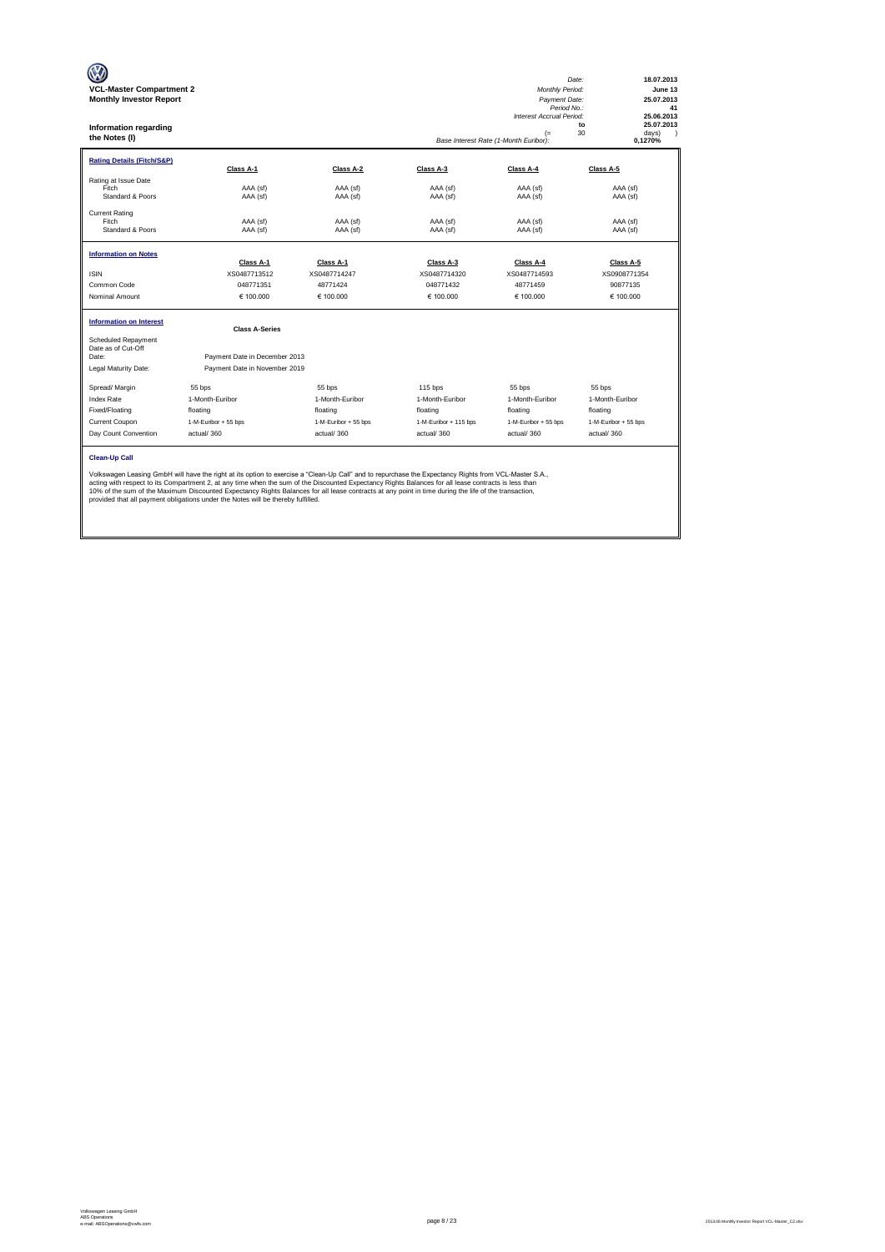| <b>VCL-Master Compartment 2</b><br><b>Monthly Investor Report</b><br>Information regarding<br>the Notes (I) |                                                                                                                                                                                                                                                                                                                                                                                                                                                                                                                                                           |                      |                       | <b>Monthly Period:</b><br>Payment Date:<br>Period No.:<br>Interest Accrual Period:<br>$(=$<br>Base Interest Rate (1-Month Euribor): | 18.07.2013<br>Date:<br>June 13<br>25.07.2013<br>41<br>25.06.2013<br>25.07.2013<br>to<br>30<br>days)<br>$\lambda$<br>0,1270% |
|-------------------------------------------------------------------------------------------------------------|-----------------------------------------------------------------------------------------------------------------------------------------------------------------------------------------------------------------------------------------------------------------------------------------------------------------------------------------------------------------------------------------------------------------------------------------------------------------------------------------------------------------------------------------------------------|----------------------|-----------------------|-------------------------------------------------------------------------------------------------------------------------------------|-----------------------------------------------------------------------------------------------------------------------------|
| <b>Rating Details (Fitch/S&amp;P)</b>                                                                       | Class A-1                                                                                                                                                                                                                                                                                                                                                                                                                                                                                                                                                 | Class A-2            | Class A-3             | Class A-4                                                                                                                           | Class A-5                                                                                                                   |
| Rating at Issue Date<br>Fitch<br>Standard & Poors                                                           | AAA (sf)<br>AAA (sf)                                                                                                                                                                                                                                                                                                                                                                                                                                                                                                                                      | AAA (sf)<br>AAA (sf) | AAA (sf)<br>AAA (sf)  | AAA (sf)<br>AAA (sf)                                                                                                                | AAA (sf)<br>AAA (sf)                                                                                                        |
| <b>Current Rating</b><br>Fitch<br>Standard & Poors                                                          | AAA (sf)<br>AAA (sf)                                                                                                                                                                                                                                                                                                                                                                                                                                                                                                                                      | AAA (sf)<br>AAA (sf) | AAA (sf)<br>AAA (sf)  | AAA (sf)<br>AAA (sf)                                                                                                                | AAA (sf)<br>AAA (sf)                                                                                                        |
| <b>Information on Notes</b>                                                                                 | Class A-1                                                                                                                                                                                                                                                                                                                                                                                                                                                                                                                                                 | Class A-1            | Class A-3             | Class A-4                                                                                                                           | Class A-5                                                                                                                   |
| <b>ISIN</b>                                                                                                 | XS0487713512                                                                                                                                                                                                                                                                                                                                                                                                                                                                                                                                              | XS0487714247         | XS0487714320          | XS0487714593                                                                                                                        | XS0908771354                                                                                                                |
| Common Code                                                                                                 | 048771351                                                                                                                                                                                                                                                                                                                                                                                                                                                                                                                                                 | 48771424             | 048771432             | 48771459                                                                                                                            | 90877135                                                                                                                    |
| Nominal Amount                                                                                              | € 100.000                                                                                                                                                                                                                                                                                                                                                                                                                                                                                                                                                 | € 100,000            | € 100.000             | € 100,000                                                                                                                           | € 100.000                                                                                                                   |
| <b>Information on Interest</b>                                                                              | <b>Class A-Series</b>                                                                                                                                                                                                                                                                                                                                                                                                                                                                                                                                     |                      |                       |                                                                                                                                     |                                                                                                                             |
| Scheduled Repayment<br>Date as of Cut-Off<br>Date:                                                          | Payment Date in December 2013                                                                                                                                                                                                                                                                                                                                                                                                                                                                                                                             |                      |                       |                                                                                                                                     |                                                                                                                             |
| Legal Maturity Date:                                                                                        | Payment Date in November 2019                                                                                                                                                                                                                                                                                                                                                                                                                                                                                                                             |                      |                       |                                                                                                                                     |                                                                                                                             |
| Spread/ Margin                                                                                              | 55 bps                                                                                                                                                                                                                                                                                                                                                                                                                                                                                                                                                    | 55 bps               | 115 bps               | 55 bps                                                                                                                              | 55 bps                                                                                                                      |
| <b>Index Rate</b>                                                                                           | 1-Month-Euribor                                                                                                                                                                                                                                                                                                                                                                                                                                                                                                                                           | 1-Month-Euribor      | 1-Month-Euribor       | 1-Month-Euribor                                                                                                                     | 1-Month-Euribor                                                                                                             |
| Fixed/Floating                                                                                              | floating                                                                                                                                                                                                                                                                                                                                                                                                                                                                                                                                                  | floating             | floating              | floating                                                                                                                            | floating                                                                                                                    |
| Current Coupon                                                                                              | 1-M-Euribor + 55 bps                                                                                                                                                                                                                                                                                                                                                                                                                                                                                                                                      | 1-M-Euribor + 55 bps | 1-M-Euribor + 115 bps | 1-M-Euribor + 55 bps                                                                                                                | 1-M-Euribor + 55 bps                                                                                                        |
| Day Count Convention                                                                                        | actual/360                                                                                                                                                                                                                                                                                                                                                                                                                                                                                                                                                | actual/360           | actual/360            | actual/360                                                                                                                          | actual/360                                                                                                                  |
| <b>Clean-Up Call</b>                                                                                        | Volkswagen Leasing GmbH will have the right at its option to exercise a "Clean-Up Call" and to repurchase the Expectancy Rights from VCL-Master S.A.,<br>acting with respect to its Compartment 2, at any time when the sum of the Discounted Expectancy Rights Balances for all lease contracts is less than<br>10% of the sum of the Maximum Discounted Expectancy Rights Balances for all lease contracts at any point in time during the life of the transaction,<br>provided that all payment obligations under the Notes will be thereby fulfilled. |                      |                       |                                                                                                                                     |                                                                                                                             |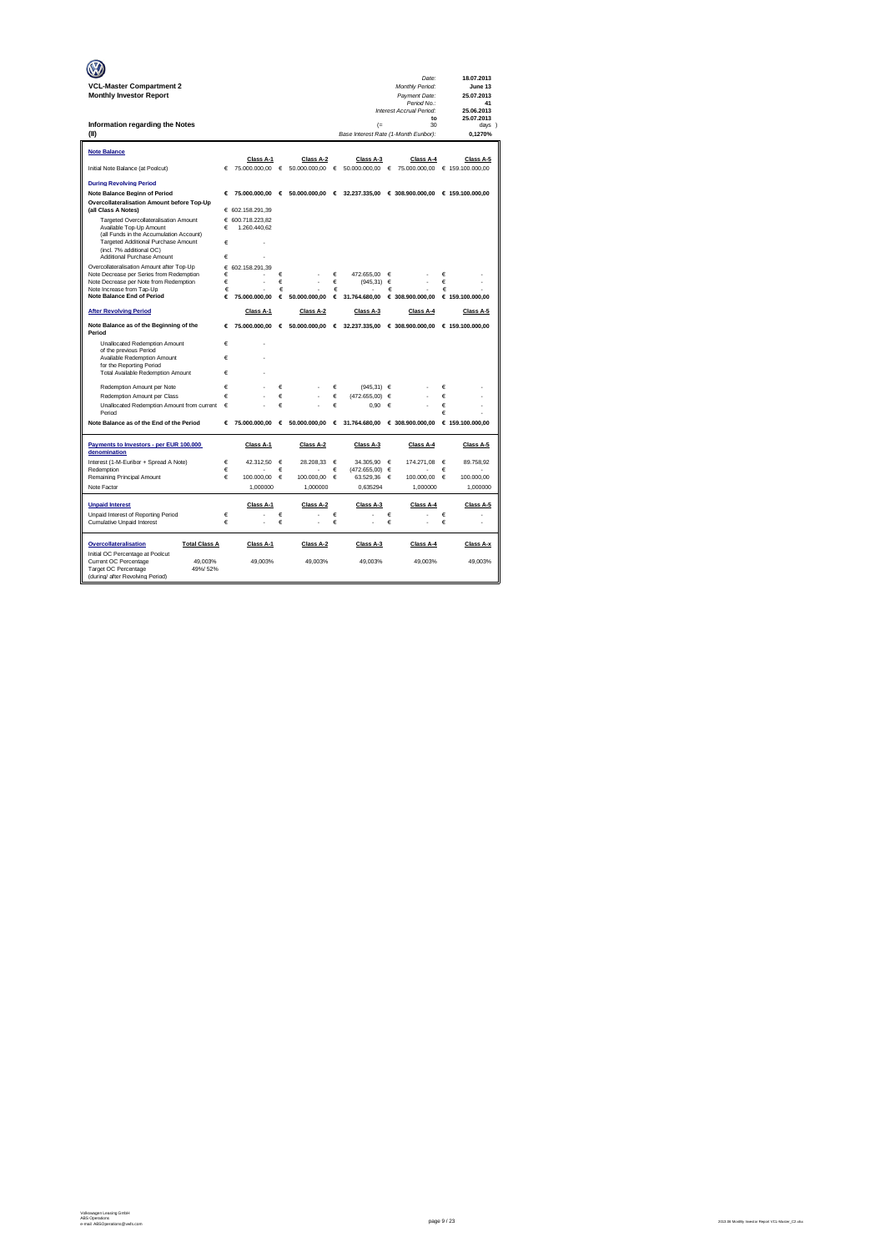|                                                                                       |        |                    |            |               |            |                                            |            | Date:                                           |        | 18.07.2013        |
|---------------------------------------------------------------------------------------|--------|--------------------|------------|---------------|------------|--------------------------------------------|------------|-------------------------------------------------|--------|-------------------|
| <b>VCL-Master Compartment 2</b>                                                       |        |                    |            |               |            |                                            |            | Monthly Period:                                 |        | June 13           |
| <b>Monthly Investor Report</b>                                                        |        |                    |            |               |            |                                            |            | Payment Date:                                   |        | 25.07.2013        |
|                                                                                       |        |                    |            |               |            |                                            |            | Period No.:<br>Interest Accrual Period:         |        | 41<br>25.06.2013  |
|                                                                                       |        |                    |            |               |            |                                            |            | to                                              |        | 25.07.2013        |
| Information regarding the Notes<br>(II)                                               |        |                    |            |               |            | (<br>Base Interest Rate (1-Month Euribor): |            | 30                                              |        | days )<br>0.1270% |
|                                                                                       |        |                    |            |               |            |                                            |            |                                                 |        |                   |
| <b>Note Balance</b>                                                                   |        |                    |            |               |            |                                            |            |                                                 |        |                   |
|                                                                                       |        | Class A-1          |            | Class A-2     |            | Class A-3                                  |            | Class A-4                                       |        | Class A-5         |
| Initial Note Balance (at Poolcut)                                                     | €      | 75.000.000,00      | $\epsilon$ | 50.000.000,00 | $\epsilon$ | 50.000.000,00                              | €          | 75.000.000,00                                   |        | € 159.100.000,00  |
| <b>During Revolving Period</b>                                                        |        |                    |            |               |            |                                            |            |                                                 |        |                   |
| Note Balance Beginn of Period                                                         | €      | 75,000,000,00      | $\epsilon$ | 50,000,000,00 | €          |                                            |            | 32.237.335.00 € 308.900.000.00 € 159.100.000.00 |        |                   |
| Overcollateralisation Amount before Top-Up<br>(all Class A Notes)                     |        | € 602.158.291,39   |            |               |            |                                            |            |                                                 |        |                   |
| Targeted Overcollateralisation Amount                                                 |        | € 600.718.223.82   |            |               |            |                                            |            |                                                 |        |                   |
| Available Top-Up Amount                                                               | €      | 1.260.440,62       |            |               |            |                                            |            |                                                 |        |                   |
| (all Funds in the Accumulation Account)<br>Targeted Additional Purchase Amount        | €      |                    |            |               |            |                                            |            |                                                 |        |                   |
| (incl. 7% additional OC)                                                              |        |                    |            |               |            |                                            |            |                                                 |        |                   |
| Additional Purchase Amount                                                            | €      |                    |            |               |            |                                            |            |                                                 |        |                   |
| Overcollateralisation Amount after Top-Up<br>Note Decrease per Series from Redemption | €<br>€ | 602.158.291.39     | €          |               | $\epsilon$ | 472.655,00                                 | €          |                                                 | €      |                   |
| Note Decrease per Note from Redemption                                                | €      | ä,                 | €          |               | $\in$      | (945, 31)                                  | $\epsilon$ |                                                 | €      |                   |
| Note Increase from Tap-Up                                                             | €      |                    | €          |               | €          |                                            | €          |                                                 | €      |                   |
| <b>Note Balance End of Period</b>                                                     | €      | 75.000.000.00      | €          | 50,000,000.00 | €          | 31.764.680.00                              |            | € 308.900.000.00                                |        | € 159,100,000,00  |
| <b>After Revolving Period</b>                                                         |        | Class A-1          |            | Class A-2     |            | Class A-3                                  |            | Class A-4                                       |        | Class A-5         |
| Note Balance as of the Beginning of the<br>Period                                     |        | 75.000.000.00<br>€ | €          | 50,000,000,00 |            | $6$ 32.237.335,00                          |            | € 308.900.000,00                                |        | € 159.100.000.00  |
| Unallocated Redemption Amount                                                         | €      | ×.                 |            |               |            |                                            |            |                                                 |        |                   |
| of the previous Period<br>Available Redemption Amount                                 | €      |                    |            |               |            |                                            |            |                                                 |        |                   |
| for the Reporting Period                                                              |        |                    |            |               |            |                                            |            |                                                 |        |                   |
| Total Available Redemption Amount                                                     | €      |                    |            |               |            |                                            |            |                                                 |        |                   |
| Redemption Amount per Note                                                            | €      |                    | €          |               | €          | (945.31) ∈                                 |            |                                                 | €      |                   |
| Redemption Amount per Class                                                           | €      | ł.                 | €          |               | €          | (472.655.00)                               | €          |                                                 | €      |                   |
| Unallocated Redemption Amount from current<br>Period                                  | €      |                    | €          |               | €          | 0,90                                       | €          |                                                 | €<br>€ |                   |
| Note Balance as of the End of the Period                                              | €      | 75,000,000,00      | $\epsilon$ | 50,000,000,00 | €          | 31.764.680.00                              |            | € 308,900,000,00                                |        | € 159,100,000,00  |
|                                                                                       |        |                    |            |               |            |                                            |            |                                                 |        |                   |
| Payments to Investors - per EUR 100.000                                               |        | Class A-1          |            | Class A-2     |            | Class A-3                                  |            | Class A-4                                       |        | Class A-5         |
| denomination<br>Interest (1-M-Euribor + Spread A Note)                                | €      | 42.312.50          | €          | 28.208.33     | €          | 34.305.90                                  | €          | 174.271,08                                      | €      | 89.758,92         |
| Redemption                                                                            | €      |                    | €          |               | €          | (472.655,00)                               | €          |                                                 | €      |                   |
| Remaining Principal Amount                                                            | €      | 100.000,00         | €          | 100.000,00    | €          | 63.529,36                                  | €          | 100.000,00                                      | €      | 100.000,00        |
| Note Factor                                                                           |        | 1,000000           |            | 1,000000      |            | 0,635294                                   |            | 1,000000                                        |        | 1,000000          |
| <b>Unpaid Interest</b>                                                                |        | Class A-1          |            | Class A-2     |            | Class A-3                                  |            | Class A-4                                       |        | Class A-5         |
| Unpaid Interest of Reporting Period                                                   | €      |                    | €          |               | €          |                                            | €          |                                                 | €      |                   |
| Cumulative Unpaid Interest                                                            | €      |                    | €          |               | €          |                                            | €          |                                                 | €      |                   |
| Overcollateralisation<br><b>Total Class A</b>                                         |        | Class A-1          |            | Class A-2     |            | Class A-3                                  |            | Class A-4                                       |        | Class A-x         |
| Initial OC Percentage at Poolcut                                                      |        |                    |            |               |            |                                            |            |                                                 |        |                   |
| Current OC Percentage<br>49,003%<br>Target OC Percentage<br>49%/52%                   |        | 49,003%            |            | 49,003%       |            | 49,003%                                    |            | 49,003%                                         |        | 49,003%           |
| (during/ after Revolving Period)                                                      |        |                    |            |               |            |                                            |            |                                                 |        |                   |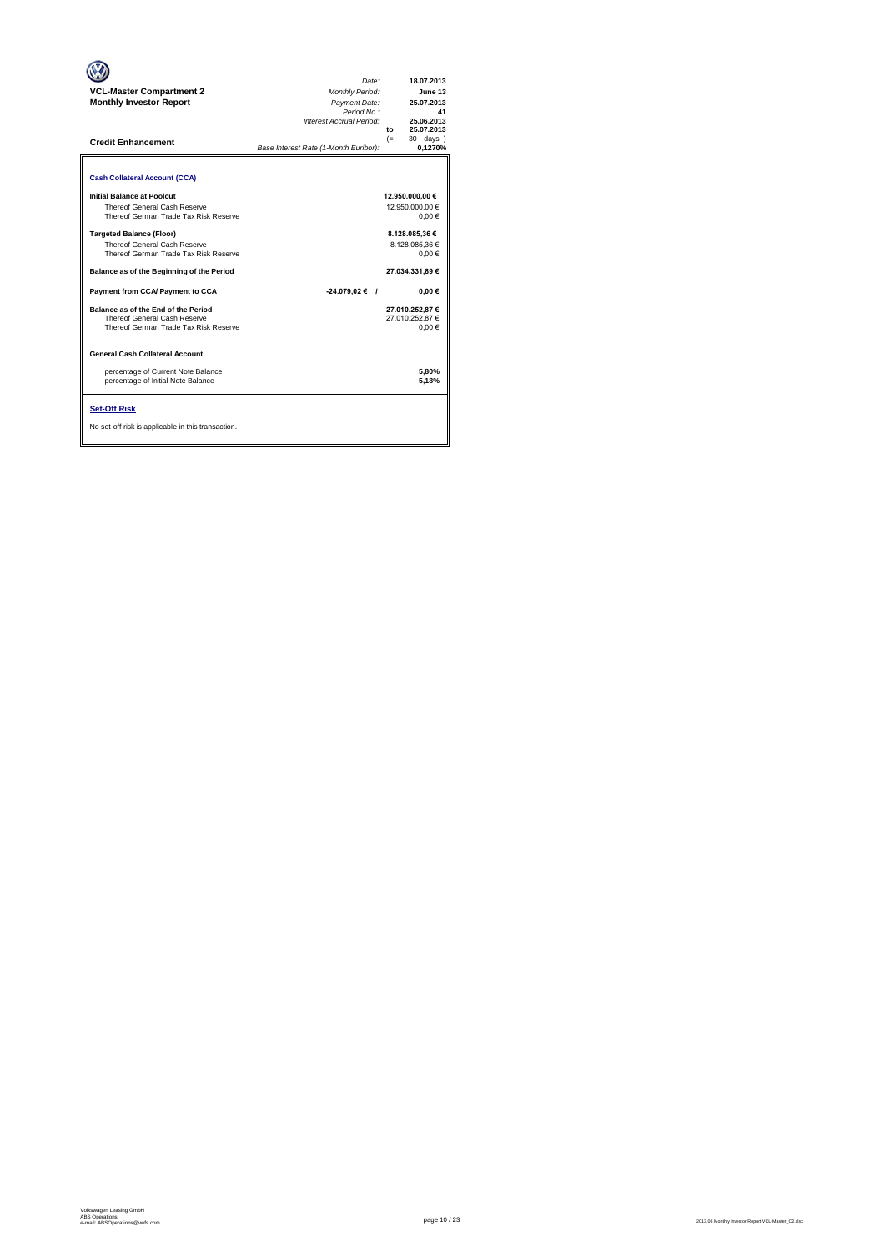| <b>VCL-Master Compartment 2</b><br><b>Monthly Investor Report</b><br><b>Credit Enhancement</b>                                                   | Date:<br><b>Monthly Period:</b><br>Payment Date:<br>Period No.:<br>Interest Accrual Period:<br>Base Interest Rate (1-Month Euribor): | 18.07.2013<br>June 13<br>25.07.2013<br>41<br>25.06.2013<br>25.07.2013<br>to<br>$(=$<br>30 days )<br>0.1270% |
|--------------------------------------------------------------------------------------------------------------------------------------------------|--------------------------------------------------------------------------------------------------------------------------------------|-------------------------------------------------------------------------------------------------------------|
| <b>Cash Collateral Account (CCA)</b><br>Initial Balance at Poolcut                                                                               |                                                                                                                                      | 12.950.000,00 €                                                                                             |
| Thereof General Cash Reserve<br>Thereof German Trade Tax Risk Reserve                                                                            |                                                                                                                                      | 12.950.000.00 €<br>0.00€                                                                                    |
| <b>Targeted Balance (Floor)</b><br><b>Thereof General Cash Reserve</b><br>Thereof German Trade Tax Risk Reserve                                  |                                                                                                                                      | 8.128.085,36 €<br>8.128.085.36 €<br>0.00€                                                                   |
| Balance as of the Beginning of the Period                                                                                                        |                                                                                                                                      | 27.034.331.89 €                                                                                             |
| Payment from CCA/ Payment to CCA<br>Balance as of the End of the Period<br>Thereof General Cash Reserve<br>Thereof German Trade Tax Risk Reserve | $-24.079,02 \in$ /                                                                                                                   | $0.00 \in$<br>27.010.252.87 €<br>27.010.252.87 €<br>0.00€                                                   |
| General Cash Collateral Account                                                                                                                  |                                                                                                                                      |                                                                                                             |
| percentage of Current Note Balance<br>percentage of Initial Note Balance                                                                         |                                                                                                                                      | 5,80%<br>5.18%                                                                                              |
| <b>Set-Off Risk</b><br>No set-off risk is applicable in this transaction.                                                                        |                                                                                                                                      |                                                                                                             |

**. . . .** Trigger Level 1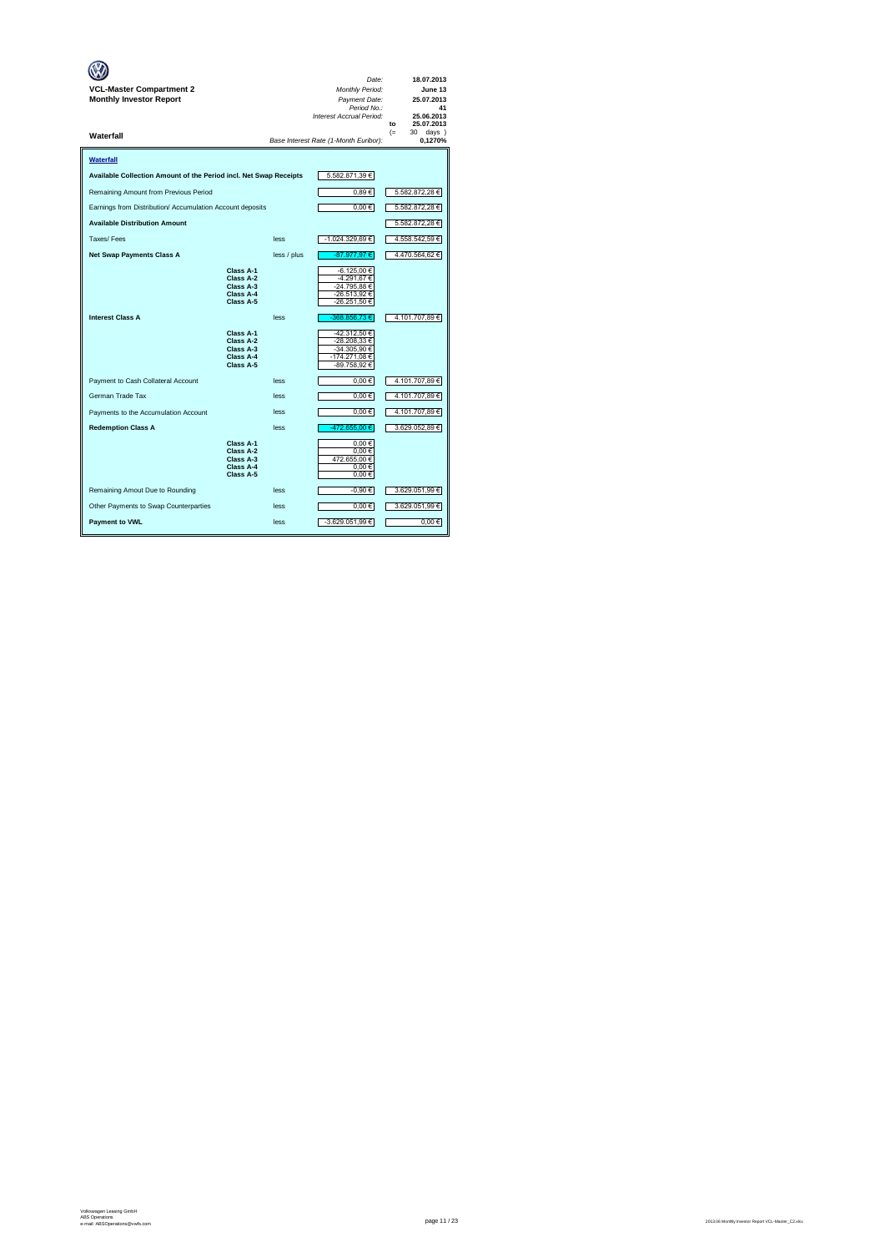| <b>VCL-Master Compartment 2</b><br><b>Monthly Investor Report</b> |                                                               |             | Date:<br><b>Monthly Period:</b><br>Payment Date:<br>Period No.:<br>Interest Accrual Period: | 18.07.2013<br>June 13<br>25.07.2013<br>41<br>25.06.2013<br>25.07.2013<br>to |
|-------------------------------------------------------------------|---------------------------------------------------------------|-------------|---------------------------------------------------------------------------------------------|-----------------------------------------------------------------------------|
| Waterfall                                                         |                                                               |             | Base Interest Rate (1-Month Euribor):                                                       | $(=$<br>30 days)<br>0,1270%                                                 |
| Waterfall                                                         |                                                               |             |                                                                                             |                                                                             |
| Available Collection Amount of the Period incl. Net Swap Receipts |                                                               |             | 5.582.871,39 €                                                                              |                                                                             |
| Remaining Amount from Previous Period                             |                                                               |             | 0,89€                                                                                       | 5.582.872,28 €                                                              |
| Earnings from Distribution/ Accumulation Account deposits         |                                                               |             | $0,00 \in$                                                                                  | 5.582.872,28 €                                                              |
| <b>Available Distribution Amount</b>                              |                                                               |             |                                                                                             | 5.582.872,28 €                                                              |
| Taxes/Fees                                                        |                                                               | less        | -1.024.329,69 €                                                                             | 4.558.542,59€                                                               |
| <b>Net Swap Payments Class A</b>                                  |                                                               | less / plus | -87.977,97 €                                                                                | 4.470.564,62 €                                                              |
|                                                                   | Class A-1<br>Class A-2<br>Class A-3<br>Class A-4<br>Class A-5 |             | -6.125,00 €<br>-4.291,67 €<br>-24.795.88 €<br>-26.513,92 €<br>-26.251,50 €                  |                                                                             |
| <b>Interest Class A</b>                                           |                                                               | less        | -368.856,73€                                                                                | 4.101.707,89 €                                                              |
|                                                                   | Class A-1<br>Class A-2<br>Class A-3<br>Class A-4<br>Class A-5 |             | -42.312,50 €<br>-28.208,33 €<br>-34.305,90 €<br>-174.271,08€<br>-89.758,92 €                |                                                                             |
| Payment to Cash Collateral Account                                |                                                               | less        | $0.00 \in$                                                                                  | 4.101.707,89€                                                               |
| German Trade Tax                                                  |                                                               | less        | $0,00 \in$                                                                                  | 4.101.707,89€                                                               |
| Payments to the Accumulation Account                              |                                                               | less        | $0,00 \in$                                                                                  | 4.101.707,89 €                                                              |
| <b>Redemption Class A</b>                                         |                                                               | less        | -472.655.00 €                                                                               | 3.629.052.89 €                                                              |
|                                                                   | Class A-1<br>Class A-2<br>Class A-3<br>Class A-4<br>Class A-5 |             | 0.00€<br>0.00€<br>472.655,00€<br>0,00€<br>0,00€                                             |                                                                             |
| Remaining Amout Due to Rounding                                   |                                                               | less        | -0,90 €                                                                                     | 3.629.051,99 €                                                              |
| Other Payments to Swap Counterparties                             |                                                               | less        | $0,00 \in$                                                                                  | 3.629.051,99 €                                                              |
| <b>Payment to VWL</b>                                             |                                                               | less        | -3.629.051,99 €                                                                             | 0.00€                                                                       |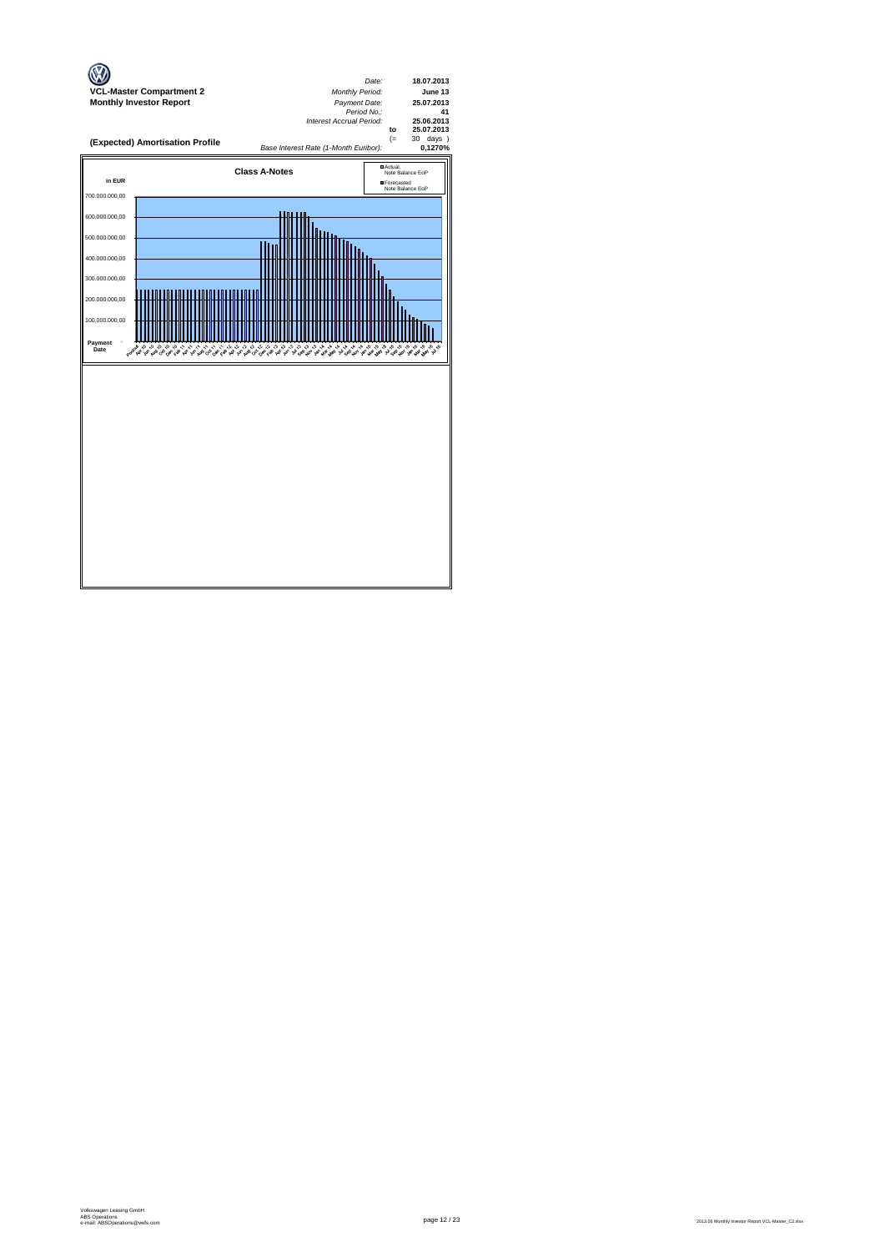

page 12 / 23 2013.06 Monthly Investor Report VCL-Master\_C2.xlsx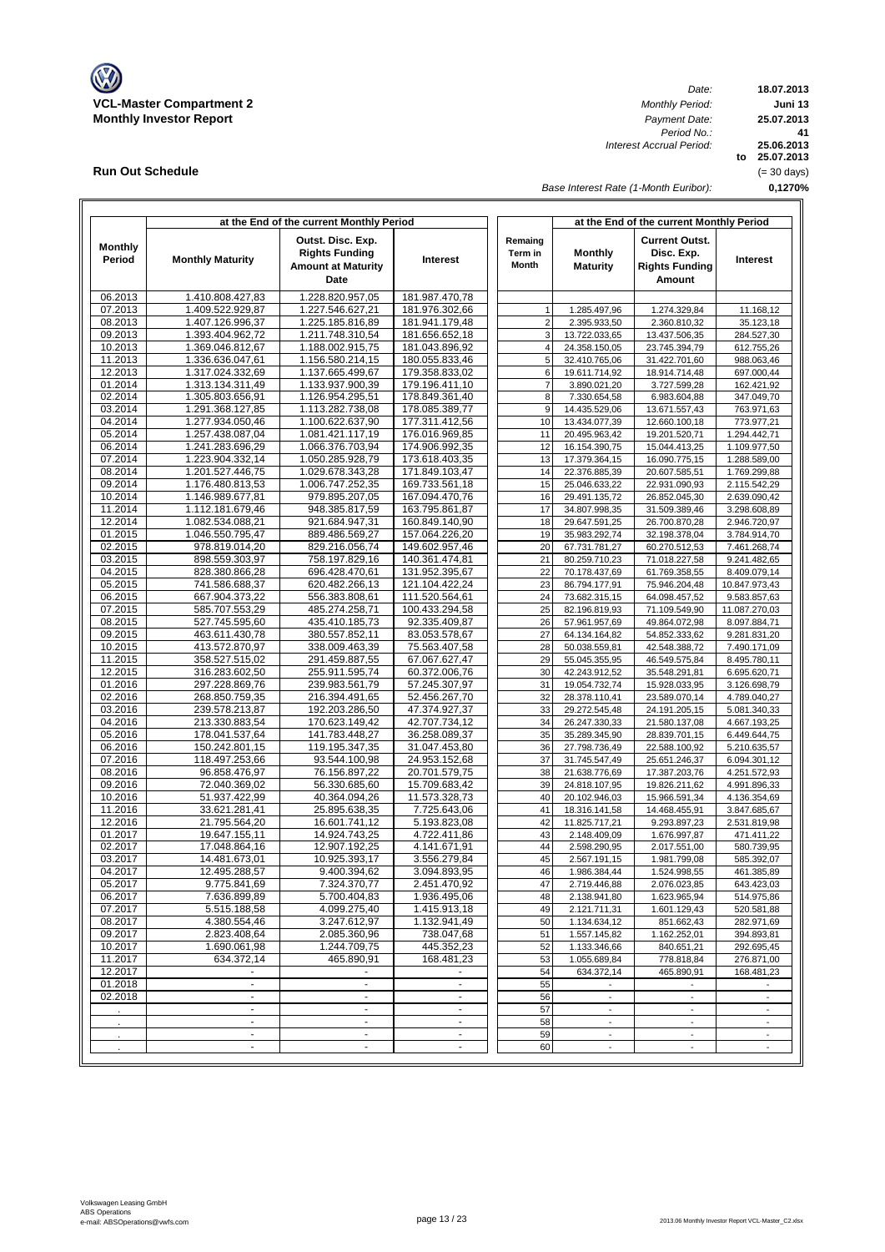

**Run Out Schedule**

 $\mathbf{r}$ 

*Date: Period No.: Interest Accrual Period:*

**18.07.2013 Juni 13 to 25.07.2013 25.06.2013 0,1270% 41 25.07.2013** (= 30 days)

*Base Interest Rate (1-Month Euribor):*

|                          |                                      | at the End of the current Monthly Period                                        |                                  |                             | at the End of the current Monthly Period |                                                                        |                              |  |  |  |  |
|--------------------------|--------------------------------------|---------------------------------------------------------------------------------|----------------------------------|-----------------------------|------------------------------------------|------------------------------------------------------------------------|------------------------------|--|--|--|--|
| <b>Monthly</b><br>Period | <b>Monthly Maturity</b>              | Outst. Disc. Exp.<br><b>Rights Funding</b><br><b>Amount at Maturity</b><br>Date | Interest                         | Remaing<br>Term in<br>Month | <b>Monthly</b><br><b>Maturity</b>        | <b>Current Outst.</b><br>Disc. Exp.<br><b>Rights Funding</b><br>Amount | Interest                     |  |  |  |  |
| 06.2013                  | 1.410.808.427,83                     | 1.228.820.957.05                                                                | 181.987.470,78                   |                             |                                          |                                                                        |                              |  |  |  |  |
| 07.2013                  | 1.409.522.929,87                     | 1.227.546.627,21                                                                | 181.976.302,66                   | 1                           | 1.285.497.96                             | 1.274.329,84                                                           | 11.168,12                    |  |  |  |  |
| 08.2013                  | 1.407.126.996,37                     | 1.225.185.816,89                                                                | 181.941.179,48                   | $\overline{\mathbf{c}}$     | 2.395.933,50                             | 2.360.810,32                                                           | 35.123,18                    |  |  |  |  |
| 09.2013                  | 1.393.404.962,72                     | 1.211.748.310,54                                                                | 181.656.652,18                   | 3                           | 13.722.033,65                            | 13.437.506,35                                                          | 284.527,30                   |  |  |  |  |
| 10.2013                  | 1.369.046.812,67                     | 1.188.002.915,75                                                                | 181.043.896,92                   | $\overline{4}$              | 24.358.150,05                            | 23.745.394,79                                                          | 612.755,26                   |  |  |  |  |
| 11.2013                  | 1.336.636.047,61                     | 1.156.580.214,15                                                                | 180.055.833,46                   | 5                           | 32.410.765,06                            | 31.422.701,60                                                          | 988.063,46                   |  |  |  |  |
| 12.2013<br>01.2014       | 1.317.024.332,69<br>1.313.134.311,49 | 1.137.665.499,67<br>1.133.937.900,39                                            | 179.358.833,02<br>179.196.411,10 | 6<br>$\overline{7}$         | 19.611.714,92<br>3.890.021,20            | 18.914.714,48<br>3.727.599,28                                          | 697.000,44<br>162.421,92     |  |  |  |  |
| 02.2014                  | 1.305.803.656,91                     | 1.126.954.295,51                                                                | 178.849.361,40                   | 8                           | 7.330.654,58                             | 6.983.604,88                                                           | 347.049,70                   |  |  |  |  |
| 03.2014                  | 1.291.368.127,85                     | 1.113.282.738,08                                                                | 178.085.389,77                   | 9                           | 14.435.529,06                            | 13.671.557,43                                                          | 763.971,63                   |  |  |  |  |
| 04.2014                  | 1.277.934.050,46                     | 1.100.622.637,90                                                                | 177.311.412,56                   | 10                          | 13.434.077,39                            | 12.660.100,18                                                          | 773.977,21                   |  |  |  |  |
| 05.2014                  | 1.257.438.087,04                     | 1.081.421.117,19                                                                | 176.016.969,85                   | 11                          | 20.495.963,42                            | 19.201.520,71                                                          | 1.294.442,71                 |  |  |  |  |
| 06.2014                  | 1.241.283.696,29                     | 1.066.376.703,94                                                                | 174.906.992,35                   | 12                          | 16.154.390,75                            | 15.044.413,25                                                          | 1.109.977,50                 |  |  |  |  |
| 07.2014                  | 1.223.904.332,14                     | 1.050.285.928,79                                                                | 173.618.403,35                   | 13                          | 17.379.364,15                            | 16.090.775,15                                                          | 1.288.589,00                 |  |  |  |  |
| 08.2014                  | 1.201.527.446,75                     | 1.029.678.343,28                                                                | 171.849.103,47                   | 14                          | 22.376.885,39                            | 20.607.585,51                                                          | 1.769.299,88                 |  |  |  |  |
| 09.2014                  | 1.176.480.813,53                     | 1.006.747.252,35                                                                | 169.733.561,18                   | 15                          | 25.046.633,22                            | 22.931.090,93                                                          | 2.115.542,29                 |  |  |  |  |
| 10.2014                  | 1.146.989.677,81                     | 979.895.207,05                                                                  | 167.094.470,76                   | 16                          | 29.491.135,72                            | 26.852.045,30                                                          | 2.639.090,42                 |  |  |  |  |
| 11.2014                  | 1.112.181.679.46                     | 948.385.817,59                                                                  | 163.795.861,87                   | 17                          | 34.807.998,35                            | 31.509.389,46                                                          | 3.298.608,89                 |  |  |  |  |
| 12.2014                  | 1.082.534.088,21                     | 921.684.947,31                                                                  | 160.849.140,90                   | 18                          | 29.647.591,25                            | 26.700.870,28                                                          | 2.946.720,97                 |  |  |  |  |
| 01.2015                  | 1.046.550.795,47                     | 889.486.569,27                                                                  | 157.064.226.20                   | 19                          | 35.983.292,74                            | 32.198.378,04                                                          | 3.784.914,70                 |  |  |  |  |
| 02.2015<br>03.2015       | 978.819.014,20                       | 829.216.056,74                                                                  | 149.602.957,46                   | 20<br>21                    | 67.731.781,27                            | 60.270.512,53                                                          | 7.461.268,74<br>9.241.482,65 |  |  |  |  |
| 04.2015                  | 898.559.303,97<br>828.380.866,28     | 758.197.829,16<br>696.428.470,61                                                | 140.361.474,81<br>131.952.395,67 | 22                          | 80.259.710,23<br>70.178.437,69           | 71.018.227,58<br>61.769.358,55                                         | 8.409.079,14                 |  |  |  |  |
| 05.2015                  | 741.586.688,37                       | 620.482.266,13                                                                  | 121.104.422,24                   | 23                          | 86.794.177,91                            | 75.946.204,48                                                          | 10.847.973,43                |  |  |  |  |
| 06.2015                  | 667.904.373,22                       | 556.383.808,61                                                                  | 111.520.564,61                   | 24                          | 73.682.315,15                            | 64.098.457,52                                                          | 9.583.857,63                 |  |  |  |  |
| 07.2015                  | 585.707.553,29                       | 485.274.258,71                                                                  | 100.433.294,58                   | 25                          | 82.196.819,93                            | 71.109.549,90                                                          | 11.087.270,03                |  |  |  |  |
| 08.2015                  | 527.745.595,60                       | 435.410.185,73                                                                  | 92.335.409.87                    | 26                          | 57.961.957,69                            | 49.864.072,98                                                          | 8.097.884,71                 |  |  |  |  |
| 09.2015                  | 463.611.430,78                       | 380.557.852,11                                                                  | 83.053.578,67                    | 27                          | 64.134.164,82                            | 54.852.333,62                                                          | 9.281.831,20                 |  |  |  |  |
| 10.2015                  | 413.572.870,97                       | 338.009.463,39                                                                  | 75.563.407,58                    | 28                          | 50.038.559,81                            | 42.548.388,72                                                          | 7.490.171,09                 |  |  |  |  |
| 11.2015                  | 358.527.515,02                       | 291.459.887,55                                                                  | 67.067.627,47                    | 29                          | 55.045.355,95                            | 46.549.575,84                                                          | 8.495.780,11                 |  |  |  |  |
| 12.2015                  | 316.283.602,50                       | 255.911.595,74                                                                  | 60.372.006,76                    | 30                          | 42.243.912,52                            | 35.548.291,81                                                          | 6.695.620,71                 |  |  |  |  |
| 01.2016                  | 297.228.869,76                       | 239.983.561,79                                                                  | 57.245.307,97                    | 31                          | 19.054.732,74                            | 15.928.033,95                                                          | 3.126.698,79                 |  |  |  |  |
| 02.2016                  | 268.850.759,35                       | 216.394.491,65                                                                  | 52.456.267,70                    | 32                          | 28.378.110,41                            | 23.589.070,14                                                          | 4.789.040,27                 |  |  |  |  |
| 03.2016                  | 239.578.213,87                       | 192.203.286,50                                                                  | 47.374.927,37                    | 33                          | 29.272.545,48                            | 24.191.205,15                                                          | 5.081.340,33                 |  |  |  |  |
| 04.2016<br>05.2016       | 213.330.883,54                       | 170.623.149,42<br>141.783.448,27                                                | 42.707.734,12<br>36.258.089,37   | 34<br>35                    | 26.247.330,33                            | 21.580.137,08                                                          | 4.667.193,25                 |  |  |  |  |
| 06.2016                  | 178.041.537,64<br>150.242.801,15     | 119.195.347,35                                                                  | 31.047.453,80                    | 36                          | 35.289.345,90<br>27.798.736,49           | 28.839.701,15<br>22.588.100,92                                         | 6.449.644,75<br>5.210.635,57 |  |  |  |  |
| 07.2016                  | 118.497.253,66                       | 93.544.100,98                                                                   | 24.953.152,68                    | 37                          | 31.745.547,49                            | 25.651.246,37                                                          | 6.094.301,12                 |  |  |  |  |
| 08.2016                  | 96.858.476,97                        | 76.156.897,22                                                                   | 20.701.579,75                    | 38                          | 21.638.776,69                            | 17.387.203,76                                                          | 4.251.572,93                 |  |  |  |  |
| 09.2016                  | 72.040.369,02                        | 56.330.685,60                                                                   | 15.709.683,42                    | 39                          | 24.818.107,95                            | 19.826.211,62                                                          | 4.991.896,33                 |  |  |  |  |
| 10.2016                  | 51.937.422,99                        | 40.364.094,26                                                                   | 11.573.328,73                    | 40                          | 20.102.946,03                            | 15.966.591,34                                                          | 4.136.354,69                 |  |  |  |  |
| 11.2016                  | 33.621.281.41                        | 25.895.638,35                                                                   | 7.725.643,06                     | 41                          | 18.316.141,58                            | 14.468.455,91                                                          | 3.847.685,67                 |  |  |  |  |
| 12.2016                  | 21.795.564,20                        | 16.601.741,12                                                                   | 5.193.823,08                     | 42                          | 11.825.717,21                            | 9.293.897,23                                                           | 2.531.819,98                 |  |  |  |  |
| 01.2017                  | 19.647.155,11                        | 14.924.743,25                                                                   | 4.722.411,86                     | 43                          | 2.148.409,09                             | 1.676.997,87                                                           | 471.411,22                   |  |  |  |  |
| 02.2017                  | 17.048.864,16                        | 12.907.192,25                                                                   | 4.141.671,91                     | 44                          | 2.598.290,95                             | 2.017.551,00                                                           | 580.739,95                   |  |  |  |  |
| 03.2017                  | 14.481.673,01                        | 10.925.393,17                                                                   | 3.556.279,84                     | 45                          | 2.567.191,15                             | 1.981.799,08                                                           | 585.392,07                   |  |  |  |  |
| 04.2017                  | 12.495.288,57                        | 9.400.394,62                                                                    | 3.094.893,95                     | 46                          | 1.986.384,44                             | 1.524.998,55                                                           | 461.385,89                   |  |  |  |  |
| 05.2017                  | 9.775.841,69                         | 7.324.370,77                                                                    | 2.451.470,92                     | 47                          | 2.719.446,88                             | 2.076.023,85                                                           | 643.423,03                   |  |  |  |  |
| 06.2017<br>07.2017       | 7.636.899,89<br>5.515.188,58         | 5.700.404,83<br>4.099.275,40                                                    | 1.936.495,06<br>1.415.913,18     | 48<br>49                    | 2.138.941,80<br>2.121.711,31             | 1.623.965,94<br>1.601.129,43                                           | 514.975,86                   |  |  |  |  |
| 08.2017                  | 4.380.554,46                         | 3.247.612,97                                                                    | 1.132.941,49                     | 50                          | 1.134.634,12                             | 851.662,43                                                             | 520.581,88<br>282.971,69     |  |  |  |  |
| 09.2017                  | 2.823.408,64                         | 2.085.360,96                                                                    | 738.047,68                       | 51                          | 1.557.145,82                             | 1.162.252,01                                                           | 394.893,81                   |  |  |  |  |
| 10.2017                  | 1.690.061,98                         | 1.244.709,75                                                                    | 445.352,23                       | 52                          | 1.133.346,66                             | 840.651,21                                                             | 292.695,45                   |  |  |  |  |
| 11.2017                  | 634.372,14                           | 465.890,91                                                                      | 168.481,23                       | 53                          | 1.055.689,84                             | 778.818,84                                                             | 276.871,00                   |  |  |  |  |
| 12.2017                  | $\blacksquare$                       | $\blacksquare$                                                                  |                                  | 54                          | 634.372,14                               | 465.890,91                                                             | 168.481,23                   |  |  |  |  |
| 01.2018                  | $\blacksquare$                       | $\blacksquare$                                                                  | $\overline{\phantom{a}}$         | 55                          | $\overline{\phantom{a}}$                 | $\overline{\phantom{a}}$                                               |                              |  |  |  |  |
| 02.2018                  | $\sim$                               | $\overline{\phantom{a}}$                                                        | $\blacksquare$                   | 56                          | $\mathbb{Z}^{\times}$                    | $\mathcal{L}_{\mathcal{A}}$                                            | $\blacksquare$               |  |  |  |  |
|                          | $\sim$                               |                                                                                 |                                  | 57                          |                                          |                                                                        |                              |  |  |  |  |
|                          | $\omega$                             | $\mathcal{L}_{\mathcal{A}}$                                                     | $\sim$                           | 58                          | $\overline{\phantom{a}}$                 | $\overline{\phantom{a}}$                                               | $\overline{\phantom{a}}$     |  |  |  |  |
|                          | $\blacksquare$                       | $\blacksquare$                                                                  | $\overline{\phantom{a}}$         | 59                          | $\overline{\phantom{a}}$                 | $\overline{\phantom{a}}$                                               | $\overline{\phantom{a}}$     |  |  |  |  |
|                          | $\blacksquare$                       | $\blacksquare$                                                                  | $\blacksquare$                   | 60                          | $\overline{\phantom{a}}$                 | $\overline{\phantom{a}}$                                               | $\overline{\phantom{a}}$     |  |  |  |  |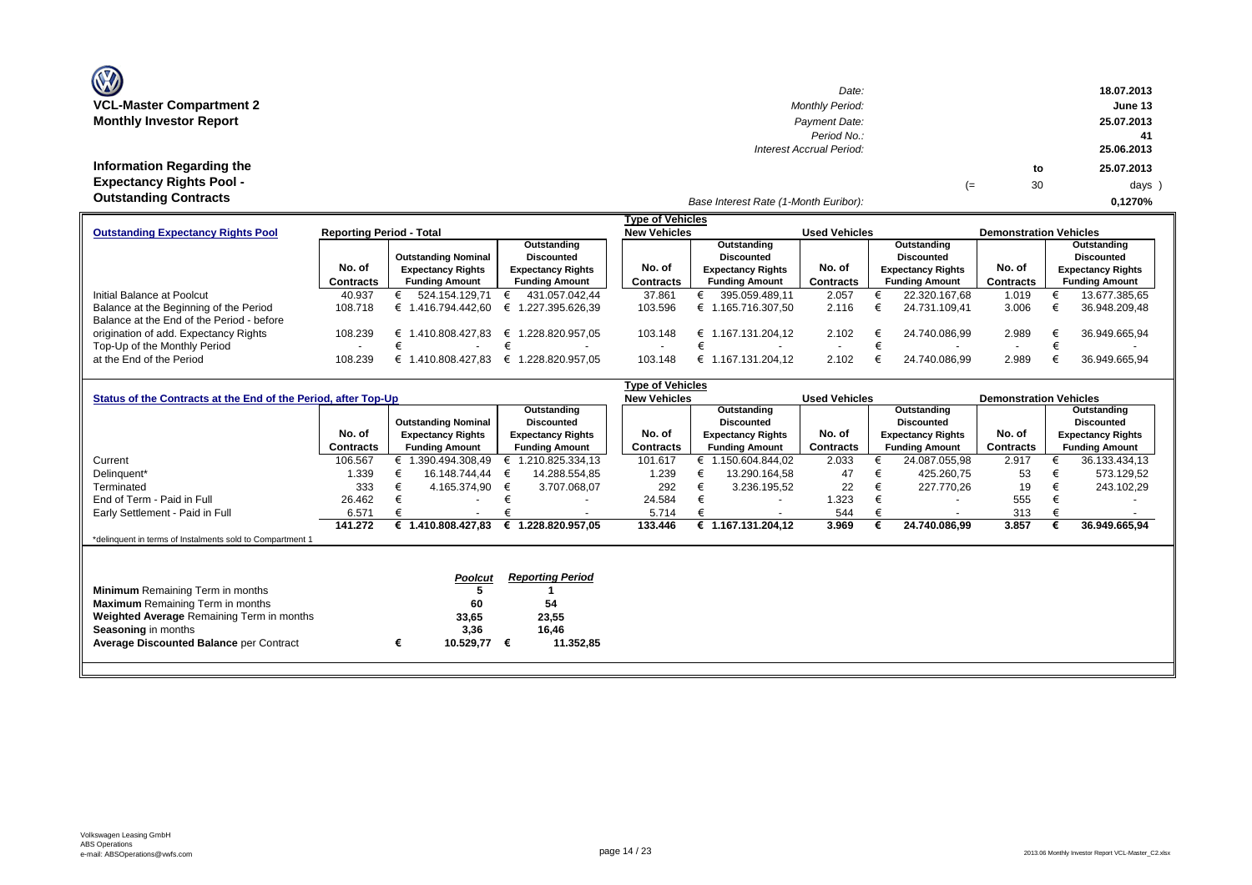| <b>OZ</b>                       |  |
|---------------------------------|--|
| <b>VCL-Master Compartment 2</b> |  |
| <b>Monthly Investor Report</b>  |  |

**Information Regarding the Expectancy Rights Pool -** 

| $\mathbf{w}$                     | Date:                    |    |    | 18.07.2013 |
|----------------------------------|--------------------------|----|----|------------|
| <b>VCL-Master Compartment 2</b>  | <b>Monthly Period:</b>   |    |    | June 13    |
| <b>Monthly Investor Report</b>   | Payment Date:            |    |    | 25.07.2013 |
|                                  | Period No.:              |    |    |            |
|                                  | Interest Accrual Period: |    |    | 25.06.2013 |
| <b>Information Regarding the</b> |                          |    | to | 25.07.2013 |
| <b>Expectancy Rights Pool -</b>  |                          | (≕ | 30 | days )     |
| Outotonding Contracto            |                          |    |    |            |

# *Base Interest Rate (1-Month Euribor):* **Outstanding Contracts 0,1270%**

| <b>Type of Vehicles</b><br><b>New Vehicles</b><br><b>Reporting Period - Total</b><br><b>Used Vehicles</b><br><b>Demonstration Vehicles</b><br>Outstanding<br>Outstanding<br>Outstanding<br>Outstanding<br><b>Outstanding Nominal</b><br>Discounted<br><b>Discounted</b><br><b>Discounted</b><br><b>Discounted</b><br>No. of<br>No. of<br>No. of<br>No. of<br><b>Expectancy Rights</b><br><b>Expectancy Rights</b><br><b>Expectancy Rights</b><br><b>Expectancy Rights</b><br><b>Expectancy Rights</b><br><b>Funding Amount</b><br>Contracts<br>Contracts<br><b>Contracts</b><br><b>Funding Amount</b><br>Contracts<br><b>Funding Amount</b><br><b>Funding Amount</b><br><b>Funding Amount</b><br>524.154.129.71<br>431.057.042.44<br>395.059.489.11<br>22.320.167.68<br>40.937<br>37.861<br>2.057<br>1.019<br>108.718<br>103.596<br>3.006<br>€ 1.416.794.442.60<br>1.227.395.626.39<br>€ 1.165.716.307.50<br>2.116<br>24.731.109.41<br>€<br>108.239<br>€ 1.410.808.427.83<br>€ 1.167.131.204.12<br>36.949.665.94<br>1.228.820.957.05<br>2.102<br>24.740.086.99<br>2.989<br>€ 1<br>103.148 |         |                  |                 |         |                          |                                                                                                                |  |  |
|-------------------------------------------------------------------------------------------------------------------------------------------------------------------------------------------------------------------------------------------------------------------------------------------------------------------------------------------------------------------------------------------------------------------------------------------------------------------------------------------------------------------------------------------------------------------------------------------------------------------------------------------------------------------------------------------------------------------------------------------------------------------------------------------------------------------------------------------------------------------------------------------------------------------------------------------------------------------------------------------------------------------------------------------------------------------------------------------|---------|------------------|-----------------|---------|--------------------------|----------------------------------------------------------------------------------------------------------------|--|--|
| <b>Outstanding Expectancy Rights Pool</b>                                                                                                                                                                                                                                                                                                                                                                                                                                                                                                                                                                                                                                                                                                                                                                                                                                                                                                                                                                                                                                                 |         |                  |                 |         |                          | 13.677.385,65<br>36.948.209,48<br>$\overline{\phantom{0}}$<br>2.102<br>36.949.665.94<br>24.740.086.99<br>2.989 |  |  |
|                                                                                                                                                                                                                                                                                                                                                                                                                                                                                                                                                                                                                                                                                                                                                                                                                                                                                                                                                                                                                                                                                           |         |                  |                 |         |                          |                                                                                                                |  |  |
|                                                                                                                                                                                                                                                                                                                                                                                                                                                                                                                                                                                                                                                                                                                                                                                                                                                                                                                                                                                                                                                                                           |         |                  |                 |         |                          |                                                                                                                |  |  |
|                                                                                                                                                                                                                                                                                                                                                                                                                                                                                                                                                                                                                                                                                                                                                                                                                                                                                                                                                                                                                                                                                           |         |                  |                 |         |                          |                                                                                                                |  |  |
|                                                                                                                                                                                                                                                                                                                                                                                                                                                                                                                                                                                                                                                                                                                                                                                                                                                                                                                                                                                                                                                                                           |         |                  |                 |         |                          |                                                                                                                |  |  |
| Initial Balance at Poolcut                                                                                                                                                                                                                                                                                                                                                                                                                                                                                                                                                                                                                                                                                                                                                                                                                                                                                                                                                                                                                                                                |         |                  |                 |         |                          |                                                                                                                |  |  |
| Balance at the Beginning of the Period                                                                                                                                                                                                                                                                                                                                                                                                                                                                                                                                                                                                                                                                                                                                                                                                                                                                                                                                                                                                                                                    |         |                  |                 |         |                          |                                                                                                                |  |  |
| Balance at the End of the Period - before                                                                                                                                                                                                                                                                                                                                                                                                                                                                                                                                                                                                                                                                                                                                                                                                                                                                                                                                                                                                                                                 |         |                  |                 |         |                          |                                                                                                                |  |  |
| origination of add. Expectancy Rights                                                                                                                                                                                                                                                                                                                                                                                                                                                                                                                                                                                                                                                                                                                                                                                                                                                                                                                                                                                                                                                     |         |                  |                 |         |                          |                                                                                                                |  |  |
| Top-Up of the Monthly Period                                                                                                                                                                                                                                                                                                                                                                                                                                                                                                                                                                                                                                                                                                                                                                                                                                                                                                                                                                                                                                                              |         |                  |                 |         | $\overline{\phantom{0}}$ |                                                                                                                |  |  |
| at the End of the Period                                                                                                                                                                                                                                                                                                                                                                                                                                                                                                                                                                                                                                                                                                                                                                                                                                                                                                                                                                                                                                                                  | 108.239 | 1.410.808.427.83 | .228.820.957.05 | 103.148 | € 1.167.131.204.12       |                                                                                                                |  |  |

|                                                                |           |                          |                            | Type of Vehicles         |                         |        |                          |  |                          |                          |  |                          |                               |                       |
|----------------------------------------------------------------|-----------|--------------------------|----------------------------|--------------------------|-------------------------|--------|--------------------------|--|--------------------------|--------------------------|--|--------------------------|-------------------------------|-----------------------|
| Status of the Contracts at the End of the Period, after Top-Up |           |                          |                            |                          |                         |        | <b>New Vehicles</b>      |  |                          | <b>Used Vehicles</b>     |  |                          | <b>Demonstration Vehicles</b> |                       |
|                                                                |           |                          |                            |                          | Outstanding             |        |                          |  | Outstanding              |                          |  | Outstanding              |                               | Outstanding           |
|                                                                |           |                          | <b>Outstanding Nominal</b> |                          | <b>Discounted</b>       |        |                          |  | <b>Discounted</b>        |                          |  | <b>Discounted</b>        |                               | <b>Discounted</b>     |
|                                                                | No. of    | <b>Expectancy Rights</b> |                            | <b>Expectancy Rights</b> |                         | No. of | <b>Expectancy Rights</b> |  | No. of                   | <b>Expectancy Rights</b> |  | No. of                   | <b>Expectancy Rights</b>      |                       |
|                                                                | Contracts |                          | <b>Funding Amount</b>      |                          | <b>Funding Amount</b>   |        | Contracts                |  | <b>Funding Amount</b>    | <b>Contracts</b>         |  | <b>Funding Amount</b>    | Contracts                     | <b>Funding Amount</b> |
| Current                                                        | 106.567   |                          | € 1.390.494.308,49         |                          | 1.210.825.334,13        |        | 101.617                  |  | € 1.150.604.844,02       | 2.033                    |  | 24.087.055,98            | 2.917                         | 36.133.434,13         |
| Delinguent*                                                    | 1.339     |                          | 16.148.744,44              |                          | 14.288.554,85           |        | 1.239                    |  | 13.290.164,58            | 47                       |  | 425.260,75               | 53                            | 573.129,52            |
| Terminated                                                     | 333       |                          | 4.165.374,90               | €                        | 3.707.068,07            |        | 292                      |  | 3.236.195,52             | 22                       |  | 227.770,26               | 19                            | 243.102,29            |
| End of Term - Paid in Full                                     | 26.462    |                          |                            |                          |                         |        | 24.584                   |  |                          | 1.323                    |  | $\overline{\phantom{a}}$ | 555                           |                       |
| Early Settlement - Paid in Full                                | 6.571     |                          |                            |                          |                         |        | 5.714                    |  | $\overline{\phantom{a}}$ | 544                      |  | $\sim$                   | 313                           |                       |
|                                                                | 141.272   |                          | € 1.410.808.427,83         | €                        | 1.228.820.957,05        |        | 133.446                  |  | € 1.167.131.204,12       | 3.969                    |  | 24.740.086,99            | 3.857                         | 36.949.665,94         |
| *delinquent in terms of Instalments sold to Compartment 1      |           |                          |                            |                          |                         |        |                          |  |                          |                          |  |                          |                               |                       |
|                                                                |           |                          |                            |                          |                         |        |                          |  |                          |                          |  |                          |                               |                       |
|                                                                |           |                          |                            |                          |                         |        |                          |  |                          |                          |  |                          |                               |                       |
|                                                                |           |                          | <b>Poolcut</b>             |                          | <b>Reporting Period</b> |        |                          |  |                          |                          |  |                          |                               |                       |
| <b>Minimum</b> Remaining Term in months                        |           |                          |                            |                          |                         |        |                          |  |                          |                          |  |                          |                               |                       |
| <b>Maximum</b> Remaining Term in months                        |           |                          | 60                         |                          | 54                      |        |                          |  |                          |                          |  |                          |                               |                       |
| Weighted Average Remaining Term in months                      |           |                          | 33,65                      |                          | 23,55                   |        |                          |  |                          |                          |  |                          |                               |                       |
| Seasoning in months                                            |           |                          | 3,36                       |                          | 16,46                   |        |                          |  |                          |                          |  |                          |                               |                       |
| <b>Average Discounted Balance per Contract</b>                 |           | €                        | 10.529,77                  | €                        | 11.352,85               |        |                          |  |                          |                          |  |                          |                               |                       |
|                                                                |           |                          |                            |                          |                         |        |                          |  |                          |                          |  |                          |                               |                       |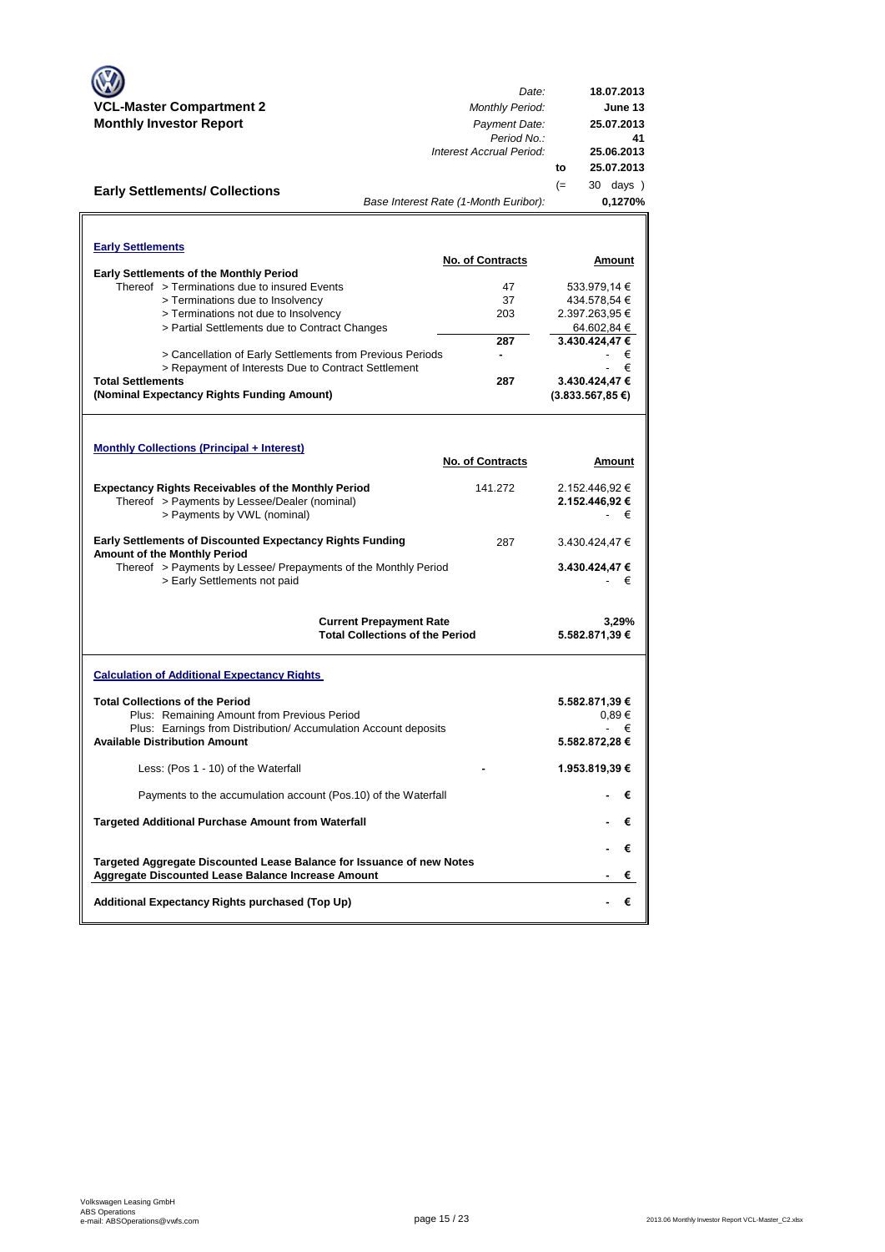|                                                                                                  | Date:                                                                    | 18.07.2013              |
|--------------------------------------------------------------------------------------------------|--------------------------------------------------------------------------|-------------------------|
| <b>VCL-Master Compartment 2</b>                                                                  | <b>Monthly Period:</b>                                                   | June 13                 |
| <b>Monthly Investor Report</b>                                                                   | Payment Date:                                                            | 25.07.2013              |
|                                                                                                  | Period No.:<br>Interest Accrual Period:                                  | 41<br>25.06.2013        |
|                                                                                                  |                                                                          | 25.07.2013<br>to        |
|                                                                                                  |                                                                          | 30 days )<br>$(=$       |
| <b>Early Settlements/ Collections</b>                                                            | Base Interest Rate (1-Month Euribor):                                    | 0,1270%                 |
|                                                                                                  |                                                                          |                         |
|                                                                                                  |                                                                          |                         |
| <b>Early Settlements</b>                                                                         | <b>No. of Contracts</b>                                                  | <u>Amount</u>           |
| <b>Early Settlements of the Monthly Period</b>                                                   |                                                                          |                         |
| Thereof > Terminations due to insured Events                                                     | 47                                                                       | 533.979,14 €            |
| > Terminations due to Insolvency                                                                 | 37                                                                       | 434.578,54 €            |
| > Terminations not due to Insolvency                                                             | 203                                                                      | 2.397.263,95 €          |
| > Partial Settlements due to Contract Changes                                                    |                                                                          | 64.602,84 €             |
|                                                                                                  | 287                                                                      | 3.430.424,47€           |
| > Cancellation of Early Settlements from Previous Periods                                        | ۰                                                                        | €                       |
| > Repayment of Interests Due to Contract Settlement                                              |                                                                          | €                       |
| <b>Total Settlements</b>                                                                         | 287                                                                      | 3.430.424,47€           |
| (Nominal Expectancy Rights Funding Amount)                                                       |                                                                          | $(3.833.567, 85 \in)$   |
|                                                                                                  |                                                                          |                         |
|                                                                                                  |                                                                          |                         |
| <b>Monthly Collections (Principal + Interest)</b>                                                |                                                                          |                         |
|                                                                                                  | <b>No. of Contracts</b>                                                  | Amount                  |
|                                                                                                  |                                                                          |                         |
| <b>Expectancy Rights Receivables of the Monthly Period</b>                                       | 141.272                                                                  | 2.152.446,92 €          |
| Thereof > Payments by Lessee/Dealer (nominal)                                                    |                                                                          | 2.152.446,92 €          |
| > Payments by VWL (nominal)                                                                      |                                                                          | €                       |
| <b>Early Settlements of Discounted Expectancy Rights Funding</b><br>Amount of the Monthly Period | 287                                                                      | 3.430.424,47€           |
| Thereof > Payments by Lessee/ Prepayments of the Monthly Period                                  |                                                                          | 3.430.424,47 €          |
| > Early Settlements not paid                                                                     |                                                                          | €                       |
|                                                                                                  |                                                                          |                         |
|                                                                                                  |                                                                          |                         |
|                                                                                                  | <b>Current Prepayment Rate</b><br><b>Total Collections of the Period</b> | 3,29%<br>5.582.871,39 € |
|                                                                                                  |                                                                          |                         |
| <b>Calculation of Additional Expectancy Rights</b>                                               |                                                                          |                         |
| <b>Total Collections of the Period</b>                                                           |                                                                          |                         |
| Plus: Remaining Amount from Previous Period                                                      |                                                                          | 5.582.871,39 €          |
| Plus: Earnings from Distribution/Accumulation Account deposits                                   |                                                                          | 0,89€<br>€              |
| <b>Available Distribution Amount</b>                                                             |                                                                          | 5.582.872,28 €          |
|                                                                                                  |                                                                          |                         |
| Less: (Pos 1 - 10) of the Waterfall                                                              |                                                                          | 1.953.819,39 €          |
|                                                                                                  |                                                                          |                         |
| Payments to the accumulation account (Pos.10) of the Waterfall                                   |                                                                          | €                       |
| Targeted Additional Purchase Amount from Waterfall                                               |                                                                          | - €                     |
|                                                                                                  |                                                                          | €                       |
| Targeted Aggregate Discounted Lease Balance for Issuance of new Notes                            |                                                                          |                         |
| Aggregate Discounted Lease Balance Increase Amount                                               |                                                                          | €                       |
|                                                                                                  |                                                                          |                         |
| Additional Expectancy Rights purchased (Top Up)                                                  |                                                                          | €                       |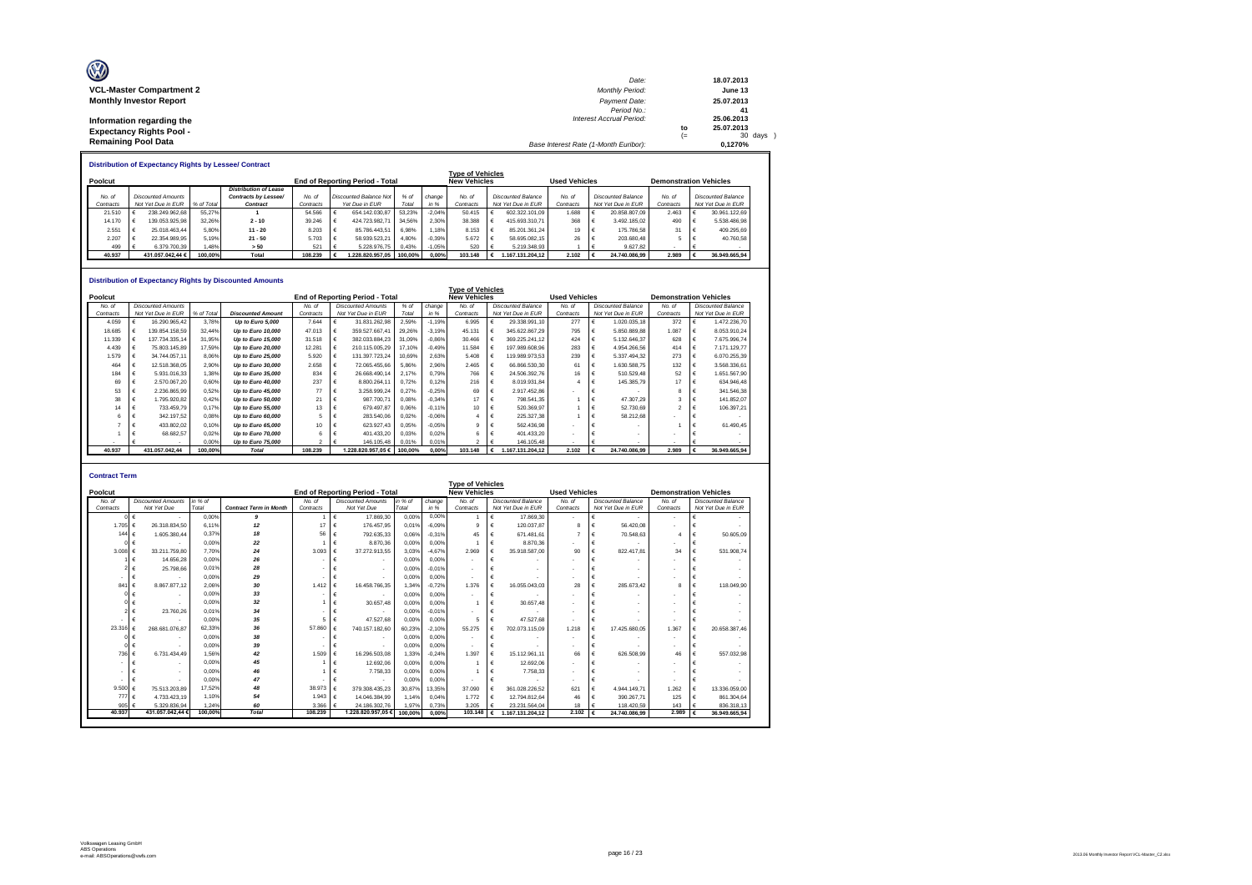| O                                                             | Date:                                 |            | 18.07.2013            |
|---------------------------------------------------------------|---------------------------------------|------------|-----------------------|
| <b>VCL-Master Compartment 2</b>                               | <b>Monthly Period:</b>                |            | June 13               |
| <b>Monthly Investor Report</b>                                | Payment Date:<br>Period No.:          |            | 25.07.2013<br>41      |
| Information regarding the                                     | <b>Interest Accrual Period:</b>       |            | 25.06.2013            |
| <b>Expectancy Rights Pool -</b><br><b>Remaining Pool Data</b> |                                       | to<br>$(=$ | 25.07.2013<br>30 days |
|                                                               | Base Interest Rate (1-Month Euribor): |            | 0.1270%               |

|           | <b>Distribution of Expectancy Rights by Lessee/ Contract</b> |                           |            |                              |                                                               |  |                               |         |          |                         |  |                    |           |  |                                                       |           |  |                           |  |  |
|-----------|--------------------------------------------------------------|---------------------------|------------|------------------------------|---------------------------------------------------------------|--|-------------------------------|---------|----------|-------------------------|--|--------------------|-----------|--|-------------------------------------------------------|-----------|--|---------------------------|--|--|
|           |                                                              |                           |            |                              |                                                               |  |                               |         |          | <b>Type of Vehicles</b> |  |                    |           |  |                                                       |           |  |                           |  |  |
| Poolcut   |                                                              |                           |            |                              | <b>New Vehicles</b><br><b>End of Reporting Period - Total</b> |  |                               |         |          |                         |  |                    |           |  | <b>Used Vehicles</b><br><b>Demonstration Vehicles</b> |           |  |                           |  |  |
|           |                                                              |                           |            | <b>Distribution of Lease</b> |                                                               |  |                               |         |          |                         |  |                    |           |  |                                                       |           |  |                           |  |  |
| No. of    |                                                              | <b>Discounted Amounts</b> |            | Contracts by Lessee/         | No. of                                                        |  | <b>Discounted Balance Not</b> | % of    | change   | No. of                  |  | Discounted Balance | No. of    |  | <b>Discounted Balance</b>                             | No. of    |  | <b>Discounted Balance</b> |  |  |
| Contracts |                                                              | Not Yet Due in EUR        | % of Total | Contract                     | Contracts                                                     |  | Yet Due in EUR                | Total   | in %     | Contracts               |  | Not Yet Due in EUR | Contracts |  | Not Yet Due in EUR                                    | Contracts |  | Not Yet Due in EUR        |  |  |
| 21.510    |                                                              | 238.249.962.68            | 55.27%     |                              | 54.566                                                        |  | 654.142.030.87                | 53.23%  | $-2.04%$ | 50.415                  |  | 602.322.101.09     | 1.688     |  | 20.858.807.09                                         | 2.463     |  | 30.961.122.69             |  |  |
| 14.170    |                                                              | 139.053.925.98            | 32.26%     | $2 - 10$                     | 39.246                                                        |  | 424.723.982.71                | 34.56%  | 2.30%    | 38.388                  |  | 415.693.310.71     | 368       |  | 3.492.185.02                                          | 490       |  | 5.538.486.98              |  |  |
| 2.551     |                                                              | 25.018.463.44             | 5.80%      | $11 - 20$                    | 8.203                                                         |  | 85.786.443.51                 | 6.98%   | 1.18%    | 8.153                   |  | 85.201.361.24      | 19        |  | 175,786.58                                            | 31        |  | 409.295.69                |  |  |
| 2.207     |                                                              | 22.354.989.95             | 5.19%      | $21 - 50$                    | 5.703                                                         |  | 58.939.523.21                 | 4.80%   | $-0.39%$ | 5.672                   |  | 58.695.082.15      | 26        |  | 203.680.48                                            |           |  | 40.760.58                 |  |  |
| 499       |                                                              | 6.379.700.39              | .48%       | > 50                         | 521                                                           |  | 5.228.976.75                  | 0.43%   | $-1.05%$ | 520                     |  | 5.219.348.93       |           |  | 9.627.82                                              |           |  |                           |  |  |
| 40.937    |                                                              | 431.057.042.44 €          | 100.00%    | Total                        | 108.239                                                       |  | .228.820.957.05               | 100.00% | 0.00%    | 103.148                 |  | 1.167.131.204.12   | 2.102     |  | 24.740.086.99                                         | 2.989     |  | 36.949.665.94             |  |  |

#### **Distribution of Expectancy Rights by Discounted Amounts**

|           | PRIIMANNII VI LADUUGIIUV INMIIIG DY PROUGHUU ANIUMING<br><b>Type of Vehicles</b> |                           |            |                          |           |   |                                        |         |          |                     |                           |                    |                          |                           |                    |                               |  |                           |  |
|-----------|----------------------------------------------------------------------------------|---------------------------|------------|--------------------------|-----------|---|----------------------------------------|---------|----------|---------------------|---------------------------|--------------------|--------------------------|---------------------------|--------------------|-------------------------------|--|---------------------------|--|
|           |                                                                                  |                           |            |                          |           |   |                                        |         |          |                     |                           |                    |                          |                           |                    |                               |  |                           |  |
| Poolcut   |                                                                                  |                           |            |                          |           |   | <b>End of Reporting Period - Total</b> |         |          | <b>New Vehicles</b> |                           |                    | <b>Used Vehicles</b>     |                           |                    | <b>Demonstration Vehicles</b> |  |                           |  |
| No. of    |                                                                                  | <b>Discounted Amounts</b> |            |                          | No. of    |   | <b>Discounted Amounts</b>              | % of    | change   | No. of              | <b>Discounted Balance</b> |                    | No. of                   | <b>Discounted Balance</b> |                    | No. of                        |  | <b>Discounted Balance</b> |  |
| Contracts |                                                                                  | Not Yet Due in EUR        | % of Total | <b>Discounted Amount</b> | Contracts |   | Not Yet Due in EUR                     | Total   | in %     | Contracts           |                           | Not Yet Due in EUR | Contracts                |                           | Not Yet Due in EUR | Contracts                     |  | Not Yet Due in EUR        |  |
| 4.059     |                                                                                  | 16.290.965.42             | 3.78%      | Up to Euro 5,000         | 7.644     |   | 31.831.262,98                          | 2,59%   | $-1.19%$ | 6.995               |                           | 29.338.991,10      | 277                      |                           | 1.020.035,18       | 372                           |  | 1.472.236,70              |  |
| 18,685    |                                                                                  | 139.854.158.59            | 32.44%     | Up to Euro 10,000        | 47.013    |   | 359.527.667.41                         | 29,26%  | $-3.19%$ | 45.131              |                           | 345.622.867.29     | 795                      |                           | 5.850.889.88       | 1.087                         |  | 8.053.910.24              |  |
| 11.339    |                                                                                  | 137.734.335.14            | 31.95%     | Up to Euro 15,000        | 31,518    |   | 382.033.884.23                         | 31.09%  | $-0,86%$ | 30.466              |                           | 369.225.241.12     | 424                      |                           | 5.132.646.37       | 628                           |  | 7.675.996.74              |  |
| 4.439     |                                                                                  | 75.803.145.89             | 17.59%     | Up to Euro 20,000        | 12.281    |   | 210.115.005.29                         | 17.10%  | $-0.49%$ | 11.584              |                           | 197.989.608.96     | 283                      |                           | 4.954.266.56       | 414                           |  | 7.171.129.77              |  |
| 1.579     |                                                                                  | 34.744.057.11             | 8.06%      | Up to Euro 25,000        | 5.920     |   | 131.397.723.24                         | 10.69%  | 2.63%    | 5.408               |                           | 119.989.973.53     | 239                      |                           | 5.337.494.32       | 273                           |  | 6.070.255.39              |  |
| 464       |                                                                                  | 12.518.368.05             | 2.90%      | Up to Euro 30,000        | 2.658     | € | 72.065.455.66                          | 5.86%   | 2,96%    | 2.465               |                           | 66.866.530.30      | 61                       |                           | 1.630.588.75       | 132                           |  | 3.568.336.61              |  |
| 184       |                                                                                  | 5.931.016.33              | 1.38%      | Up to Euro 35,000        | 834       | € | 26.668.490.14                          | 2.17%   | 0.79%    | 766                 |                           | 24.506.392.76      | 16                       |                           | 510.529.48         | 52                            |  | 1.651.567.90              |  |
| 69        |                                                                                  | 2.570.067.20              | 0.60%      | Up to Euro 40,000        | 237       |   | 8.800.264.11                           | 0.72%   | 0,12%    | 216                 |                           | 8.019.931.84       |                          |                           | 145,385.79         | 17                            |  | 634.946.48                |  |
| 53        |                                                                                  | 2.236.865.99              | 0,52%      | Up to Euro 45,000        | 77        |   | 3.258.999.24                           | 0.27%   | $-0.25%$ | 69                  |                           | 2.917.452.86       |                          |                           |                    |                               |  | 341.546.38                |  |
| 38        |                                                                                  | 1.795.920.82              | 0.42%      | Up to Euro 50,000        | 21        |   | 987.700.71                             | 0.08%   | $-0.34%$ | 17                  |                           | 798.541.35         |                          |                           | 47,307.29          |                               |  | 141.852,07                |  |
| 14        |                                                                                  | 733.459.79                | 0.17%      | Up to Euro 55,000        | 13        |   | 679.497.87                             | 0.06%   | $-0.11%$ | 10                  |                           | 520.369.97         |                          |                           | 52.730,69          |                               |  | 106.397.21                |  |
|           |                                                                                  | 342.197.52                | 0.08%      | Up to Euro 60,000        |           |   | 283.540.06                             | 0.02%   | $-0,06%$ |                     |                           | 225.327.38         |                          |                           | 58.212.68          |                               |  |                           |  |
|           |                                                                                  | 433.802.02                | 0.10%      | Up to Euro 65,000        | 10        |   | 623.927.43                             | 0.05%   | $-0.05%$ | я                   |                           | 562.436.98         |                          |                           |                    |                               |  | 61.490.45                 |  |
|           |                                                                                  | 68.682.57                 | 0.02%      | Up to Euro 70,000        |           |   | 401.433.20                             | 0.03%   | 0.02%    |                     |                           | 401.433.20         |                          |                           |                    |                               |  |                           |  |
|           |                                                                                  |                           | 0.00%      | Up to Euro 75,000        | 2         |   | 146.105.48                             | 0.01%   | 0.01%    | $\sim$              |                           | 146,105.48         | $\overline{\phantom{a}}$ |                           |                    |                               |  |                           |  |
| 40.937    |                                                                                  | 431.057.042.44            | 100.00%    | <b>Total</b>             | 108.239   |   | 1.228.820.957.05€                      | 100.00% | 0.00%    | 103.148             |                           | 1.167.131.204.12   | 2.102                    |                           | 24.740.086.99      | 2.989                         |  | 36.949.665.94             |  |

| <b>Contract Term</b> |                           |         |                               |           |                                        |         |          |                          |                           |                          |                               |                               |                           |  |
|----------------------|---------------------------|---------|-------------------------------|-----------|----------------------------------------|---------|----------|--------------------------|---------------------------|--------------------------|-------------------------------|-------------------------------|---------------------------|--|
|                      |                           |         |                               |           |                                        |         |          | <b>Type of Vehicles</b>  |                           |                          |                               |                               |                           |  |
| Poolcut              |                           |         |                               |           | <b>End of Reporting Period - Total</b> |         |          | <b>New Vehicles</b>      |                           | <b>Used Vehicles</b>     |                               | <b>Demonstration Vehicles</b> |                           |  |
| No. of               | <b>Discounted Amounts</b> | in % of |                               | No. of    | <b>Discounted Amounts</b>              | in % of | change   | No. of                   | <b>Discounted Balance</b> | No. of                   | <b>Discounted Balance</b>     | No. of                        | <b>Discounted Balance</b> |  |
| Contracts            | Not Yet Due               | Total   | <b>Contract Term in Month</b> | Contracts | Not Yet Due                            | Total   | in %     | Contracts                | Not Yet Due in EUR        | Contracts                | Not Yet Due in EUR            | Contracts                     | Not Yet Due in EUR        |  |
|                      | €                         | 0.00%   | 9                             |           | 17,869.30<br>€                         | 0.00%   | 0.00%    | $\overline{1}$           | 17,869.30                 | $\tilde{\phantom{a}}$    | €<br>$\overline{\phantom{a}}$ | $\sim$                        |                           |  |
| 1.705                | 26.318.834.50<br>€        | 6.11%   | 12                            | 17        | 176,457.95<br>€                        | 0.01%   | $-6.09%$ | $\mathbf{Q}$             | 120.037.87                | 8                        | 56,420.08<br>€                |                               | €                         |  |
| 144                  | 1.605.380.44<br>€         | 0.37%   | 18                            | 56        | €<br>792.635.33                        | 0.06%   | $-0.31%$ | 45                       | 671.481.61                | 7                        | €<br>70,548.63                |                               | 50,605.09<br>€            |  |
|                      | €                         | 0,00%   | 22                            |           | 8,870.36<br>€                          | 0,00%   | 0,00%    |                          | 8.870.36                  | ٠                        | €                             |                               | €                         |  |
| 3.008                | 33.211.759.80<br>€        | 7.70%   | 24                            | 3.093     | 37.272.913.55<br>€                     | 3.03%   | $-4.67%$ | 2.969                    | 35.918.587.00<br>€        | 90                       | 822.417.81<br>€               | 34                            | 531.908.74<br>€           |  |
|                      | 14,656.28                 | 0.00%   | 26                            |           | €<br>$\overline{\phantom{a}}$          | 0.00%   | 0.00%    | $\blacksquare$           | $\overline{\phantom{a}}$  | $\blacksquare$           | €                             | $\sim$                        | €                         |  |
|                      | 25,798.66                 | 0.01%   | 28                            |           | $\blacksquare$                         | 0.00%   | $-0.01%$ | $\overline{\phantom{a}}$ | $\overline{\phantom{a}}$  | $\tilde{\phantom{a}}$    |                               |                               |                           |  |
|                      |                           | 0.00%   | 29                            |           | €<br>$\overline{\phantom{a}}$          | 0.00%   | 0.00%    | $\overline{\phantom{a}}$ |                           | $\blacksquare$           | €                             |                               | €                         |  |
| 841                  | €<br>8.867.877.12         | 2.06%   | 30                            | 1.412     | €<br>16,458,766,35                     | 1.34%   | $-0.72%$ | 1.376                    | 16.055.043.03<br>€        | 28                       | €<br>285.673.42               | 8                             | €<br>118,049.90           |  |
|                      | $\overline{\phantom{a}}$  | 0.00%   | 33                            |           | €<br>$\sim$                            | 0.00%   | 0.00%    | $\blacksquare$           | $\overline{\phantom{a}}$  | ۰                        | $\sim$                        | $\sim$                        |                           |  |
|                      |                           | 0.00%   | 32                            |           | 30.657.48<br>€                         | 0.00%   | 0.00%    |                          | 30.657.48                 | $\tilde{\phantom{a}}$    |                               |                               |                           |  |
|                      | 23,760.26                 | 0.01%   | 34                            |           | €                                      | 0.00%   | $-0.01%$ | $\blacksquare$           |                           | $\blacksquare$           | €                             |                               | €                         |  |
|                      |                           | 0.00%   | 35                            |           | 47.527.68<br>€                         | 0.00%   | 0.00%    | 5                        | 47.527.68                 | $\tilde{\phantom{a}}$    | €                             | $\sim$                        | €                         |  |
| 23.316               | 268.681.076.87            | 62.33%  | 36                            | 57,860    | 740.157.182.60<br>€                    | 60.23%  | $-2.10%$ | 55.275                   | 702.073.115,09            | 1.218                    | 17.425.680.05<br>€            | 1.367                         | 20.658.387.46<br>€        |  |
|                      |                           | 0.00%   | 38                            |           | €                                      | 0.00%   | 0.00%    | $\blacksquare$           | $\overline{\phantom{a}}$  | $\blacksquare$           | €                             | $\sim$                        | €                         |  |
|                      |                           | 0.00%   | 39                            |           | €                                      | 0,00%   | 0.00%    | $\blacksquare$           |                           | $\overline{\phantom{a}}$ | €                             |                               | €                         |  |
| 736                  | €<br>6.731.434.49         | 1.56%   | 42                            | 1.509     | 16,296,503.08<br>€                     | 1.33%   | $-0.24%$ | 1.397                    | €<br>15.112.961.11        | 66                       | 626,508.99<br>€               | 46                            | 557.032,98<br>€           |  |
|                      |                           | 0.00%   | 45                            |           | 12,692.06<br>€                         | 0.00%   | 0.00%    |                          | 12.692.06                 | $\overline{\phantom{a}}$ | €                             |                               |                           |  |
|                      |                           | 0.00%   | 46                            |           | €<br>7.758.33                          | 0.00%   | 0.00%    |                          | 7.758,33                  | $\tilde{\phantom{a}}$    | €                             |                               | €                         |  |
|                      |                           | 0.00%   | 47                            |           | €                                      | 0.00%   | 0.00%    | $\blacksquare$           |                           | $\blacksquare$           | €                             |                               | €                         |  |
| 9.500                | 75.513.203.89             | 17.52%  | 48                            | 38.973    | 379.308.435.23<br>€                    | 30.87%  | 13.35%   | 37.090                   | 361.028.226.52            | 621                      | €<br>4.944.149.71             | 1.262                         | €<br>13,336,059.00        |  |
| 777                  | €<br>4.733.423.19         | 1.10%   | 54                            | 1.943     | €<br>14.046.384.99                     | 1.14%   | 0.04%    | 1.772                    | 12.794.812.64<br>€        | 46                       | €<br>390.267.71               | 125                           | 861.304.64<br>€           |  |
| 905                  | 5.329.836.94              | 1.24%   | 60                            | 3.366     | 24.186.302.76<br>€                     | 1.97%   | 0.73%    | 3.205                    | 23.231.564.04             | 18                       | €<br>118,420.59               | 143                           | 836.318.13<br>€           |  |
| 40.937               | 431.057.042.44 6          | 100,00% | Total                         | 108.239   | 1.228.820.957.05 €                     | 100.00% | 0.00%    | 103,148                  | 1.167.131.204.12          | $2.102$ €                | 24.740.086.99                 | 2.989                         | ∣€<br>36.949.665.94       |  |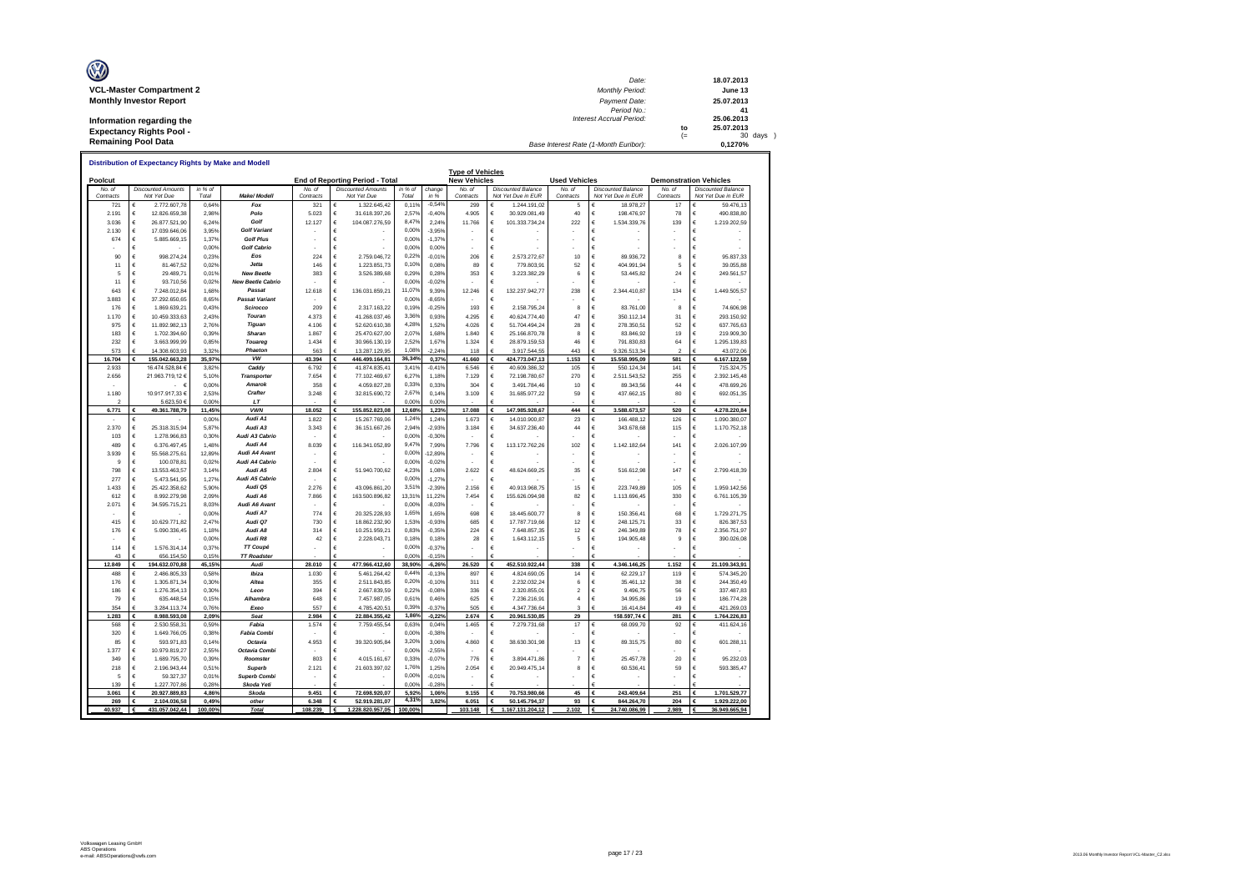| O                               | Date:                                 |     | 18.07.2013 |
|---------------------------------|---------------------------------------|-----|------------|
| <b>VCL-Master Compartment 2</b> | <b>Monthly Period:</b>                |     | June 13    |
| <b>Monthly Investor Report</b>  | Payment Date:                         |     | 25.07.2013 |
|                                 | Period No.:                           |     | 41         |
| Information regarding the       | <b>Interest Accrual Period:</b>       |     | 25.06.2013 |
| <b>Expectancy Rights Pool -</b> |                                       | to  | 25.07.2013 |
| <b>Remaining Pool Data</b>      |                                       | $=$ | 30 days    |
|                                 | Base Interest Rate (1-Month Euribor): |     | 0.1270%    |

|                   |                                          |     |                  |                          |                              |                                          |                  |                | <b>Type of Vehicles</b> |                                                 |                      |                                                 |                               |   |                                                 |
|-------------------|------------------------------------------|-----|------------------|--------------------------|------------------------------|------------------------------------------|------------------|----------------|-------------------------|-------------------------------------------------|----------------------|-------------------------------------------------|-------------------------------|---|-------------------------------------------------|
| Poolcut           |                                          |     |                  |                          |                              | End of Reporting Period - Total          |                  |                | <b>New Vehicles</b>     |                                                 | <b>Used Vehicles</b> |                                                 | <b>Demonstration Vehicles</b> |   |                                                 |
| No a<br>Contracts | <b>Discounted Amounts</b><br>Not Yet Due |     | in % of<br>Total | Make/ Modeli             | No <sub>n</sub><br>Contracts | <b>Discounted Amounts</b><br>Not Yet Due | in % of<br>Total | change<br>in % | No of<br>Contracts      | <b>Discounted Balance</b><br>Not Yet Due in EUR | No. of<br>Contracts  | <b>Discounted Balance</b><br>Not Yet Due in EUR | No of<br>Contracts            |   | <b>Discounted Balance</b><br>Not Yet Due in EUR |
| 721               | 2.772.607,78<br>€                        |     | 0,64%            | Fox                      | 321                          | 1.322.645,42<br>€                        | 0.11%            | $-0.549$       | 299                     | 1.244.191,02                                    | 5                    | 18.978,27<br>€                                  | 17                            | € | 59.476,13                                       |
| 2.191             | €<br>12.826.659,38                       |     | 2,98%            | Polo                     | 5.023                        | €<br>31.618.397,26                       | 2,57%            | $-0,40%$       | 4.905                   | 30.929.081,49<br>€                              | 40                   | €<br>198.476,97                                 | 78                            | € | 490.838,80                                      |
| 3.036             | €<br>26.877.521,90                       |     | 6,24%            | Golf                     | 12.127                       | €<br>104.087.276,59                      | 8,47%            | 2,249          | 11.766                  | €<br>101.333.734,24                             | 222                  | €<br>1.534.339,76                               | 139                           | € | 1.219.202,59                                    |
| 2.130             | €<br>17.039.646.06                       |     | 3.95%            | <b>Golf Variant</b>      |                              | €                                        | 0.00%            | $-3.95%$       |                         | €                                               |                      | €                                               |                               | € |                                                 |
| 674               | $\epsilon$<br>5.885.669,15               |     | 1,37%            | <b>Golf Plus</b>         |                              | €                                        | 0.00%            | $-1,379$       |                         | €                                               |                      | €                                               |                               | € |                                                 |
|                   | €                                        |     | 0.00%            | <b>Golf Cabrio</b>       |                              | €                                        | 0,00%            | 0.00%          |                         | €                                               |                      | €                                               |                               | € |                                                 |
| 90                | €<br>998.274,24                          |     | 0.23%            | Eos                      | 224                          | €<br>2.759.046,72                        | 0,22%            | $-0,01%$       | 206                     | 2.573.272,67<br>€                               | 10                   | €<br>89.936,72                                  | 8                             | € | 95.837,33                                       |
| 11                | €<br>81.467,52                           |     | 0,02%            | Jetta                    | 146                          | €<br>1.223.851,73                        | 0,10%            | 0.08%          | 8S                      | €<br>779.803,91                                 | 52                   | €<br>404.991,94                                 | 5                             | € | 39.055,88                                       |
| 5                 | €<br>29.489,71                           |     | 0.01%            | <b>New Beetle</b>        | 383                          | 3.526.389,68<br>€                        | 0,29%            | 0.28%          | 353                     | 3.223.382,29<br>€                               | 6                    | 53.445,82<br>€                                  | 24                            | € | 249.561,57                                      |
| 11                | €<br>93.710,56                           |     | 0,02%            | <b>New Beetle Cabrio</b> |                              | €                                        | 0,00%            | $-0,029$       |                         | €                                               |                      | €                                               |                               | € |                                                 |
| 643               | €<br>7.248.012,84                        |     | 1,68%            | Passat                   | 12.618                       | €<br>136.031.859,21                      | 11.07%           | 9,39%          | 12.246                  | 132.237.942,77<br>€                             | 238                  | €<br>2.344.410,87                               | 134                           | € | 1.449.505,57                                    |
| 3.883             | €<br>37.292.650,65                       |     | 8,65%            | Passat Variant           |                              | €                                        | 0,00%            | $-8,65%$       |                         | €                                               |                      | €                                               |                               | € |                                                 |
| 176               | €<br>1.869.639.21                        |     | 0.43%            | Scirocco                 | 209                          | €<br>2.317.163.22                        | 0.19%            | $-0,25%$       | 193                     | €<br>2.158.795.24                               | 8                    | €<br>83,761.00                                  | 8                             | € | 74,606.98                                       |
| 1.170             | €<br>10.459.333.63                       |     | 2.43%            | Touran                   | 4.373                        | €<br>41.268.037.46                       | 3,36%            | 0.93%          | 4.295                   | €<br>40.624.774.40                              | 47                   | €<br>350.112,14                                 | 31                            | € | 293.150.92                                      |
| 975               | €<br>11 892 982 13                       |     | 276%             | Tiguan                   | 4 106                        | €<br>52.620.610,38                       | 4,28%            | 1.52%          | 4.026                   | €<br>51.704.494,24                              | 28                   | €<br>278.350,51                                 | 52                            | € | 637.765,63                                      |
|                   |                                          |     | 0.39%            | Sharan                   |                              | €                                        | 2,07%            | 1.68%          |                         | €                                               | 8                    | €                                               |                               | € |                                                 |
| 183<br>232        | €<br>1.702.394,60                        |     | 0.85%            | Touared                  | 1.867<br>1.434               | 25.470.627,00                            | 2,52%            | 1.67%          | 1.840                   | 25.166.870,78<br>€                              | 46                   | 83.846,92<br>€                                  | 19<br>64                      | € | 219.909,30                                      |
|                   | $\epsilon$<br>3.663.999,99               |     |                  |                          |                              | €<br>30.966.130,19                       |                  |                | 1.324                   | 28.879.159,53                                   |                      | 791.830,83                                      |                               |   | 1.295.139,83                                    |
| 573               | €<br>14.308.603,93                       |     | 3,32%            | Phaeton                  | 563                          | €<br>13.287.129,95                       | 1,08%            | $-2,249$       | 118                     | 3.917.544,55                                    | 443                  | 9.326.513,34<br>€                               | $\mathcal{P}$                 |   | 43.072,06                                       |
| 16.704            | 155.042.663.28<br>€                      |     | 35.97%           | vw                       | 43.394                       | €<br>446.499.164.81                      | 36,34%           | 0.37%          | 41.660                  | 424.773.047.13<br>€                             | 1.153                | 15.558.995,09<br>€                              | 581                           | € | 6.167.122.59                                    |
| 2.933             | 16.474.528,84 €                          |     | 3,829            | Caddy                    | 6.792                        | €<br>41.874.835,41                       | 3,41%            | $-0,419$       | 6.546                   | €<br>40.609.386,32                              | 105                  | €<br>550.124,34                                 | 141                           | € | 715.324,75                                      |
| 2.656             | 21.963.719,12 €                          |     | 5,10%            | <b>Transporter</b>       | 7.654                        | €<br>77.102.469,67                       | 6.27%            | 1,189          | 7 1 2 9                 | €<br>72.198.780,67                              | 270                  | €<br>2.511.543,52                               | 255                           | € | 2.392.145,48                                    |
|                   |                                          | . е | 0,00%            | Amarok                   | 358                          | €<br>4.059.827,28                        | 0,33%            | 0,339          | 304                     | €<br>3.491.784.46                               | 10                   | 89.343,56<br>€                                  | 44                            | € | 478.699,26                                      |
| 1.180             | 10.917.917.33 €                          |     | 2.53%            | Crafter                  | 3.248                        | €<br>32.815.690.72                       | 2.67%            | 0.14%          | 3.109                   | 31.685.977.22<br>€                              | 59                   | €<br>437.662.15                                 | 80                            | € | 692.051.35                                      |
|                   | 5.623,50 €                               |     | 0,00%            | LT                       |                              |                                          | 0,00%            | 0,00%          |                         |                                                 |                      |                                                 |                               |   |                                                 |
| 6.771             | 49.361.788,79                            |     | 11.45%           | <b>VWN</b>               | 18.052                       | €<br>155.852.823.08                      | 12.68%           | 1.23%          | 17,088                  | 147.985.928.67                                  | 444                  | 3.588.673.57                                    | 520                           | € | 4.278.220.84                                    |
|                   | €                                        |     | 0.00%            | Audi A1                  | 1.822                        | €<br>15.267.769,06                       | 1,249            | 1.249          | 1.673                   | €<br>14.010.900,87                              | 23                   | €<br>166.488,12                                 | 126                           | € | 1.090.380,07                                    |
| 2.370             | €<br>25.318.315,94                       |     | 5,87%            | Audi A3                  | 3.343                        | €<br>36.151.667,26                       | 2,94%            | $-2.939$       | 3.184                   | 34.637.236,40<br>€                              | 44                   | €<br>343.678,68                                 | 115                           | € | 1.170.752,18                                    |
| 103               | €<br>1.278.966,83                        |     | 0,30%            | Audi A3 Cabrio           |                              | €                                        | 0.00%            | $-0,30%$       |                         | €                                               |                      | €                                               |                               | € |                                                 |
| 489               | €<br>6.376.497,45                        |     | 1,48%            | Audi A4                  | 8.039                        | €<br>116.341.052,89                      | 9,47%            | 7,99%          | 7.796                   | €<br>113.172.762,26                             | 102                  | €<br>1.142.182,64                               | 141                           | € | 2.026.107,99                                    |
| 3.939             | €<br>55.568.275,61                       |     | 12,89%           | Audi A4 Avant            |                              | €                                        | 0,00%            | 12,89%         |                         | €                                               |                      | €                                               |                               | € |                                                 |
| $\mathbf{Q}$      | €<br>100.078.81                          |     | 0.02%            | Audi A4 Cabrio           |                              | €                                        | 0.00%            | $-0.02%$       |                         | €                                               |                      | €                                               |                               | € |                                                 |
| 798               | €<br>13.553.463,57                       |     | 3,149            | Audi A5                  | 2.804                        | €<br>51.940.700,62                       | 4,239            | 1,08%          | 2.622                   | 48.624.669,25<br>€                              | 35                   | €<br>516.612,98                                 | 147                           | € | 2.799.418,39                                    |
| 277               | €<br>5.473.541.95                        |     | 1.27%            | Audi A5 Cabrio           |                              | €                                        | 0.00%            | $-1.27%$       |                         | €                                               |                      | €                                               |                               | € |                                                 |
| 1.433             | €<br>25.422.358.62                       |     | 5.90%            | Audi Q5                  | 2.276                        | €<br>43.096.861,20                       | 3,51%            | $-2,399$       | 2.156                   | €<br>40.913.968.75                              | 15                   | €<br>223.749.89                                 | 105                           | € | 1.959.142.56                                    |
| 612               | €<br>8 992 279 98                        |     | 2.09%            | Audi A6                  | 7.866                        | €<br>163.500.896.82                      | 13,319           | 11.22%         | 7.454                   | 155.626.094.98<br>€                             | 82                   | 1.113.696,45<br>€                               | 330                           | € | 6.761.105,39                                    |
| 2.071             | €<br>34.595.715,21                       |     | 8,03%            | Audi A6 Avant            |                              | €                                        | 0,00%            | $-8,039$       |                         | €                                               |                      | €                                               |                               | € |                                                 |
|                   | €                                        |     | 0,00%            | Audi A7                  | 774                          | €<br>20.325.228,93                       | 1,65%            | 1,65%          | 698                     | €<br>18.445.600,77                              | 8                    | €<br>150.356,41                                 | 68                            | € | 1.729.271,75                                    |
| 415               | €<br>10.629.771,82                       |     | 2,47%            | Audi Q7                  | 730                          | €<br>18.862.232,90                       | 1,53%            | $-0,93%$       | 685                     | €<br>17.787.719,66                              | 12                   | €<br>248.125,71                                 | 33                            | € | 826.387,53                                      |
| 176               | €<br>5.090.336,45                        |     | 1,18%            | Audi A8                  | 314                          | €<br>10.251.959,21                       | 0,83%            | $-0,35%$       | 224                     | €<br>7.648.857,35                               | 12                   | €<br>246.349,89                                 | 78                            | € | 2.356.751,97                                    |
|                   | €                                        |     | 0,00%            | Audi R8                  | 42                           | €<br>2.228.043,71                        | 0,18%            | 0,18%          | 28                      | €<br>1.643.112,15                               | 5                    | €<br>194.905,48                                 | $\mathbf{Q}$                  | € | 390.026,08                                      |
| 114               | $\epsilon$<br>1.576.314,14               |     | 0,37%            | TT Coupé                 |                              | $\epsilon$                               | 0,00%            | $-0,37%$       |                         | €                                               |                      | €                                               |                               | € |                                                 |
| 43                | €<br>656.154,50                          |     | 0,15%            | <b>TT Roadster</b>       |                              | €                                        | 0,00%            | $-0,15%$       |                         |                                                 |                      |                                                 |                               | Ë |                                                 |
| 12,849            | €<br>194.632.070.88                      |     | 45.15%           | Audi                     | 28,010                       | €<br>477.966.412.60                      | 38,90%           | $-6.26%$       | 26.520                  | 452.510.922.44<br>€                             | 338                  | €<br>4.346.146.25                               | 1.152                         | € | 21.109.343.91                                   |
| 488               | €                                        |     | 0,58%            | Ibiza                    | 1.030                        | 5.461.264,42<br>€                        | 0.44%            | $-0.139$       |                         | €                                               |                      | 62.229,17<br>€                                  | 119                           | € | 574.345,20                                      |
| 176               | 2.486.805,33<br>€<br>1.305.871,34        |     | 0,30%            | Altea                    | 355                          | €<br>2.511.843,85                        | 0,20%            | $-0.109$       | 897<br>311              | 4.824.690,05<br>2.232.032.24<br>€               | 14<br>6              | 35.461,12<br>€                                  | 38                            | € |                                                 |
|                   |                                          |     |                  |                          |                              |                                          | 0,22%            |                |                         |                                                 |                      |                                                 |                               |   | 244.350,49                                      |
| 186               | €<br>1.276.354,13                        |     | 0.30%            | Leon                     | 394                          | €<br>2.667.839,59                        |                  | $-0,08%$       | 336                     | €<br>2.320.855,01                               | $\overline{2}$       | €<br>9.496,75                                   | 56                            | € | 337.487,83                                      |
| 79                | €<br>635.448,54<br>€                     |     | 0,15%            | Alhambra                 | 648                          | €<br>7.457.987,05                        | 0,61%            | 0.46%          | 625                     | €<br>7.236.216,91                               | 4                    | €<br>34.995,86                                  | 19                            | € | 186.774,28                                      |
| 354               | 3.284.113,74                             |     | 0.76%            | Exec                     | 557                          | €<br>4.785.420,51                        | 0.39%            | $-0.37%$       | 505                     | 4.347.736,64                                    | $\overline{3}$       | 16.414,84                                       | 49                            | € | 421.269,03                                      |
| 1.283             | €<br>8.988.593,08                        |     | 2,09%            | Seat                     | 2.984                        | €<br>22.884.355,42                       | 1,86%            | $-0,22%$       | 2.674                   | 20.961.530,85                                   | 29                   | 158.597,74 €                                    | 281                           | € | 1.764.226,83                                    |
| 568               | 2.530.558,31<br>€                        |     | 0.59%            | Fabia                    | 1.574                        | 7.759.455,54<br>€                        | 0.63%            | 0.04%          | 1.465                   | 7.279.731,68<br>€                               | 17                   | 68,099.70<br>€                                  | 92                            | € | 411.624,16                                      |
| 320               | €<br>1.649.766,05                        |     | 0,38%            | <b>Fabia Combi</b>       |                              | €                                        | 0,00%            | $-0,38%$       |                         | €                                               |                      | €                                               |                               | € |                                                 |
| 85                | €<br>593.971,83                          |     | 0,14%            | Octavia                  | 4.953                        | 39.320.905,84<br>€                       | 3.20%            | 3,06%          | 4.860                   | 38.630.301,98<br>€                              | 13                   | €<br>89.315,75                                  | 80                            | € | 601.288.11                                      |
| 1.377             | €<br>10.979.819,27                       |     | 2,55%            | Octavia Combi            |                              | €                                        | 0,00%            | $-2,559$       |                         | €                                               |                      | €                                               |                               | € |                                                 |
| 349               | €<br>1.689.795.70                        |     | 0.39%            | Roomster                 | 803                          | €<br>4.015.161,67                        | 0.33%            | $-0.079$       | 776                     | €<br>3.894.471.86                               | $\overline{7}$       | €<br>25.457,78                                  | 20                            | € | 95.232.03                                       |
| 218               | €<br>2.196.943,44                        |     | 0.51%            | <b>Superb</b>            | 2.121                        | €<br>21.603.397.02                       | 1.76%            | 1.25%          | 2.054                   | 20.949.475,14<br>€                              | 8                    | 60.536,41<br>€                                  | 59                            | € | 593.385,47                                      |
| 5                 | $\epsilon$<br>59.327,37                  |     | 0.01%            | <b>Superb Combi</b>      |                              | €                                        | 0.00%            | $-0,019$       |                         | €                                               |                      | €                                               |                               | € |                                                 |
| 139               | €<br>1 227 707 86                        |     | 0.28%            | Skoda Yeti               |                              |                                          | 0.00%            | $-0.289$       |                         |                                                 |                      |                                                 |                               |   |                                                 |
| 3.061             | 20.927.889.83<br>€                       |     | 4.86%            | Skoda                    | 9.451                        | €<br>72.698.920.07                       | 5.92%            | 1.06%          | 9.155                   | 70.753.980.66                                   | 45                   | 243.409.64                                      | 251                           | € | 1.701.529,77                                    |
| 269               | €<br>2.104.036.58                        |     | 0.49%            | other                    | 6.348                        | 52.919.281.07<br>€                       | 4,31%            | 3.82%          | 6.051                   | 50.145.794.37<br>€                              | 93                   | 844.264.70<br>€                                 | 204                           | € | 1.929.222,00                                    |
|                   |                                          |     |                  |                          | 108.239                      | 1.228.820.957,05<br>€                    | 100,00%          |                | 103.148                 | €<br>1.167.131.204,12                           | 2.102                | 24.740.086,99                                   | 2.989                         |   | 36.949.665,94                                   |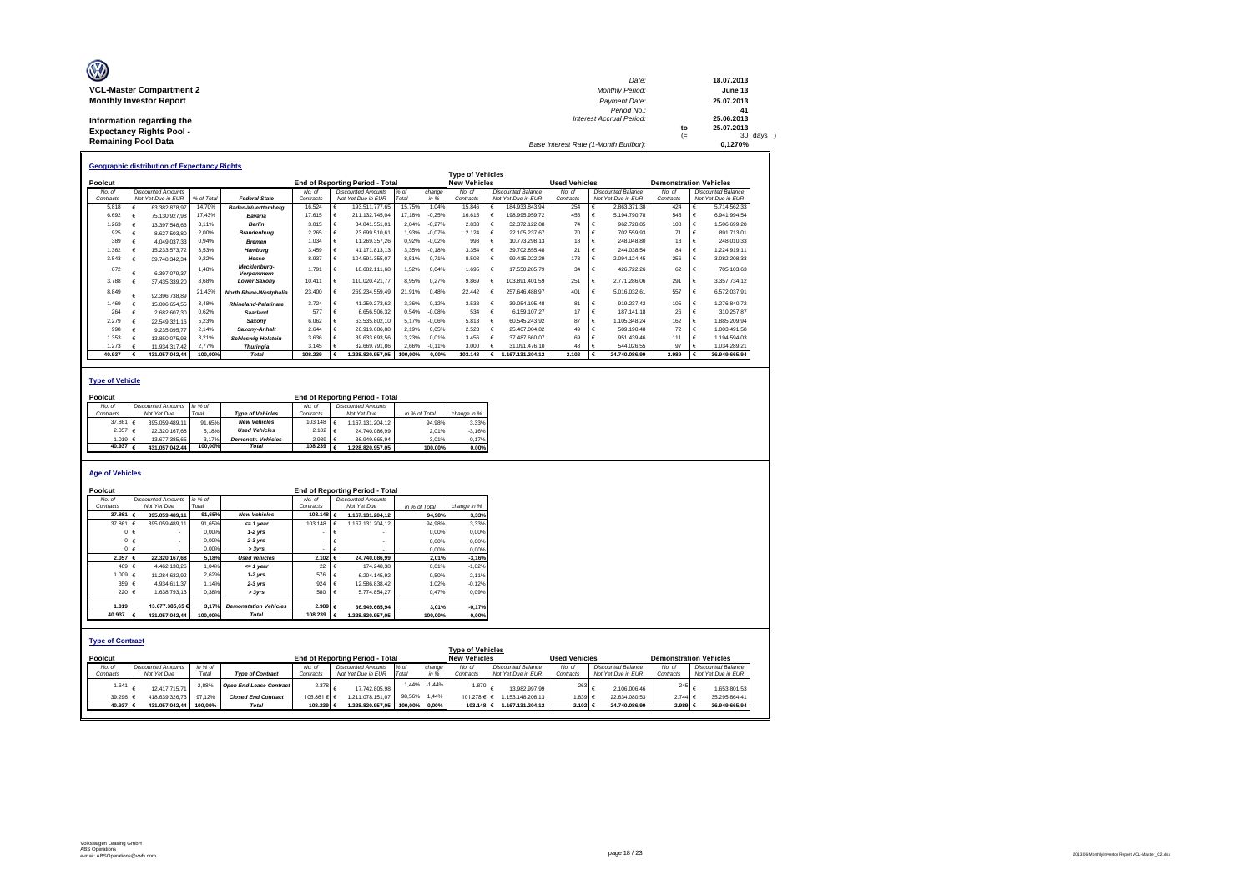| W                               | Date:                                 |           | 18.07.2013            |
|---------------------------------|---------------------------------------|-----------|-----------------------|
| <b>VCL-Master Compartment 2</b> | <b>Monthly Period:</b>                |           | June 13               |
| <b>Monthly Investor Report</b>  | Payment Date:<br>Period No.:          |           | 25.07.2013<br>41      |
| Information regarding the       | <b>Interest Accrual Period:</b>       |           | 25.06.2013            |
| <b>Expectancy Rights Pool -</b> |                                       | to<br>$=$ | 25.07.2013<br>30 days |
| <b>Remaining Pool Data</b>      | Base Interest Rate (1-Month Euribor): |           | 0.1270%               |

|           | <b>Geographic distribution of Expectancy Rights</b> |                           |            |                               |           |   |                                        |         |          |                         |                    |                      |   |                           |                               |                           |
|-----------|-----------------------------------------------------|---------------------------|------------|-------------------------------|-----------|---|----------------------------------------|---------|----------|-------------------------|--------------------|----------------------|---|---------------------------|-------------------------------|---------------------------|
|           |                                                     |                           |            |                               |           |   |                                        |         |          | <b>Type of Vehicles</b> |                    |                      |   |                           |                               |                           |
| Poolcut   |                                                     |                           |            |                               |           |   | <b>End of Reporting Period - Total</b> |         |          | <b>New Vehicles</b>     |                    | <b>Used Vehicles</b> |   |                           | <b>Demonstration Vehicles</b> |                           |
| No. of    |                                                     | <b>Discounted Amounts</b> |            |                               | No. of    |   | Discounted Amounts                     | $%$ of  | change   | No. of                  | Discounted Balance | No. of               |   | <b>Discounted Balance</b> | No. of                        | <b>Discounted Balance</b> |
| Contracts |                                                     | Not Yet Due in EUR        | % of Total | <b>Federal State</b>          | Contracts |   | Not Yet Due in EUR                     | Total   | in %     | Contracts               | Not Yet Due in EUR | Contracts            |   | Not Yet Due in EUR        | Contracts                     | Not Yet Due in EUR        |
| 5.818     |                                                     | 63 382 878 97             | 14,70%     | <b>Baden-Wuerttemberg</b>     | 16.524    |   | 193.511.777.65                         | 15,75%  | 1.04%    | 15,846                  | 184.933.843.94     | 254                  | € | 2.863.371.38              | 424                           | 5.714.562.33              |
| 6.692     |                                                     | 75.130.927.98             | 17.43%     | Bavaria                       | 17,615    |   | 211.132.745.04                         | 17.18%  | $-0.25%$ | 16.615                  | 198.995.959.72     | 455                  |   | 5.194.790.78              | 545                           | 6.941.994.54              |
| 1.263     |                                                     | 13.397.548.66             | 3.11%      | <b>Berlin</b>                 | 3.015     |   | 34.841.551.01                          | 2,84%   | $-0.27%$ | 2.833                   | 32.372.122.88      | 74                   |   | 962.728.85                | 108                           | 1.506.699.28              |
| 925       |                                                     | 8.627.503.80              | 2,00%      | <b>Brandenburg</b>            | 2.265     |   | 23.699.510.61                          | 1,93%   | $-0.07%$ | 2.124                   | 22.105.237.67      | 70                   |   | 702.559,93                |                               | 891.713.01                |
| 389       |                                                     | 4.049.037.33              | 0.94%      | <b>Bremen</b>                 | 1.034     | € | 11.269.357.26                          | 0,92%   | $-0.02%$ | 998                     | 10.773.298.13      | 18                   |   | 248.048.80                | 18                            | 248.010.33                |
| 1.362     |                                                     | 15.233.573.72             | 3.53%      | Hamburg                       | 3.459     |   | 41.171.813.13                          | 3,35%   | $-0.18%$ | 3.354                   | 39.702.855,48      | 21                   |   | 244.038.54                | 84                            | 1.224.919.11              |
| 3.543     |                                                     | 39.748.342.34             | 9.22%      | Hesse                         | 8.937     |   | 104.591.355.07                         | 8,51%   | $-0.71%$ | 8.508                   | 99.415.022.29      | 173                  | € | 2.094.124.45              | 256                           | 3.082.208.33              |
| 672       |                                                     | 6.397.079.37              | 1.48%      | Mecklenburg-<br>Vorpommern    | 1.791     | € | 18.682.111.68                          | 1,52%   | 0.04%    | 1.695                   | 17.550.285.79      | 34                   |   | 426.722.26                | 62                            | 705.103.63                |
| 3.788     |                                                     | 37.435.339.20             | 8,68%      | <b>Lower Saxony</b>           | 10.411    |   | 110.020.421.77                         | 8,95%   | 0,27%    | 9.869                   | 103.891.401.59     | 251                  |   | 2.771.286.06              | 291                           | 3.357.734.12              |
| 8.849     |                                                     | 92.396.738.89             | 21,43%     | <b>North Rhine-Westphalia</b> | 23,400    |   | 269.234.559.49                         | 21,91%  | 0.48%    | 22 442                  | 257.646.488.97     | 401                  |   | 5.016.032.61              | 557                           | 6.572.037.91              |
| 1.469     |                                                     | 15.006.654.55             | 3.48%      | <b>Rhineland-Palatinate</b>   | 3.724     |   | 41.250.273.62                          | 3.36%   | $-0.12%$ | 3.538                   | 39.054.195.48      | 81                   |   | 919.237.42                | 105                           | 1.276.840.72              |
| 264       |                                                     | 2.682.607.30              | 0.62%      | Saarland                      | 577       |   | 6.656.506.32                           | 0.54%   | $-0.08%$ | 534                     | 6.159.107.27       | 17                   | € | 187.141.18                | 26                            | 310.257.87                |
| 2.279     |                                                     | 22.549.321.16             | 5.23%      | Saxonv                        | 6.062     |   | 63.535.802.10                          | 5.17%   | $-0.06%$ | 5.813                   | 60.545.243.92      | 87                   |   | 1.105.348.24              | 162                           | 1.885.209.94              |
| 998       |                                                     | 9.235.095.77              | 2.14%      | Saxony-Anhalt                 | 2.644     |   | 26.919.686.88                          | 2.19%   | 0.05%    | 2.523                   | 25.407.004.82      | 49                   |   | 509.190.48                | 72                            | 1.003.491.58              |
| 1.353     |                                                     | 13.850.075.98             | 3.21%      | <b>Schleswig-Holstein</b>     | 3.636     |   | 39.633.693.56                          | 3,23%   | 0.01%    | 3 456                   | 37.487.660.07      | 69                   |   | 951.439.46                | 111                           | 1.194.594.03              |
| 1.273     |                                                     | 11.934.317.42             | 2.77%      | <b>Thuringia</b>              | 3.145     |   | 32.669.791.86                          | 2,66%   | $-0.11%$ | 3.000                   | 31.091.476.10      | 48                   |   | 544.026.55                | 97                            | 1.034.289.21              |
| 40.937    |                                                     | 431.057.042.44            | 100.00%    | <b>Total</b>                  | 108.239   |   | .228.820.957,05                        | 100,00% | 0.00%    | 103.148                 | 1.167.131.204.12   | 2.102                | € | 24.740.086.99             | 2.989                         | 36.949.665.94             |

### **Type of Vehicle**

**CVA** 

| Poolcut   |                   |                           |         |                           |                  | <b>End of Reporting Period - Total</b> |               |             |
|-----------|-------------------|---------------------------|---------|---------------------------|------------------|----------------------------------------|---------------|-------------|
| No. of    |                   | <b>Discounted Amounts</b> | in % of |                           | No of            | <b>Discounted Amounts</b>              |               |             |
| Contracts |                   | Not Yet Due               | Total   | <b>Type of Vehicles</b>   | Contracts        | Not Yet Due                            | in % of Total | change in % |
|           | 37.861 $\in$      | 395.059.489.11            | 91.65%  | <b>New Vehicles</b>       | 103.148 $\in$    | 1.167.131.204.12                       | 94.98%        | 3.33%       |
|           | 2.057 €           | 22.320.167.68             | 5.18%   | <b>Used Vehicles</b>      | $2.102$ €        | 24.740.086.99                          | 2.01%         | $-3.16%$    |
|           | 1.019 $\in$       | 13.677.385.65             | 3.17%   | <b>Demonstr.</b> Vehicles | 2.989 $\epsilon$ | 36.949.665.94                          | 3.01%         | $-0.17%$    |
|           | 40.937 $\epsilon$ | 431.057.042.44            | 100.00% | <b>Total</b>              | 108.239 $6.$     | .228.820.957.05                        | 100.00%       | 0.00%       |

#### **Age of Vehicles**

| Poolcut                            |                           |         |                                |                 |            | <b>End of Reporting Period - Total</b> |               |          |                                                |                           |                      |                           |                               |
|------------------------------------|---------------------------|---------|--------------------------------|-----------------|------------|----------------------------------------|---------------|----------|------------------------------------------------|---------------------------|----------------------|---------------------------|-------------------------------|
| No. of                             | <b>Discounted Amounts</b> | in % of |                                | No. of          |            | <b>Discounted Amounts</b>              |               |          |                                                |                           |                      |                           |                               |
| Contracts                          | Not Yet Due               | Total   |                                | Contracts       |            | Not Yet Due                            | in % of Total |          | change in %                                    |                           |                      |                           |                               |
| 37,861                             | 395.059.489.11<br>€       | 91.65%  | <b>New Vehicles</b>            | 103.148 €       |            | 1.167.131.204.12                       |               | 94.98%   | 3.33%                                          |                           |                      |                           |                               |
| 37.861 $\epsilon$                  | 395.059.489.11            | 91.65%  | $= 1$ year                     | 103.148         | $\epsilon$ | 1.167.131.204.12                       |               | 94.98%   | 3,33%                                          |                           |                      |                           |                               |
|                                    |                           | 0.00%   | $1-2$ vrs                      |                 | €          |                                        |               | 0.00%    | 0,00%                                          |                           |                      |                           |                               |
|                                    |                           | 0.00%   | $2-3$ yrs                      |                 | €          |                                        |               | 0.00%    | 0,00%                                          |                           |                      |                           |                               |
|                                    | $0 \in$                   | 0.00%   | > 3yrs                         |                 | €          | ٠                                      |               | 0.00%    | 0,00%                                          |                           |                      |                           |                               |
| 2.057                              | 22.320.167.68<br>€        | 5.18%   | <b>Used vehicles</b>           | 2.102 €         |            | 24,740,086.99                          |               | 2.01%    | $-3.16%$                                       |                           |                      |                           |                               |
| 469 $\epsilon$                     | 4.462.130.26              | 1.04%   | $= 1$ vear                     | 22 <sub>1</sub> | €          | 174,248,38                             |               | 0.01%    | $-1.02%$                                       |                           |                      |                           |                               |
| 1.009 €                            | 11.284.632.92             | 2.62%   | $1-2$ vrs                      | 576             | €          | 6.204.145.92                           |               | 0.50%    | $-2.11%$                                       |                           |                      |                           |                               |
| 359 €                              | 4.934.611.37              | 1.14%   | $2-3$ yrs                      | 924             | $\epsilon$ | 12.586.838.42                          |               | 1.02%    | $-0.12%$                                       |                           |                      |                           |                               |
| 220 €                              | 1.638.793.13              | 0,38%   | > 3yrs                         | 580             | €          | 5.774.854.27                           |               | 0.47%    | 0,09%                                          |                           |                      |                           |                               |
|                                    |                           |         |                                |                 |            |                                        |               |          |                                                |                           |                      |                           |                               |
| 1.019                              | 13,677,385,65 €           | 3.17%   | <b>Demonstation Vehicles</b>   | 2.989 €         |            | 36.949.665.94                          |               | 3.01%    | $-0,17%$                                       |                           |                      |                           |                               |
| 40.937                             | 431.057.042.44<br>€       | 100.00% | <b>Total</b>                   | 108.239         | €ا         | 1.228.820.957.05                       |               | 100.00%  | 0,00%                                          |                           |                      |                           |                               |
| <b>Type of Contract</b><br>Poolcut |                           |         |                                |                 |            | <b>End of Reporting Period - Total</b> |               |          | <b>Type of Vehicles</b><br><b>New Vehicles</b> |                           | <b>Used Vehicles</b> |                           | <b>Demonstration Vehicles</b> |
| No. of                             | <b>Discounted Amounts</b> | in % of |                                | No. of          |            | <b>Discounted Amounts</b>              | % of          | change   | No. of                                         | <b>Discounted Balance</b> | No. of               | <b>Discounted Balance</b> | No. of                        |
| Contracts                          | Not Yet Due               | Total   | <b>Type of Contract</b>        | Contracts       |            | Not Yet Due in EUR                     | Total         | in %     | Contracts                                      | Not Yet Due in EUR        | Contracts            | Not Yet Due in EUR        | Contracts                     |
| 1.641                              | 12.417.715.71             | 2,88%   | <b>Open End Lease Contract</b> | 2.378           | $\epsilon$ | 17.742.805,98                          | 1.44%         | $-1,44%$ | 1.870                                          | 13.982.997.99             | 263                  | €<br>2.106.006.46         | 245                           |
| 39.296                             | 418.639.326,73            | 97.12%  | <b>Closed End Contract</b>     | 105.861 €       |            | 1.211.078.151.07                       | 98,56%        | 1,44%    | 101.278 € €                                    | 1.153.148.206.13          | 1.839 €              | 22.634.080.53             | 2.744 €                       |
| 40.937 €                           | 431.057.042.44            | 100.00% | <b>Total</b>                   | 108.239 €       |            | 1.228.820.957.05                       | 100.00%       | $0.00\%$ | 103.148 €                                      | 1.167.131.204.12          | 2.102 €              | 24.740.086.99             | 2.989 €                       |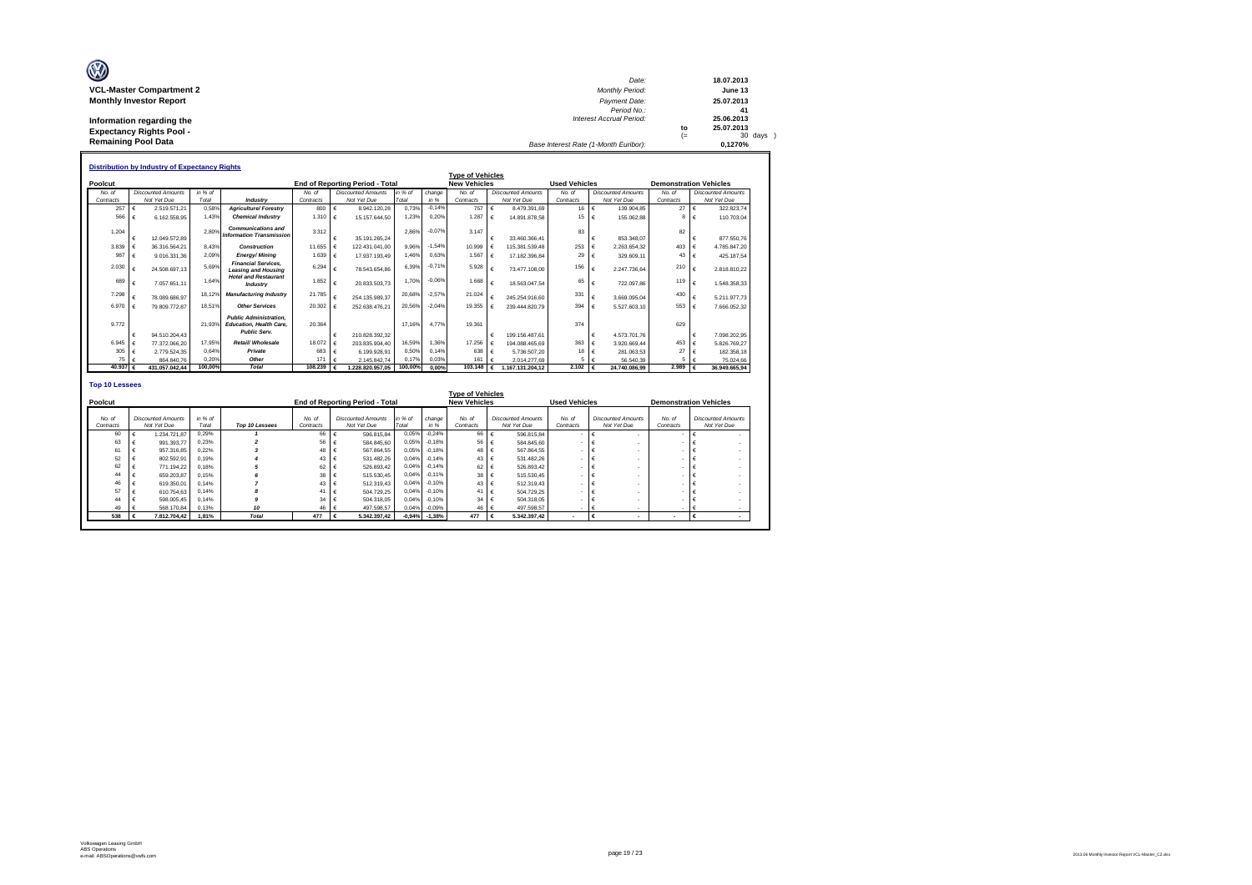| O                                                             | Date:                                 |            | 18.07.2013            |
|---------------------------------------------------------------|---------------------------------------|------------|-----------------------|
| <b>VCL-Master Compartment 2</b>                               | <b>Monthly Period:</b>                |            | June 13               |
| <b>Monthly Investor Report</b>                                | Payment Date:<br>Period No.:          |            | 25.07.2013<br>41      |
| Information regarding the                                     | <b>Interest Accrual Period:</b>       |            | 25.06.2013            |
| <b>Expectancy Rights Pool -</b><br><b>Remaining Pool Data</b> |                                       | to<br>$(=$ | 25.07.2013<br>30 days |
|                                                               | Base Interest Rate (1-Month Euribor): |            | 0.1270%               |

|                       | <b>Distribution by Industry of Expectancy Rights</b> |                           |         |                                                                                        |             |            |                                        |         |          |                         |            |                           |                      |            |                           |                               |            |                           |
|-----------------------|------------------------------------------------------|---------------------------|---------|----------------------------------------------------------------------------------------|-------------|------------|----------------------------------------|---------|----------|-------------------------|------------|---------------------------|----------------------|------------|---------------------------|-------------------------------|------------|---------------------------|
|                       |                                                      |                           |         |                                                                                        |             |            |                                        |         |          | <b>Type of Vehicles</b> |            |                           |                      |            |                           |                               |            |                           |
| Poolcut               |                                                      |                           |         |                                                                                        |             |            | <b>End of Reporting Period - Total</b> |         |          | <b>New Vehicles</b>     |            |                           | <b>Used Vehicles</b> |            |                           | <b>Demonstration Vehicles</b> |            |                           |
| No. of                |                                                      | <b>Discounted Amounts</b> | in % of |                                                                                        | No. of      |            | <b>Discounted Amounts</b>              | in % of | change   | No. of                  |            | <b>Discounted Amounts</b> | No. of               |            | <b>Discounted Amounts</b> | No. of                        |            | <b>Discounted Amounts</b> |
| Contracts             |                                                      | Not Yet Due               | Total   | Industry                                                                               | Contracts   |            | Not Yet Due                            | Total   | in %     | Contracts               |            | Not Yet Due               | Contracts            |            | Not Yet Due               | Contracts                     |            | Not Yet Due               |
| 257                   |                                                      | 2.519.571.21              | 0.58%   | <b>Agriculture/ Forestry</b>                                                           | 800         | €          | 8.942.120.28                           | 0.73%   | $-0.14%$ | 757                     | €          | 8.479.391.69              | 16 €                 |            | 139,904.85                | 27                            | $\epsilon$ | 322.823.74                |
| 566                   |                                                      | 6.162.558.95              | 1.43%   | <b>Chemical Industry</b>                                                               | 1.310 $\in$ |            | 15.157.644.50                          | 1.23%   | 0.20%    | 1.287                   | €          | 14.891.878.58             | $15 \quad \in$       |            | 155.062.88                | <b>R</b>                      | €          | 110,703.04                |
|                       |                                                      |                           |         | <b>Communications and</b>                                                              |             |            |                                        |         | $-0.07%$ |                         |            |                           |                      |            |                           |                               |            |                           |
| 1.204                 |                                                      | 12.049.572.89             | 2.80%   | <b>Information Transmission</b>                                                        | 3.312       | €          | 35.191.265.24                          | 2.86%   |          | 3.147                   | €          | 33.460.366.41             | 83                   | €          | 853, 348, 07              | 82                            |            | 877.550.76                |
| 3.839                 |                                                      | 36.316.564.21             | 8.43%   | Construction                                                                           | 11,655      | $\epsilon$ | 122.431.041.00                         | 9.96%   | $-1.54%$ | 10.999                  |            | 115.381.539.48            | 253                  | $\epsilon$ | 2.263.654.32              | 403                           |            | 4.785.847.20              |
| 987                   |                                                      | 9.016.331.36              | 2.09%   | <b>Energy/Mining</b>                                                                   | 1.639       | $\epsilon$ | 17.937.193.49                          | 1.46%   | 0.63%    | 1.567                   | $\epsilon$ | 17.182.396.84             | 29                   | €          | 329,609.11                | 43                            |            | 425.187.54                |
|                       |                                                      |                           |         | <b>Financial Services.</b>                                                             |             |            |                                        |         |          |                         |            |                           |                      |            |                           |                               |            |                           |
| 2.030                 |                                                      | 24.508.697.13             | 5.69%   | <b>Leasing and Housing</b>                                                             | 6.294       | €          | 78,543,654.86                          | 6,39%   | $-0,71%$ | 5.928                   |            | 73.477.108.00             | 156                  | €          | 2.247.736.64              | 210                           |            | 2.818.810.22              |
| 689                   |                                                      | 7.057.651.11              | 1.64%   | <b>Hotel and Restaurant</b><br>Industry                                                | 1.852       | €          | 20.833.503.73                          | 1.70%   | $-0.06%$ | 1.668                   |            | 18.563.047.54             | 65                   | €          | 722.097.86                | 119                           |            | 1.548.358.33              |
| 7.298                 |                                                      | 78.089.686.97             | 18.129  | <b>Manufacturing Industry</b>                                                          | 21,785      | €          | 254.135.989.37                         | 20.68%  | $-2.57%$ | 21.024                  | €          | 245.254.916.60            | 331                  | €          | 3.669.095.04              | 430                           |            | 5.211.977.73              |
| 6.970                 |                                                      | 79.809.772.87             | 18.51%  | <b>Other Services</b>                                                                  | 20,302      | €          | 252.638.476.21                         | 20.56%  | $-2.04%$ | 19,355                  |            | 239.444.820.79            | 394                  | $\epsilon$ | 5.527.603.10              | 553                           |            | 7.666.052.32              |
| 9.772                 |                                                      |                           | 21.93%  | <b>Public Administration.</b><br><b>Education, Health Care.</b><br><b>Public Serv.</b> | 20.364      |            |                                        | 17.16%  | 4.77%    | 19,361                  |            |                           | 374                  |            |                           | 629                           |            |                           |
|                       |                                                      | 94.510.204.43             |         |                                                                                        |             | €          | 210.828.392.32                         |         |          |                         | €          | 199.156.487.61            |                      | €          | 4.573.701.76              |                               |            | 7.098.202.95              |
| 6.945                 |                                                      | 77.372.066.20             | 17.95%  | Retail/ Wholesale                                                                      | 18,072      | €          | 203.835.904.40                         | 16.59%  | 1.36%    | 17.256                  |            | 194.088.465.69            | 363 €                |            | 3.920.669.44              | 453                           |            | 5.826.769.27              |
| 305                   |                                                      | 2.779.524.35              | 0.64%   | Private                                                                                | 683         | €          | 6.199.928.91                           | 0.50%   | 0.14%    | 638                     | €          | 5.736.507.20              | $18 \quad \in$       |            | 281.063.53                | 27                            |            | 182.358.18                |
| 75                    |                                                      | 864,840.76                | 0.20%   | Other                                                                                  | 171         | €          | 2.145.842.74                           | 0.17%   | 0.03%    | 161                     |            | 2.014.277.69              |                      | $5 \leq$   | 56.540.39                 |                               |            | 75.024,66                 |
| 40.937                |                                                      | 431.057.042.44            | 100.00% | <b>Total</b>                                                                           | 108,239     |            | 1.228.820.957.05                       | 100,00% | 0.00%    | 103,148                 | €          | 1.167.131.204.12          | 2.102 $\epsilon$     |            | 24.740.086.99             | 2.989                         |            | 36.949.665.94             |
| <b>Top 10 Lessees</b> |                                                      |                           |         |                                                                                        |             |            |                                        |         |          | <b>Tyne of Vehicles</b> |            |                           |                      |            |                           |                               |            |                           |

| Top 10 Lessees | No. of<br>Contracts | <b>End of Reporting Period - Total</b><br><b>Discounted Amounts</b> | in % of |              | <b>New Vehicles</b> |                           | <b>Used Vehicles</b> |                           |                          | <b>Demonstration Vehicles</b> |
|----------------|---------------------|---------------------------------------------------------------------|---------|--------------|---------------------|---------------------------|----------------------|---------------------------|--------------------------|-------------------------------|
|                |                     |                                                                     |         |              |                     |                           |                      |                           |                          |                               |
|                |                     |                                                                     |         |              |                     |                           |                      |                           |                          |                               |
|                |                     |                                                                     |         | change       | No. of              | <b>Discounted Amounts</b> | No. of               | <b>Discounted Amounts</b> | No. of                   | <b>Discounted Amounts</b>     |
|                |                     | Not Yet Due                                                         | Total   | in %         | Contracts           | Not Yet Due               | Contracts            | Not Yet Due               | Contracts                | Not Yet Due                   |
|                | 66                  | 596.815.84                                                          | 0.05%   | $-0.24%$     | 66                  | 596.815.84                |                      |                           |                          |                               |
|                | 56                  | 584,845.60                                                          | 0.05%   | $-0.18%$     | 56                  | 584,845.60                |                      |                           |                          |                               |
|                | 48                  | 567.864.55                                                          | 0,05%   | $-0.18%$     | 48                  | 567.864.55                |                      |                           |                          |                               |
|                | 43.                 | 531.482.26                                                          | 0.04%   | $-0.14%$     | 43                  | 531.482.26                |                      |                           |                          |                               |
|                | 62                  | 526.893.42                                                          | 0.04%   | $-0.14%$     | 62                  | 526.893.42                |                      |                           |                          |                               |
|                | 38                  | 515,530.45                                                          | 0.04%   | $-0.11%$     | 38                  | 515,530.45                |                      |                           |                          |                               |
|                | 43                  | 512.319.43                                                          | 0.04%   | $-0.10%$     | 43                  | 512.319.43                |                      |                           |                          |                               |
|                | 41                  | 504.729.25                                                          | 0.04%   | $-0.10%$     | 41                  | 504.729.25                |                      |                           |                          |                               |
|                | 34                  | 504.318.05                                                          | 0.04%   | $-0.10%$     | 34                  | 504.318.05                |                      |                           |                          |                               |
| 10             |                     | 497.598.57                                                          | 0,04%   | $-0.09%$     | 46                  | 497.598.57                |                      |                           |                          |                               |
| <b>Total</b>   | 477                 |                                                                     |         | $-1.38%$     | 477                 | 5.342.397.42              |                      |                           | $\overline{\phantom{a}}$ |                               |
|                |                     |                                                                     | 46 €    | 5.342.397.42 | $-0,94%$            |                           |                      |                           |                          |                               |

 $\mathsf{r}$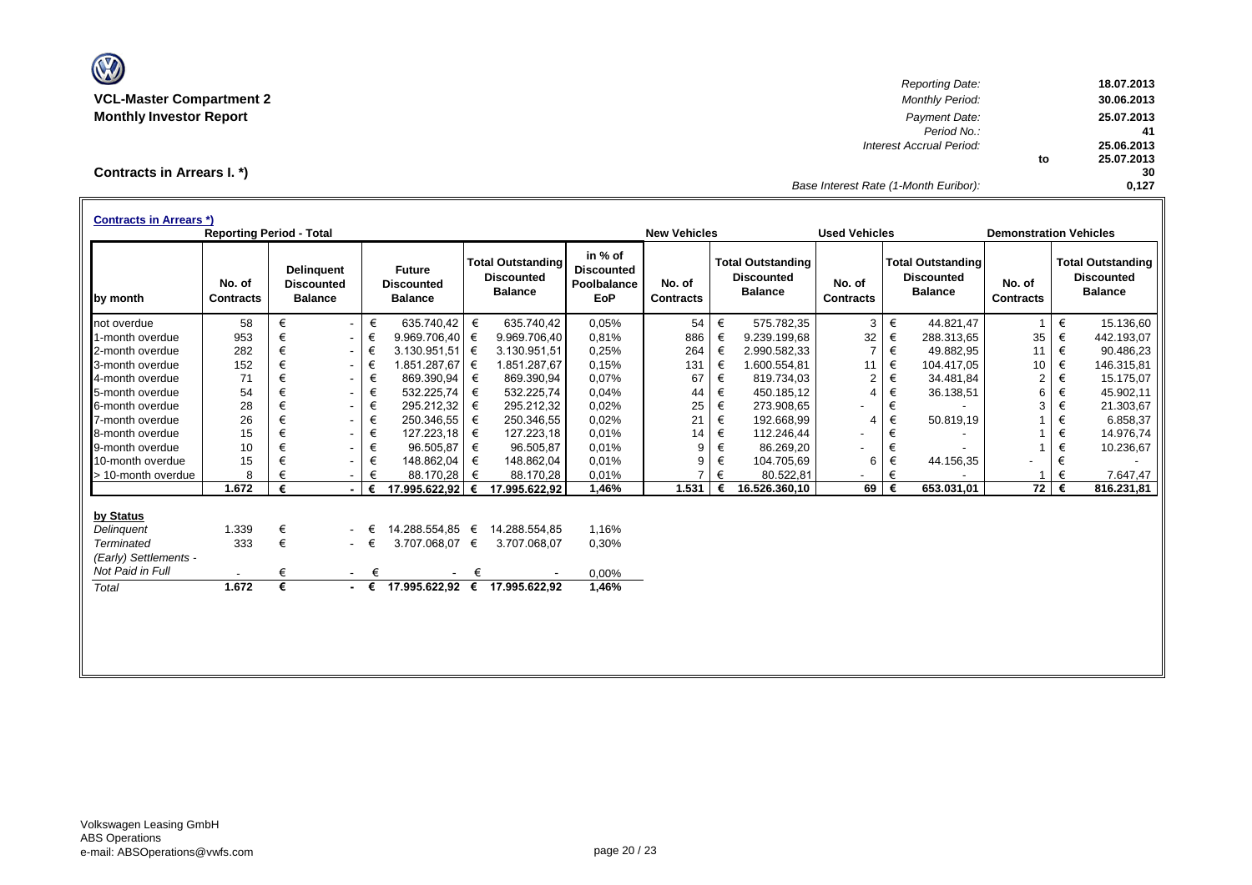

*Reporting Date:* **18.07.2013 VCL-Master Compartment 2** *Monthly Period:* **30.06.2013 Monthly Investor Report** *Payment Date:* **25.07.2013** *Period No.:* **41** *Interest Accrual Period:* **25.06.2013 to 25.07.2013 30** *Base Interest Rate (1-Month Euribor):* **0,127**

**Contracts in Arrears I. \*)**

|                       | <b>Reporting Period - Total</b> |   |                                                          |        |                                                      |   |                                                                 |                                                           | <b>New Vehicles</b>        |   |                                                                 | <b>Used Vehicles</b>       |   |                                                                 | <b>Demonstration Vehicles</b> |   |                                                                 |
|-----------------------|---------------------------------|---|----------------------------------------------------------|--------|------------------------------------------------------|---|-----------------------------------------------------------------|-----------------------------------------------------------|----------------------------|---|-----------------------------------------------------------------|----------------------------|---|-----------------------------------------------------------------|-------------------------------|---|-----------------------------------------------------------------|
| by month              | No. of<br><b>Contracts</b>      |   | <b>Delinguent</b><br><b>Discounted</b><br><b>Balance</b> |        | <b>Future</b><br><b>Discounted</b><br><b>Balance</b> |   | <b>Total Outstanding</b><br><b>Discounted</b><br><b>Balance</b> | in % of<br><b>Discounted</b><br>Poolbalance<br><b>EoP</b> | No. of<br><b>Contracts</b> |   | <b>Total Outstanding</b><br><b>Discounted</b><br><b>Balance</b> | No. of<br><b>Contracts</b> |   | <b>Total Outstanding</b><br><b>Discounted</b><br><b>Balance</b> | No. of<br><b>Contracts</b>    |   | <b>Total Outstanding</b><br><b>Discounted</b><br><b>Balance</b> |
| not overdue           | 58                              | € | $\blacksquare$                                           | €      | 635.740.42                                           | € | 635.740.42                                                      | 0,05%                                                     | 54                         | € | 575.782.35                                                      | 3                          | € | 44.821.47                                                       | $\mathbf{1}$                  | € | 15.136,60                                                       |
| 1-month overdue       | 953                             | € | $\sim$                                                   | €      | 9.969.706,40                                         | € | 9.969.706,40                                                    | 0,81%                                                     | 886                        | € | 9.239.199,68                                                    | 32                         | € | 288.313,65                                                      | 35                            | € | 442.193,07                                                      |
| 2-month overdue       | 282                             | € | $\blacksquare$                                           | €      | $3.130.951.51$ €                                     |   | 3.130.951,51                                                    | 0,25%                                                     | 264                        | € | 2.990.582,33                                                    | 7                          | € | 49.882,95                                                       | 11                            | € | 90.486,23                                                       |
| 3-month overdue       | 152                             | € | $\sim$                                                   | €      | $1.851.287.67$ €                                     |   | 1.851.287,67                                                    | 0.15%                                                     | 131                        | € | 1.600.554,81                                                    | 11                         | € | 104.417,05                                                      | 10                            | € | 146.315,81                                                      |
| 4-month overdue       | 71                              | € | $\sim$                                                   | €      | 869.390,94                                           | € | 869.390,94                                                      | 0,07%                                                     | 67                         | € | 819.734,03                                                      | 2                          | € | 34.481,84                                                       | 2                             | € | 15.175,07                                                       |
| 5-month overdue       | 54                              | € | $\sim$                                                   | €      | 532.225,74                                           | € | 532.225,74                                                      | 0,04%                                                     | 44                         | € | 450.185,12                                                      |                            | € | 36.138,51                                                       | 6                             | € | 45.902,11                                                       |
| 6-month overdue       | 28                              | € | $\sim$                                                   | €      | 295.212,32                                           | € | 295.212,32                                                      | 0,02%                                                     | 25                         | € | 273.908,65                                                      | ۰                          | € |                                                                 | 3                             | € | 21.303,67                                                       |
| 7-month overdue       | 26                              | € | $\overline{\phantom{a}}$                                 | €      | 250.346,55                                           | € | 250.346,55                                                      | 0,02%                                                     | 21                         | € | 192.668,99                                                      | $\overline{4}$             | € | 50.819,19                                                       |                               | € | 6.858,37                                                        |
| 8-month overdue       | 15                              | € | $\overline{\phantom{a}}$                                 | €      | 127.223,18                                           | € | 127.223,18                                                      | 0.01%                                                     | 14                         | € | 112.246,44                                                      | $\overline{\phantom{a}}$   | € |                                                                 |                               | € | 14.976,74                                                       |
| 9-month overdue       | 10                              | € | $\sim$                                                   | €      | 96.505,87                                            | € | 96.505,87                                                       | 0.01%                                                     | 9                          | € | 86.269,20                                                       | ۰                          | € |                                                                 |                               | € | 10.236,67                                                       |
| 10-month overdue      | 15                              | € | $\overline{\phantom{a}}$                                 | €      | 148.862,04                                           | € | 148.862,04                                                      | 0,01%                                                     | 9                          | € | 104.705,69                                                      | 6                          | € | 44.156,35                                                       |                               | € |                                                                 |
| > 10-month overdue    | 8                               |   |                                                          | €      | 88.170,28                                            | € | 88.170,28                                                       | 0,01%                                                     | $\overline{7}$             | € | 80.522,81                                                       |                            | € |                                                                 |                               | € | 7.647,47                                                        |
|                       | 1.672                           | € |                                                          | €      | 17.995.622,92 €                                      |   | 17.995.622,92                                                   | 1,46%                                                     | 1.531                      |   | 16.526.360,10                                                   | 69                         | € | 653.031.01                                                      | 72                            | € | 816.231,81                                                      |
| by Status             |                                 |   |                                                          |        |                                                      |   |                                                                 |                                                           |                            |   |                                                                 |                            |   |                                                                 |                               |   |                                                                 |
| Delinguent            | 1.339                           | € |                                                          | €      | 14.288.554.85 €                                      |   | 14.288.554,85                                                   | 1.16%                                                     |                            |   |                                                                 |                            |   |                                                                 |                               |   |                                                                 |
| <b>Terminated</b>     | 333                             | € |                                                          | $ \in$ | 3.707.068,07 €                                       |   | 3.707.068,07                                                    | 0,30%                                                     |                            |   |                                                                 |                            |   |                                                                 |                               |   |                                                                 |
| (Early) Settlements - |                                 |   |                                                          |        |                                                      |   |                                                                 |                                                           |                            |   |                                                                 |                            |   |                                                                 |                               |   |                                                                 |
| Not Paid in Full      |                                 | € | $\sim$ 100 $\mu$                                         | €      | $\overline{\phantom{a}}$                             | € |                                                                 | 0,00%                                                     |                            |   |                                                                 |                            |   |                                                                 |                               |   |                                                                 |
| Total                 | 1.672                           | € | $\sim$                                                   | €      | 17.995.622,92 €                                      |   | 17.995.622,92                                                   | 1,46%                                                     |                            |   |                                                                 |                            |   |                                                                 |                               |   |                                                                 |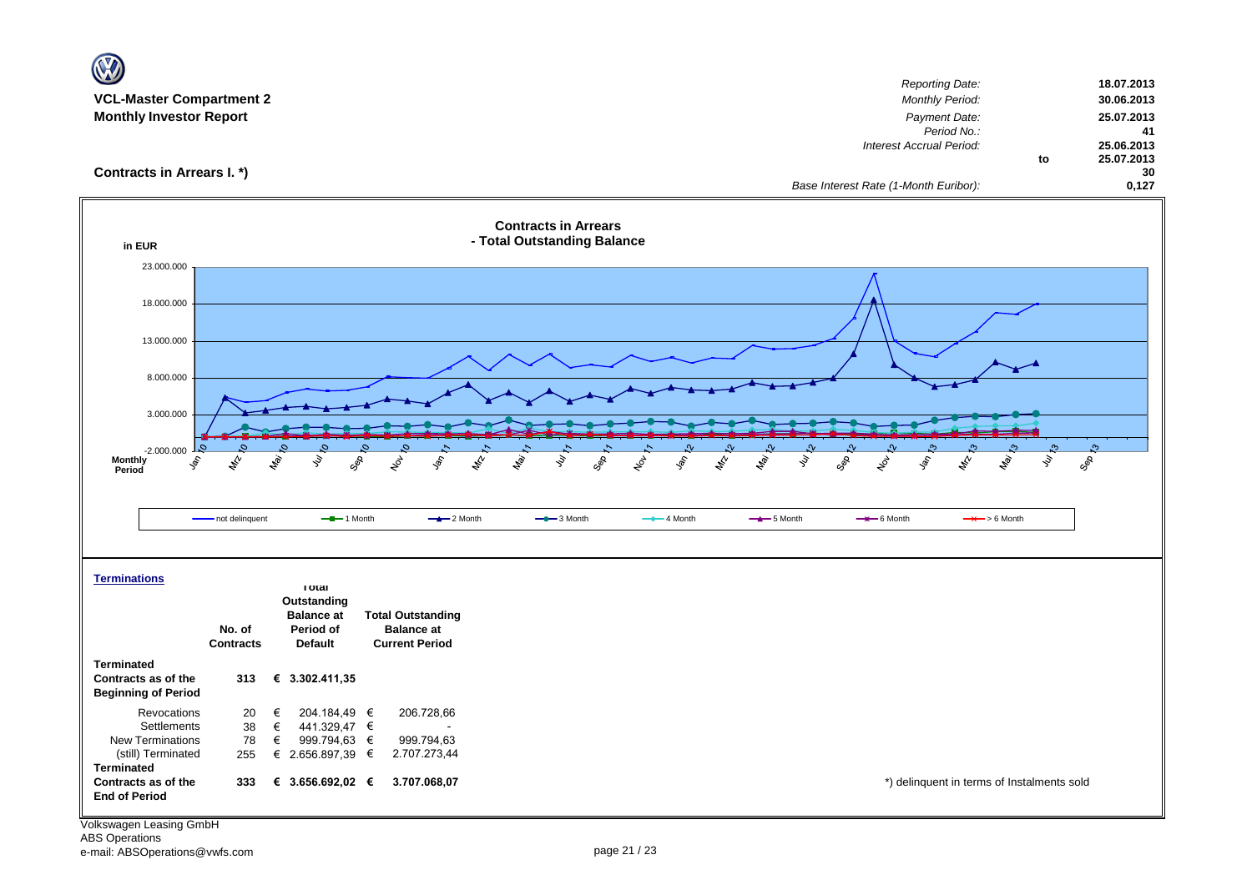| <b>VCL-Master Compartment 2</b><br><b>Monthly Investor Report</b> |                                                                                                         | <b>Reporting Date:</b><br>18.07.2013<br><b>Monthly Period:</b><br>30.06.2013<br>Payment Date:<br>25.07.2013<br>Period No.:<br>41      |
|-------------------------------------------------------------------|---------------------------------------------------------------------------------------------------------|---------------------------------------------------------------------------------------------------------------------------------------|
| Contracts in Arrears I. *)                                        |                                                                                                         | Interest Accrual Period:<br>25.06.2013<br>25.07.2013<br>to<br>30<br>Base Interest Rate (1-Month Euribor):<br>0,127                    |
| in EUR                                                            |                                                                                                         | <b>Contracts in Arrears</b><br>- Total Outstanding Balance                                                                            |
| 23.000.000                                                        |                                                                                                         |                                                                                                                                       |
| 18.000.000                                                        |                                                                                                         |                                                                                                                                       |
| 13.000.000                                                        |                                                                                                         |                                                                                                                                       |
| 8.000.000                                                         |                                                                                                         |                                                                                                                                       |
|                                                                   |                                                                                                         |                                                                                                                                       |
| 3.000.000                                                         |                                                                                                         |                                                                                                                                       |
| $\mathcal{O}_{\lambda}$<br>$-2.000.000$                           |                                                                                                         | $\mathfrak{S}$                                                                                                                        |
| <b>Monthly</b><br>$\hat{\mathcal{S}}$<br>Period                   | $\mathcal{L}^{\mathcal{C}}$<br>May<br>ş<br>Geb<br>$z^{\delta}$<br>$\mathcal{S}$<br>$z_{\rm s}$<br>ligi. | ş<br>GOR<br>$\mathscr{L}$<br>ligi.<br>M<br>ş<br>SOR<br><b>R</b><br>ş,<br>GOS<br>$x^{\beta}$<br>$\mathscr{E}$<br><b>Lai</b><br>ş<br>ş, |
|                                                                   |                                                                                                         |                                                                                                                                       |
|                                                                   | - not delinquent<br>$-$ -1 Month<br>$-2$ Month                                                          | $-$ 3 Month<br>$-$ 4 Month<br>$-$ 5 Month<br>$\rightarrow$ 6 Month<br>$\rightarrow$ > 6 Month                                         |
|                                                                   |                                                                                                         |                                                                                                                                       |
| <b>Terminations</b>                                               |                                                                                                         |                                                                                                                                       |
|                                                                   | <b>I</b> otal<br>Outstanding                                                                            |                                                                                                                                       |
|                                                                   | <b>Balance at</b><br><b>Total Outstanding</b><br>No. of<br>Period of<br><b>Balance at</b>               |                                                                                                                                       |
|                                                                   | <b>Default</b><br><b>Current Period</b><br><b>Contracts</b>                                             |                                                                                                                                       |
| <b>Terminated</b>                                                 |                                                                                                         |                                                                                                                                       |
| Contracts as of the<br><b>Beginning of Period</b>                 | 313<br>€ 3.302.411,35                                                                                   |                                                                                                                                       |
| Revocations                                                       | 204.184,49 €<br>206.728,66<br>20<br>€                                                                   |                                                                                                                                       |
| Settlements<br>New Terminations                                   | 38<br>€<br>441.329,47 €<br>78<br>€<br>999.794,63 €<br>999.794,63                                        |                                                                                                                                       |
| (still) Terminated                                                | € 2.656.897,39 €<br>2.707.273,44<br>255                                                                 |                                                                                                                                       |
| <b>Terminated</b><br>Contracts as of the                          | 333<br>€ 3.656.692,02 $∈$<br>3.707.068,07                                                               | *) delinquent in terms of Instalments sold                                                                                            |
| <b>End of Period</b>                                              |                                                                                                         |                                                                                                                                       |
|                                                                   |                                                                                                         |                                                                                                                                       |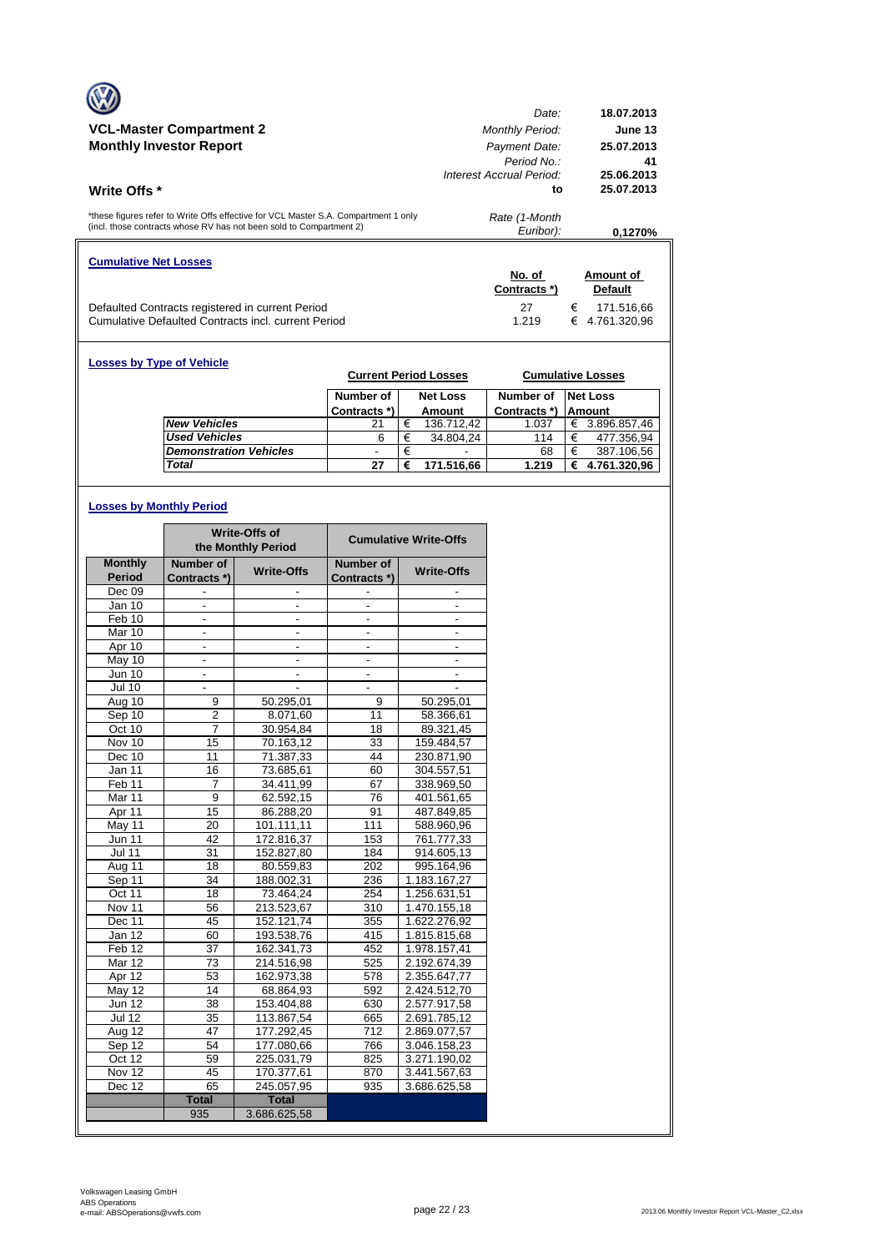|                                                                                                                                                            | Date:                                                    | 18.07.2013                     |
|------------------------------------------------------------------------------------------------------------------------------------------------------------|----------------------------------------------------------|--------------------------------|
| <b>VCL-Master Compartment 2</b>                                                                                                                            | <b>Monthly Period:</b>                                   | June 13                        |
| <b>Monthly Investor Report</b>                                                                                                                             | Payment Date:<br>Period No.:<br>Interest Accrual Period: | 25.07.2013<br>41<br>25.06.2013 |
| <b>Write Offs</b> *                                                                                                                                        | to                                                       | 25.07.2013                     |
| *these figures refer to Write Offs effective for VCL Master S.A. Compartment 1 only<br>(incl. those contracts whose RV has not been sold to Compartment 2) | Rate (1-Month<br>Euribor):                               | 0.1270%                        |
| <b>Cumulative Net Losses</b>                                                                                                                               |                                                          |                                |
|                                                                                                                                                            | No. of<br>Contracts *)                                   | Amount of<br><b>Default</b>    |
| Defaulted Contracts registered in current Period                                                                                                           | 27                                                       | €<br>171.516,66                |

| <b>Losses by Type of Vehicle</b> |                               |              |   | <b>Current Period Losses</b> |              | <b>Cumulative Losses</b> |  |
|----------------------------------|-------------------------------|--------------|---|------------------------------|--------------|--------------------------|--|
|                                  |                               | Number of    |   | <b>Net Loss</b>              | Number of    | <b>Net Loss</b>          |  |
|                                  |                               | Contracts *) |   | Amount                       | Contracts *) | <b>Amount</b>            |  |
|                                  | <b>New Vehicles</b>           | 21           | € | 136.712.42                   | 1.037        | 3.896.857,46<br>€        |  |
|                                  | <b>Used Vehicles</b>          | 6            | € | 34.804,24                    | 114          | 477.356,94<br>€          |  |
|                                  | <b>Demonstration Vehicles</b> |              | € | ۰                            | 68           | 387.106,56<br>€          |  |
|                                  | Total                         | 27           | € | 171.516.66                   | 1.219        | 4.761.320,96<br>€        |  |

# **Losses by Monthly Period**

|                      |                          | Write-Offs of<br>the Monthly Period |                          | <b>Cumulative Write-Offs</b> |  |
|----------------------|--------------------------|-------------------------------------|--------------------------|------------------------------|--|
| <b>Monthly</b>       | Number of                | <b>Write-Offs</b>                   | Number of                | <b>Write-Offs</b>            |  |
| <b>Period</b>        | Contracts *)             |                                     | Contracts *)             |                              |  |
| Dec 09               |                          |                                     |                          |                              |  |
| Jan 10               |                          |                                     |                          |                              |  |
| Feb 10               | $\overline{\phantom{a}}$ | $\frac{1}{2}$                       | ٠                        | $\frac{1}{2}$                |  |
| Mar 10               | ä,                       | $\overline{a}$                      | $\overline{\phantom{0}}$ | $\overline{\phantom{a}}$     |  |
| Apr 10               |                          |                                     |                          |                              |  |
| May 10               | $\overline{\phantom{a}}$ | $\overline{\phantom{a}}$            |                          | $\overline{\phantom{a}}$     |  |
| Jun 10               | $\frac{1}{2}$            | $\frac{1}{2}$                       | $\overline{\phantom{a}}$ | $\overline{\phantom{a}}$     |  |
| <b>Jul 10</b>        |                          |                                     |                          |                              |  |
| Aug 10               | 9                        | 50.295,01                           | 9                        | 50.295,01                    |  |
| Sep 10               | $\overline{\mathbf{c}}$  | 8.071,60                            | 11                       | 58.366,61                    |  |
| Oct 10               | 7                        | 30.954,84                           | 18                       | 89.321,45                    |  |
| $\overline{N}$ ov 10 | 15                       | 70.163.12                           | 33                       | 159.484,57                   |  |
| Dec 10               | 11                       | 71.387,33                           | 44                       | 230.871,90                   |  |
| Jan 11               | 16                       | 73.685,61                           | 60                       | 304.557,51                   |  |
| Feb <sub>11</sub>    | 7                        | 34.411,99                           | 67                       | 338.969,50                   |  |
| Mar <sub>11</sub>    | 9                        | 62.592,15                           | 76                       | 401.561,65                   |  |
| Apr 11               | 15                       | 86.288,20                           | 91                       | 487.849,85                   |  |
| May 11               | 20                       | 101.111,11                          | 111                      | 588.960,96                   |  |
| <b>Jun 11</b>        | 42                       | 172.816,37                          | 153                      | 761.777,33                   |  |
| <b>Jul 11</b>        | 31                       | 152.827,80                          | 184                      | 914.605,13                   |  |
| Aug 11               | 18                       | 80.559,83                           | 202                      | 995.164,96                   |  |
| Sep 11               | 34                       | 188.002,31                          | 236                      | 1.183.167,27                 |  |
| Oct 11               | 18                       | 73.464,24                           | 254                      | 1.256.631,51                 |  |
| Nov 11               | 56                       | 213.523,67                          | 310                      | 1.470.155,18                 |  |
| Dec 11               | 45                       | 152.121,74                          | 355                      | 1.622.276,92                 |  |
| Jan 12               | 60                       | 193.538,76                          | 415                      | 1.815.815,68                 |  |
| Feb <sub>12</sub>    | 37                       | 162.341,73                          | 452                      | 1.978.157,41                 |  |
| Mar 12               | 73                       | 214.516,98                          | 525                      | 2.192.674,39                 |  |
| Apr 12               | 53                       | 162.973,38                          | 578                      | 2.355.647,77                 |  |
| $M$ ay 12            | 14                       | 68.864.93                           | 592                      | 2.424.512,70                 |  |
| <b>Jun 12</b>        | 38                       | 153.404,88                          | 630                      | 2.577.917,58                 |  |
| <b>Jul 12</b>        | 35                       | 113.867,54                          | 665                      | 2.691.785,12                 |  |
| Aug 12               | 47                       | 177.292,45                          | $\overline{712}$         | 2.869.077,57                 |  |
| Sep 12               | 54                       | 177.080,66                          | 766                      | 3.046.158,23                 |  |
| Oct 12               | 59                       | 225.031,79                          | 825                      | 3.271.190,02                 |  |
| Nov 12               | 45                       | 170.377,61                          | 870                      | 3.441.567,63                 |  |
| Dec 12               | 65                       | 245.057,95                          | 935                      | 3.686.625,58                 |  |
|                      | <b>Total</b>             | <b>Total</b>                        |                          |                              |  |
|                      | 935                      | 3.686.625,58                        |                          |                              |  |